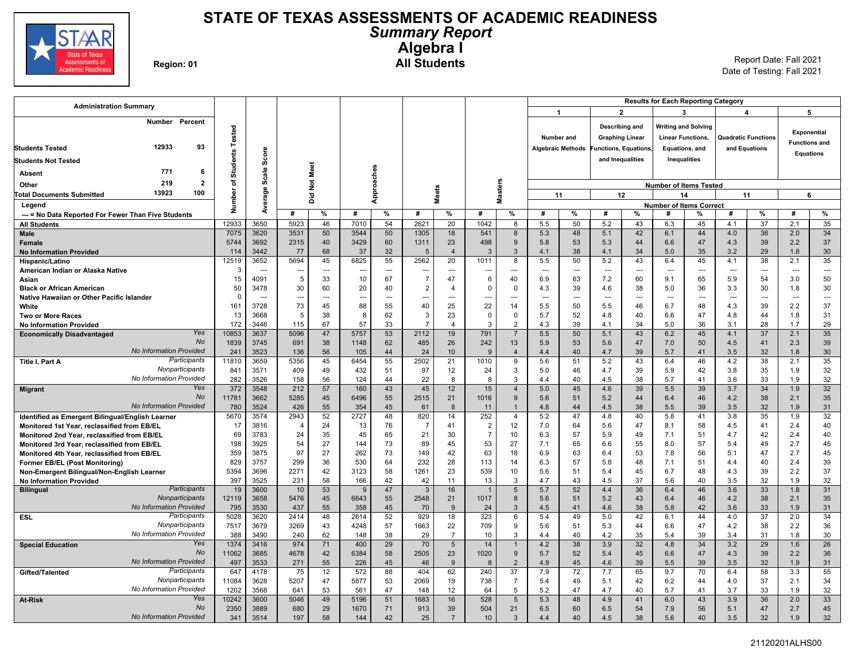

### **STATE OF TEXAS ASSESSMENTS OF ACADEMIC READINESS** *Summary Report* **Algebra I Region: 01 All Students** Report Date: Fall 2021

Date of Testing: Fall 2021

| <b>Administration Summary</b>                       |               |                |             |                |                          |                |                |                |                |                      |                      |                          |                        |                      |                          | <b>Results for Each Reporting Category</b> |                |                            |                      |                |
|-----------------------------------------------------|---------------|----------------|-------------|----------------|--------------------------|----------------|----------------|----------------|----------------|----------------------|----------------------|--------------------------|------------------------|----------------------|--------------------------|--------------------------------------------|----------------|----------------------------|----------------------|----------------|
|                                                     |               |                |             |                |                          |                |                |                |                |                      | $\blacktriangleleft$ |                          |                        | $\overline{2}$       |                          | 3                                          |                | 4                          | 5                    |                |
| Number Percent                                      |               |                |             |                |                          |                |                |                |                |                      |                      |                          |                        | Describing and       |                          | <b>Writing and Solving</b>                 |                |                            |                      |                |
|                                                     | Tested        |                |             |                |                          |                |                |                |                |                      | <b>Number and</b>    |                          |                        |                      |                          |                                            |                |                            | <b>Exponential</b>   |                |
| 12933<br>93                                         |               |                |             |                |                          |                |                |                |                |                      |                      |                          | <b>Graphing Linear</b> |                      |                          | <b>Linear Functions,</b>                   |                | <b>Quadratic Functions</b> | <b>Functions and</b> |                |
| <b>Students Tested</b>                              | 29            | Score          |             |                |                          |                |                |                |                |                      |                      | <b>Algebraic Methods</b> |                        | unctions, Equations, |                          | Equations, and                             |                | and Equations              | <b>Equations</b>     |                |
| <b>Students Not Tested</b>                          | Student       |                |             |                |                          |                |                |                |                |                      |                      |                          | and Inequalities       |                      |                          | Inequalities                               |                |                            |                      |                |
| 771<br>6<br><b>Absent</b>                           |               | Scale          |             |                |                          |                |                |                |                |                      |                      |                          |                        |                      |                          |                                            |                |                            |                      |                |
| $\overline{2}$<br>219<br>Other                      | ৳             |                |             | Not Meet       |                          |                |                |                |                |                      |                      |                          |                        |                      |                          | <b>Number of Items Tested</b>              |                |                            |                      |                |
| 13923<br>100<br><b>Total Documents Submitted</b>    | ৯             | Average        |             |                |                          | Approaches     |                | <b>Meets</b>   |                | <b>Masters</b>       | 11                   |                          |                        | 12                   |                          | 14                                         |                | 11                         |                      | 6              |
| Legend                                              | Numb          |                |             | ă              |                          |                |                |                |                |                      |                      |                          |                        |                      |                          | <b>Number of Items Correct</b>             |                |                            |                      |                |
| --- = No Data Reported For Fewer Than Five Students |               |                | #           | %              | #                        | %              | #              | %              | #              | %                    | #                    | %                        | #                      | %                    | #                        | %                                          | #              | %                          | #                    | %              |
| <b>All Students</b>                                 | 12933         | 3650           | 5923        | 46             | 7010                     | 54             | 2621           | 20             | 1042           | 8                    | 5.5                  | 50                       | 5.2                    | 43                   | 6.3                      | 45                                         | 4.1            | 37                         | 2.1                  | 35             |
| <b>Male</b>                                         | 7075          | 3620           | 3531        | 50             | 3544                     | 50             | 1305           | 18             | 541            | 8                    | 5.3                  | 48                       | 5.1                    | 42                   | 6.1                      | 44                                         | 4.0            | 36                         | 2.0                  | 34             |
| <b>Female</b>                                       | 5744          | 3692           | 2315        | 40             | 3429                     | 60             | 1311           | 23             | 498            | 9                    | 5.8                  | 53                       | 5.3                    | 44                   | 6.6                      | 47                                         | 4.3            | 39                         | 2.2                  | 37             |
| <b>No Information Provided</b>                      | 114           | 3442           | 77          | 68             | 37                       | 32             | 5              | $\overline{4}$ | 3              | 3                    | 4.1                  | 38                       | 4.1                    | 34                   | 5.0                      | 35                                         | 3.2            | 29                         | 1.8                  | 30             |
| Hispanic/Latino                                     | 12519         | 3652           | 5694        | 45             | 6825                     | 55             | 2562           | 20             | 1011           | 8                    | 5.5                  | 50                       | 5.2                    | 43                   | 6.4                      | 45                                         | 4.1            | 38                         | 2.1                  | 35             |
| American Indian or Alaska Native                    | 3             | $\overline{a}$ | ---         | $\overline{a}$ | $\overline{\phantom{a}}$ | ---            |                | $\sim$         | ---            | ---                  | $\overline{a}$       | $\overline{a}$           | $\sim$                 | $\overline{a}$       | $\overline{a}$           | ---                                        | $\overline{a}$ | ---                        | $\sim$               | $\overline{a}$ |
| Asian                                               | 15            | 4091           | 5           | 33             | 10                       | 67             | $\overline{7}$ | 47             | 6              | 40                   | 6.9                  | 63                       | 7.2                    | 60                   | 9.1                      | 65                                         | 5.9            | 54                         | 3.0                  | 50             |
| <b>Black or African American</b>                    | 50            | 3478           | 30          | 60             | 20                       | 40             | $\overline{2}$ | $\overline{4}$ | $\Omega$       | $\mathbf 0$          | 4.3                  | 39                       | 4.6                    | 38                   | 5.0                      | 36                                         | 3.3            | 30                         | 1.8                  | 30             |
| Native Hawaiian or Other Pacific Islander           | $\Omega$      | ---            | ---         | ---            | $\overline{\phantom{a}}$ | $\overline{a}$ |                | Щ.             | ---            | ---                  | ---                  | $\overline{a}$           | $\sim$                 | ---                  | $\overline{\phantom{a}}$ | ---                                        | ---            | ---                        | $\overline{a}$       | ---            |
| White                                               | 161           | 3728           | 73          | 45             | 88                       | 55             | 40             | 25             | 22             | 14                   | 5.5                  | 50                       | 5.5                    | 46                   | 6.7                      | 48                                         | 4.3            | 39                         | 2.2                  | 37             |
| <b>Two or More Races</b>                            | 13            | 3668           | 5           | 38             | 8                        | 62             | 3              | 23             | $\Omega$       | 0                    | 5.7                  | 52                       | 4.8                    | 40                   | 6.6                      | 47                                         | 4.8            | 44                         | 1.8                  | 31             |
| <b>No Information Provided</b><br>Yes               | 172           | 3446           | 115         | 67             | 57                       | 33             | $\overline{7}$ | $\overline{4}$ | 3              | 2                    | 4.3                  | 39                       | 4.1                    | 34                   | 5.0                      | 36                                         | 3.1            | 28                         | 1.7                  | 29             |
| <b>Economically Disadvantaged</b><br><b>No</b>      | 10853<br>1839 | 3637<br>3745   | 5096<br>691 | 47<br>38       | 5757<br>1148             | 53<br>62       | 2112<br>485    | 19<br>26       | 791<br>242     | $\overline{7}$<br>13 | 5.5<br>5.9           | 50<br>53                 | 5.1<br>5.6             | 43<br>47             | 6.2<br>7.0               | 45<br>50                                   | 4.1            | 37<br>41                   | 2.1<br>2.3           | 35<br>39       |
| <b>No Information Provided</b>                      | 241           | 3523           | 136         | 56             | 105                      | 44             | 24             | 10             | $\mathbf{q}$   | $\overline{4}$       | 4.4                  | 40                       | 4.7                    | 39                   | 5.7                      | 41                                         | 4.5<br>3.5     | 32                         | 1.8                  | 30             |
| Participants<br>Title I, Part A                     | 11810         | 3659           | 5356        | 45             | 6454                     | 55             | 2502           | 21             | 1010           | 9                    | 5.6                  | 51                       | 5.2                    | 43                   | 6.4                      | 46                                         | 4.2            | 38                         | 2.1                  | 35             |
| Nonparticipants                                     | 841           | 3571           | 409         | 49             | 432                      | 51             | 97             | 12             | 24             | 3                    | 5.0                  | 46                       | 4.7                    | 39                   | 5.9                      | 42                                         | 3.8            | 35                         | 1.9                  | 32             |
| No Information Provided                             | 282           | 3526           | 158         | 56             | 124                      | 44             | 22             | 8              | 8              | 3                    | 4.4                  | 40                       | 4.5                    | 38                   | 5.7                      | 41                                         | 3.6            | 33                         | 1.9                  | 32             |
| Yes<br><b>Migrant</b>                               | 372           | 3548           | 212         | 57             | 160                      | 43             | 45             | 12             | 15             | $\overline{4}$       | 5.0                  | 45                       | 4.6                    | 39                   | 5.5                      | 39                                         | 3.7            | 34                         | 1.9                  | 32             |
| No                                                  | 11781         | 3662           | 5285        | 45             | 6496                     | 55             | 2515           | 21             | 1016           | 9                    | 5.6                  | 51                       | 5.2                    | 44                   | 6.4                      | 46                                         | 4.2            | 38                         | 2.1                  | 35             |
| <b>No Information Provided</b>                      | 780           | 3524           | 426         | 55             | 354                      | 45             | 61             | 8              | 11             | $\overline{1}$       | 4.8                  | 44                       | 4.5                    | 38                   | 5.5                      | 39                                         | 3.5            | 32                         | 1.9                  | 31             |
| Identified as Emergent Bilingual/English Learner    | 5670          | 3574           | 2943        | 52             | 2727                     | 48             | 820            | 14             | 252            | $\overline{4}$       | 5.2                  | 47                       | 4.8                    | 40                   | 5.8                      | 41                                         | 3.8            | 35                         | 1.9                  | 32             |
| Monitored 1st Year, reclassified from EB/EL         | 17            | 3816           | 4           | 24             | 13                       | 76             | 7              | 41             | $\overline{2}$ | 12                   | 7.0                  | 64                       | 5.6                    | 47                   | 8.1                      | 58                                         | 4.5            | 41                         | 2.4                  | 40             |
| Monitored 2nd Year, reclassified from EB/EL         | 69            | 3783           | 24          | 35             | 45                       | 65             | 21             | 30             | $\overline{7}$ | 10                   | 6.3                  | 57                       | 5.9                    | 49                   | 7.1                      | 51                                         | 4.7            | 42                         | 2.4                  | 40             |
| Monitored 3rd Year, reclassified from EB/EL         | 198           | 3925           | 54          | 27             | 144                      | 73             | 89             | 45             | 53             | 27                   | 7.1                  | 65                       | 6.6                    | 55                   | 8.0                      | 57                                         | 5.4            | 49                         | 2.7                  | 45             |
| Monitored 4th Year, reclassified from EB/EL         | 359           | 3875           | 97          | 27             | 262                      | 73             | 149            | 42             | 63             | 18                   | 6.9                  | 63                       | 6.4                    | 53                   | 7.8                      | 56                                         | 5.1            | 47                         | 2.7                  | 45             |
| Former EB/EL (Post Monitoring)                      | 829           | 3757           | 299         | 36             | 530                      | 64             | 232            | 28             | 113            | 14                   | 6.3                  | 57                       | 5.8                    | 48                   | 7.1                      | 51                                         | 4.4            | 40                         | 2.4                  | 39             |
| Non-Emergent Bilingual/Non-English Learner          | 5394          | 3696           | 2271        | 42             | 3123                     | 58             | 1261           | 23             | 539            | 10                   | 5.6                  | 51                       | 5.4                    | 45                   | 6.7                      | 48                                         | 4.3            | 39                         | 2.2                  | 37             |
| <b>No Information Provided</b>                      | 397           | 3525           | 231         | 58             | 166                      | 42             | 42             | 11             | 13             | 3                    | 4.7                  | 43                       | 4.5                    | 37                   | 5.6                      | 40                                         | 3.5            | 32                         | 1.9                  | 32             |
| Participants<br><b>Bilingual</b><br>Nonparticipants | 19            | 3600           | 10          | 53             | 9                        | 47             | 3              | 16             |                | 5                    | 5.7                  | 52                       | 4.4                    | 36                   | 6.4                      | 46                                         | 3.6            | 33                         | 1.8                  | 31             |
| <b>No Information Provided</b>                      | 12119         | 3658           | 5476        | 45             | 6643                     | 55<br>45       | 2548           | 21             | 1017           | 8                    | 5.6                  | 51                       | 5.2                    | 43                   | 6.4                      | 46                                         | 4.2            | 38                         | 2.1                  | 35             |
| Participants<br>ESL                                 | 795<br>5028   | 3530<br>3620   | 437<br>2414 | 55<br>48       | 358<br>2614              | 52             | 70<br>929      | 9<br>18        | 24<br>323      | $\mathbf{3}$<br>6    | 4.5<br>5.4           | 41<br>49                 | 4.6<br>5.0             | 38<br>42             | 5.8<br>6.1               | 42<br>44                                   | 3.6<br>4.0     | 33<br>37                   | 1.9<br>2.0           | 31<br>34       |
| Nonparticipants                                     | 7517          | 3679           | 3269        | 43             | 4248                     | 57             | 1663           | 22             | 709            | 9                    | 5.6                  | 51                       | 5.3                    | 44                   | 6.6                      | 47                                         | 4.2            | 38                         | 2.2                  | 36             |
| No Information Provided                             | 388           | 3490           | 240         | 62             | 148                      | 38             | 29             | $\overline{7}$ | 10             | 3                    | 4.4                  | 40                       | 4.2                    | 35                   | 5.4                      | 39                                         | 3.4            | 31                         | 1.8                  | 30             |
| Yes<br><b>Special Education</b>                     | 1374          | 3416           | 974         | 71             | 400                      | 29             | 70             | $\sqrt{5}$     | 14             | $\mathbf{1}$         | 4.2                  | 38                       | 3.9                    | 32                   | 4.8                      | 34                                         | 3.2            | 29                         | 1.6                  | 26             |
| <b>No</b>                                           | 11062         | 3685           | 4678        | 42             | 6384                     | 58             | 2505           | 23             | 1020           | 9                    | 5.7                  | 52                       | 5.4                    | 45                   | 6.6                      | 47                                         | 4.3            | 39                         | 2.2                  | 36             |
| <b>No Information Provided</b>                      | 497           | 3533           | 271         | 55             | 226                      | 45             | 46             | 9              | 8              | $\overline{2}$       | 4.9                  | 45                       | 4.6                    | 39                   | 5.5                      | 39                                         | 3.5            | 32                         | 1.9                  | 31             |
| Participants<br>Gifted/Talented                     | 647           | 4178           | 75          | 12             | 572                      | 88             | 404            | 62             | 240            | 37                   | 7.9                  | 72                       | 7.7                    | 65                   | 9.7                      | 70                                         | 6.4            | 58                         | 3.3                  | 55             |
| Nonparticipants                                     | 11084         | 3628           | 5207        | 47             | 5877                     | 53             | 2069           | 19             | 738            | $\overline{7}$       | 5.4                  | 49                       | 5.1                    | 42                   | 6.2                      | 44                                         | 4.0            | 37                         | 2.1                  | 34             |
| No Information Provided                             | 1202          | 3568           | 641         | 53             | 561                      | 47             | 148            | 12             | 64             | 5                    | 5.2                  | 47                       | 4.7                    | 40                   | 5.7                      | 41                                         | 3.7            | 33                         | 1.9                  | 32             |
| Yes<br><b>At-Risk</b>                               | 10242         | 3600           | 5046        | 49             | 5196                     | 51             | 1683           | 16             | 528            | $5\phantom{.0}$      | 5.3                  | 48                       | 4.9                    | 41                   | 6.0                      | 43                                         | 3.9            | 36                         | 2.0                  | 33             |
| No                                                  | 2350          | 3889           | 680         | 29             | 1670                     | 71             | 913            | 39             | 504            | 21                   | 6.5                  | 60                       | 6.5                    | 54                   | 7.9                      | 56                                         | 5.1            | 47                         | 2.7                  | 45             |
| <b>No Information Provided</b>                      | 341           | 3514           | 197         | 58             | 144                      | 42             | 25             | $\overline{7}$ | 10             | $\mathbf{3}$         | 4.4                  | 40                       | 4.5                    | 38                   | 5.6                      | 40                                         | 3.5            | 32                         | 1.9                  | 32             |
|                                                     |               |                |             |                |                          |                |                |                |                |                      |                      |                          |                        |                      |                          |                                            |                |                            |                      |                |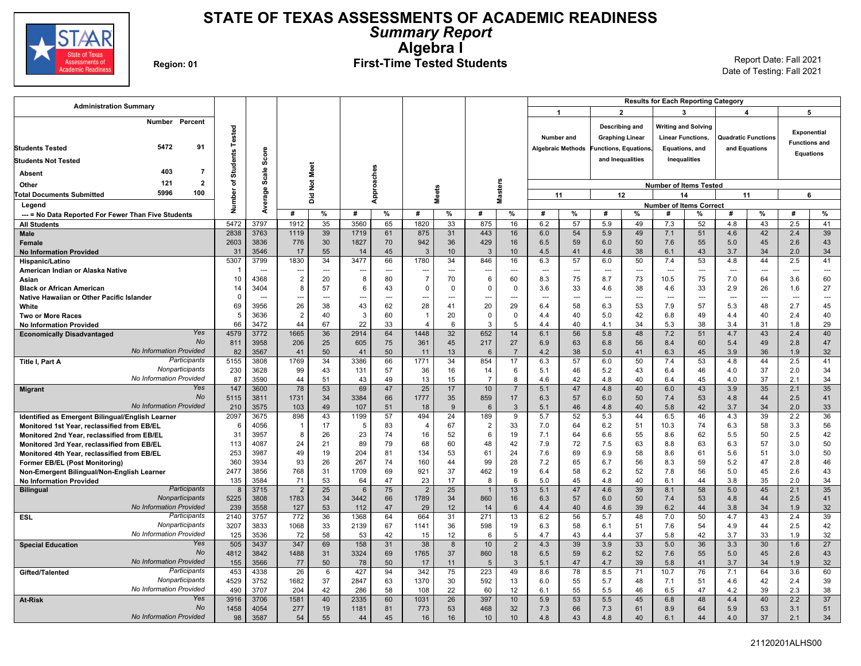

## **STATE OF TEXAS ASSESSMENTS OF ACADEMIC READINESS** *Summary Report* **Algebra I**

# Region: 01 **First-Time Tested Students** Report Date: Fall 2021

| <b>Administration Summary</b>                                      |                 |                                  |                       |                      |                               |                      |                                  |              |                        |                  |                          |                          |                                 |                        | <b>Results for Each Reporting Category</b> |                            |                |                            |                      |                      |
|--------------------------------------------------------------------|-----------------|----------------------------------|-----------------------|----------------------|-------------------------------|----------------------|----------------------------------|--------------|------------------------|------------------|--------------------------|--------------------------|---------------------------------|------------------------|--------------------------------------------|----------------------------|----------------|----------------------------|----------------------|----------------------|
|                                                                    |                 |                                  |                       |                      |                               |                      |                                  |              |                        |                  | -1                       |                          | $\overline{2}$                  |                        |                                            | 3                          |                | 4                          | 5                    |                      |
| Number Percent                                                     |                 |                                  |                       |                      |                               |                      |                                  |              |                        |                  |                          |                          | Describing and                  |                        |                                            | <b>Writing and Solving</b> |                |                            |                      |                      |
|                                                                    | Tested          |                                  |                       |                      |                               |                      |                                  |              |                        |                  |                          | Number and               |                                 | <b>Graphing Linear</b> |                                            | <b>Linear Functions.</b>   |                | <b>Quadratic Functions</b> | <b>Exponential</b>   |                      |
| 5472<br>91<br><b>Students Tested</b>                               |                 |                                  |                       |                      |                               |                      |                                  |              |                        |                  |                          | <b>Algebraic Methods</b> |                                 | unctions, Equations,   |                                            | Equations, and             |                | and Equations              | <b>Functions and</b> |                      |
|                                                                    | <b>Students</b> | Score                            |                       |                      |                               |                      |                                  |              |                        |                  |                          |                          | and Inequalities                |                        |                                            | Inequalities               |                |                            | <b>Equations</b>     |                      |
| <b>Students Not Tested</b>                                         |                 |                                  |                       |                      |                               |                      |                                  |              |                        |                  |                          |                          |                                 |                        |                                            |                            |                |                            |                      |                      |
| 403<br>-7<br><b>Absent</b>                                         |                 | Scale                            |                       | Not Meet             |                               |                      |                                  |              |                        |                  |                          |                          |                                 |                        |                                            |                            |                |                            |                      |                      |
| $\mathbf{2}$<br>121<br>Other                                       | ৳               |                                  |                       |                      |                               |                      |                                  |              |                        |                  |                          |                          |                                 |                        | <b>Number of Items Tested</b>              |                            |                |                            |                      |                      |
| 5996<br>100<br><b>Total Documents Submitted</b>                    | Number          | Average                          |                       | ă                    |                               | Approaches           |                                  | <b>Meets</b> |                        | Masters          |                          | 11                       |                                 | 12                     |                                            | 14                         |                | 11                         | 6                    |                      |
| Legend                                                             |                 |                                  |                       |                      |                               |                      |                                  |              |                        |                  |                          |                          |                                 |                        | <b>Number of Items Correct</b>             |                            |                |                            |                      |                      |
| --- = No Data Reported For Fewer Than Five Students                |                 |                                  | #                     | %                    | #                             | %                    | #                                | %            | #                      | %                | #                        | %                        | #                               | %                      | #                                          | %                          | #              | %                          | #                    | %                    |
| <b>All Students</b>                                                | 5472            | 3797                             | 1912                  | 35                   | 3560                          | 65                   | 1820                             | 33           | 875                    | 16               | 6.2                      | 57                       | 5.9                             | 49                     | 7.3                                        | 52                         | 4.8            | 43                         | 2.5                  | 41                   |
| <b>Male</b>                                                        | 2838            | 3763                             | 1119                  | 39                   | 1719                          | 61                   | 875                              | 31           | 443                    | 16               | 6.0                      | 54                       | 5.9                             | 49                     | 7.1                                        | 51                         | 4.6            | 42                         | 2.4                  | 39                   |
| Female                                                             | 2603            | 3836                             | 776                   | 30                   | 1827                          | 70                   | 942                              | 36           | 429                    | 16               | 6.5                      | 59                       | 6.0                             | 50                     | 7.6                                        | 55                         | 5.0            | 45                         | 2.6                  | 43                   |
| <b>No Information Provided</b>                                     | 31              | 3546                             | 17                    | 55                   | 14                            | 45                   | 3                                | 10           | 3                      | 10 <sup>10</sup> | 4.5                      | 41                       | 4.6                             | 38                     | 6.1                                        | 43                         | 3.7            | 34                         | 2.0                  | 34                   |
| Hispanic/Latino                                                    | 5307            | 3799                             | 1830                  | 34                   | 3477                          | 66                   | 1780                             | 34           | 846                    | 16               | 6.3                      | 57                       | 6.0                             | 50                     | 7.4                                        | 53                         | 4.8            | 44                         | 2.5                  | 41                   |
| American Indian or Alaska Native<br>Asian                          | 10              | $\overline{\phantom{a}}$<br>4368 | ---<br>$\overline{2}$ | $\overline{a}$<br>20 | $\overline{\phantom{a}}$<br>8 | $\overline{a}$<br>80 | $\overline{a}$<br>$\overline{7}$ | $\sim$<br>70 | ---<br>$6\phantom{1}6$ | $\sim$<br>60     | $\sim$<br>8.3            | $\overline{a}$<br>75     | $\overline{\phantom{a}}$<br>8.7 | $\sim$<br>73           | $\overline{a}$<br>10.5                     | $\sim$<br>75               | $\sim$<br>7.0  | $\overline{a}$<br>64       | $\sim$ $\sim$<br>3.6 | $\overline{a}$<br>60 |
| <b>Black or African American</b>                                   | 14              | 3404                             | 8                     | 57                   | 6                             | 43                   | 0                                | $\Omega$     | 0                      | 0                | 3.6                      | 33                       | 4.6                             | 38                     | 4.6                                        | 33                         | 2.9            | 26                         | 1.6                  | 27                   |
| Native Hawaiian or Other Pacific Islander                          | $\Omega$        | ---                              | ---                   | ---                  |                               | ---                  |                                  |              | ---                    |                  | $\overline{\phantom{a}}$ | -−-                      |                                 |                        | ---                                        | ---                        | $\overline{a}$ | ---                        | ---                  | ---                  |
| White                                                              | 69              | 3956                             | 26                    | 38                   | 43                            | 62                   | 28                               | 41           | 20                     | 29               | 6.4                      | 58                       | 6.3                             | 53                     | 7.9                                        | 57                         | 5.3            | 48                         | 2.7                  | 45                   |
| <b>Two or More Races</b>                                           | 5               | 3636                             | $\overline{2}$        | 40                   | 3                             | 60                   | $\overline{1}$                   | 20           | $\mathbf 0$            | $\Omega$         | 4.4                      | 40                       | 5.0                             | 42                     | 6.8                                        | 49                         | 4.4            | 40                         | 2.4                  | 40                   |
| <b>No Information Provided</b>                                     | 66              | 3472                             | 44                    | 67                   | 22                            | 33                   | $\overline{4}$                   | 6            | 3                      | 5                | 4.4                      | 40                       | 4.1                             | 34                     | 5.3                                        | 38                         | 3.4            | 31                         | 1.8                  | 29                   |
| Yes<br><b>Economically Disadvantaged</b>                           | 4579            | 3772                             | 1665                  | 36                   | 2914                          | 64                   | 1448                             | 32           | 652                    | 14               | 6.1                      | 56                       | 5.8                             | 48                     | 7.2                                        | 51                         | 4.7            | 43                         | 2.4                  | 40                   |
| No                                                                 | 811             | 3958                             | 206                   | 25                   | 605                           | 75                   | 361                              | 45           | 217                    | 27               | 6.9                      | 63                       | 6.8                             | 56                     | 8.4                                        | 60                         | 5.4            | 49                         | 2.8                  | 47                   |
| <b>No Information Provided</b>                                     | 82              | 3567                             | 41                    | 50                   | 41                            | 50                   | 11                               | 13           | 6                      | $\overline{7}$   | 4.2                      | 38                       | 5.0                             | 41                     | 6.3                                        | 45                         | 3.9            | 36                         | 1.9                  | 32                   |
| Participants<br>Title I, Part A<br>Nonparticipants                 | 5155            | 3808                             | 1769                  | 34                   | 3386                          | 66                   | 1771                             | 34           | 854                    | 17               | 6.3                      | 57                       | 6.0                             | 50                     | 7.4                                        | 53                         | 4.8            | 44                         | 2.5                  | 41                   |
| No Information Provided                                            | 230<br>87       | 3628<br>3590                     | 99<br>44              | 43<br>51             | 131<br>43                     | 57<br>49             | 36<br>13                         | 16<br>15     | 14<br>$\overline{7}$   | 6<br>8           | 5.1<br>4.6               | 46<br>42                 | 5.2<br>4.8                      | 43<br>40               | 6.4<br>6.4                                 | 46<br>45                   | 4.0<br>4.0     | 37<br>37                   | 2.0<br>2.1           | 34<br>34             |
| Yes<br><b>Migrant</b>                                              | 147             | 3600                             | 78                    | 53                   | 69                            | 47                   | 25                               | 17           | 10                     | $\overline{7}$   | 5.1                      | 47                       | 4.8                             | 40                     | 6.0                                        | 43                         | 3.9            | 35                         | 2.1                  | 35                   |
| <b>No</b>                                                          | 5115            | 3811                             | 1731                  | 34                   | 3384                          | 66                   | 1777                             | 35           | 859                    | 17               | 6.3                      | 57                       | 6.0                             | 50                     | 7.4                                        | 53                         | 4.8            | 44                         | 2.5                  | 41                   |
| <b>No Information Provided</b>                                     | 210             | 3575                             | 103                   | 49                   | 107                           | 51                   | 18                               | 9            | 6                      | 3                | 5.1                      | 46                       | 4.8                             | 40                     | 5.8                                        | 42                         | 3.7            | 34                         | 2.0                  | 33                   |
| Identified as Emergent Bilingual/English Learner                   | 2097            | 3675                             | 898                   | 43                   | 1199                          | 57                   | 494                              | 24           | 189                    | 9                | 5.7                      | 52                       | 5.3                             | 44                     | 6.5                                        | 46                         | 4.3            | 39                         | 2.2                  | 36                   |
| Monitored 1st Year, reclassified from EB/EL                        | 6               | 4056                             | $\overline{1}$        | 17                   | 5                             | 83                   | $\overline{4}$                   | 67           | $\overline{2}$         | 33               | 7.0                      | 64                       | 6.2                             | 51                     | 10.3                                       | 74                         | 6.3            | 58                         | 3.3                  | 56                   |
| Monitored 2nd Year, reclassified from EB/EL                        | 31              | 3957                             | 8                     | 26                   | 23                            | 74                   | 16                               | 52           | 6                      | 19               | 7.1                      | 64                       | 6.6                             | 55                     | 8.6                                        | 62                         | 5.5            | 50                         | 2.5                  | 42                   |
| Monitored 3rd Year, reclassified from EB/EL                        | 113             | 4087                             | 24                    | 21                   | 89                            | 79                   | 68                               | 60           | 48                     | 42               | 7.9                      | 72                       | 7.5                             | 63                     | 8.8                                        | 63                         | 6.3            | 57                         | 3.0                  | 50                   |
| Monitored 4th Year, reclassified from EB/EL                        | 253             | 3987                             | 49                    | 19                   | 204                           | 81                   | 134                              | 53           | 61                     | 24               | 7.6                      | 69                       | 6.9                             | 58                     | 8.6                                        | 61                         | 5.6            | 51                         | 3.0                  | 50                   |
| Former EB/EL (Post Monitoring)                                     | 360             | 3934                             | 93                    | 26                   | 267                           | 74                   | 160                              | 44           | 99                     | 28               | 7.2                      | 65                       | 6.7                             | 56                     | 8.3                                        | 59                         | 5.2            | 47                         | 2.8                  | 46                   |
| Non-Emergent Bilingual/Non-English Learner                         | 2477<br>135     | 3856<br>3584                     | 768<br>71             | 31<br>53             | 1709<br>64                    | 69<br>47             | 921<br>23                        | 37<br>17     | 462<br>8               | 19<br>6          | 6.4<br>5.0               | 58<br>45                 | 6.2<br>4.8                      | 52<br>40               | 7.8<br>6.1                                 | 56<br>44                   | 5.0<br>3.8     | 45<br>35                   | 2.6<br>2.0           | 43<br>34             |
| <b>No Information Provided</b><br>Participants<br><b>Bilingual</b> | 8               | 3715                             | $\overline{2}$        | 25                   | 6                             | 75                   | $\overline{2}$                   | 25           | $\overline{1}$         | 13               | 5.1                      | 47                       | 4.6                             | 39                     | 8.1                                        | 58                         | 5.0            | 45                         | 2.1                  | 35                   |
| Nonparticipants                                                    | 5225            | 3808                             | 1783                  | 34                   | 3442                          | 66                   | 1789                             | 34           | 860                    | 16               | 6.3                      | 57                       | 6.0                             | 50                     | 7.4                                        | 53                         | 4.8            | 44                         | 2.5                  | 41                   |
| No Information Provided                                            | 239             | 3558                             | 127                   | 53                   | 112                           | 47                   | 29                               | 12           | 14                     | 6                | 4.4                      | 40                       | 4.6                             | 39                     | 6.2                                        | 44                         | 3.8            | 34                         | 1.9                  | 32                   |
| Participants<br><b>ESL</b>                                         | 2140            | 3757                             | 772                   | 36                   | 1368                          | 64                   | 664                              | 31           | 271                    | 13               | 6.2                      | 56                       | 5.7                             | 48                     | 7.0                                        | 50                         | 4.7            | 43                         | 2.4                  | 39                   |
| Nonparticipants                                                    | 3207            | 3833                             | 1068                  | 33                   | 2139                          | 67                   | 1141                             | 36           | 598                    | 19               | 6.3                      | 58                       | 6.1                             | 51                     | 7.6                                        | 54                         | 4.9            | 44                         | 2.5                  | 42                   |
| <b>No Information Provided</b>                                     | 125             | 3536                             | 72                    | 58                   | 53                            | 42                   | 15                               | 12           | - 6                    | 5                | 4.7                      | 43                       | 4.4                             | 37                     | 5.8                                        | 42                         | 3.7            | 33                         | 1.9                  | 32                   |
| Yes<br><b>Special Education</b>                                    | 505             | 3437                             | 347                   | 69                   | 158                           | 31                   | $\overline{38}$                  | 8            | 10                     | $\overline{2}$   | 4.3                      | 39                       | 3.9                             | 33                     | 5.0                                        | 36                         | 3.3            | 30                         | 1.6                  | 27                   |
| No                                                                 | 4812            | 3842                             | 1488                  | 31                   | 3324                          | 69                   | 1765                             | 37           | 860                    | 18               | 6.5                      | 59                       | 6.2                             | 52                     | 7.6                                        | 55                         | 5.0            | 45                         | 2.6                  | 43                   |
| <b>No Information Provided</b><br>Participants                     | 155             | 3566                             | 77                    | 50                   | 78                            | 50                   | 17<br>342                        | 11           | 5                      | $\mathbf{3}$     | 5.1                      | 47<br>78                 | 4.7                             | 39                     | 5.8                                        | 41                         | 3.7            | 34                         | 1.9<br>3.6           | 32                   |
| Gifted/Talented<br>Nonparticipants                                 | 453<br>4529     | 4338<br>3752                     | 26<br>1682            | 6<br>37              | 427<br>2847                   | 94<br>63             | 1370                             | 75<br>30     | 223<br>592             | 49<br>13         | 8.6<br>6.0               | 55                       | 8.5<br>5.7                      | 71<br>48               | 10.7<br>7.1                                | 76<br>51                   | 7.1<br>4.6     | 64<br>42                   | 2.4                  | 60<br>39             |
| No Information Provided                                            | 490             | 3707                             | 204                   | 42                   | 286                           | 58                   | 108                              | 22           | 60                     | 12               | 6.1                      | 55                       | 5.5                             | 46                     | 6.5                                        | 47                         | 4.2            | 39                         | 2.3                  | 38                   |
| Yes<br><b>At-Risk</b>                                              | 3916            | 3706                             | 1581                  | 40                   | 2335                          | 60                   | 1031                             | 26           | 397                    | 10               | 5.9                      | 53                       | 5.5                             | 45                     | 6.8                                        | 48                         | 4.4            | 40                         | 2.2                  | $\overline{37}$      |
| No                                                                 | 1458            | 4054                             | 277                   | 19                   | 1181                          | 81                   | 773                              | 53           | 468                    | 32               | 7.3                      | 66                       | 7.3                             | 61                     | 8.9                                        | 64                         | 5.9            | 53                         | 3.1                  | 51                   |
| <b>No Information Provided</b>                                     | 98              | 3587                             | 54                    | 55                   | 44                            | 45                   | 16                               | 16           | 10                     | 10               | 4.8                      | 43                       | 4.8                             | 40                     | 6.1                                        | 44                         | 4.0            | 37                         | 2.1                  | 34                   |
|                                                                    |                 |                                  |                       |                      |                               |                      |                                  |              |                        |                  |                          |                          |                                 |                        |                                            |                            |                |                            |                      |                      |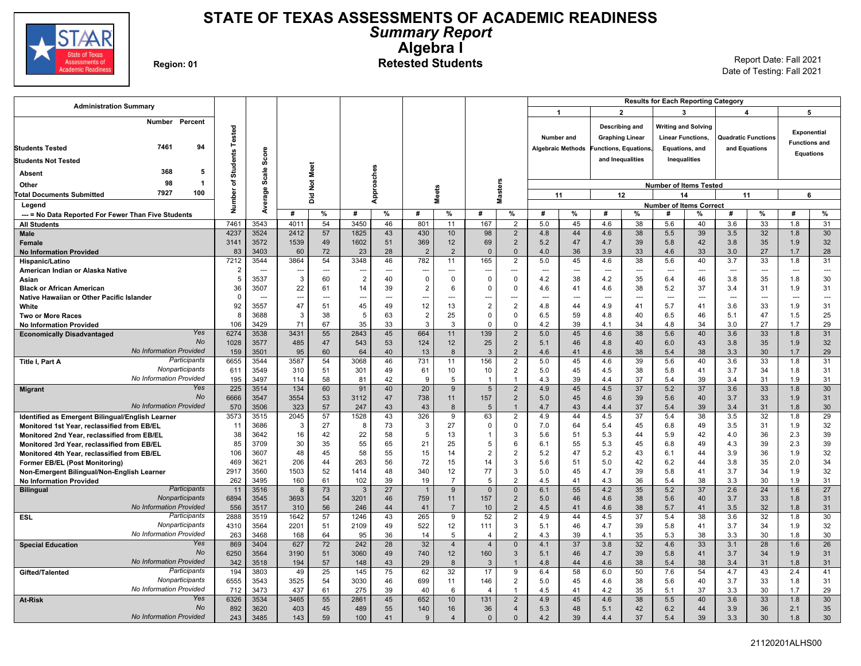

### **STATE OF TEXAS ASSESSMENTS OF ACADEMIC READINESS** *Summary Report* **Algebra I** Region: 01<br>**Region: 01 Retested Students** Report Date: Fall 2021

| <b>Administration Summary</b><br>$\overline{2}$<br>3<br>5<br>$\mathbf 1$<br>4<br>Number<br>Percent<br>Describing and<br><b>Writing and Solving</b><br><b>Students Tested</b><br><b>Exponential</b><br>Number and<br><b>Graphing Linear</b><br><b>Linear Functions,</b><br><b>Quadratic Functions</b><br><b>Functions and</b><br>94<br>7461<br><b>Students Tested</b><br><b>Algebraic Methods</b><br><b>Functions, Equations,</b><br>Equations, and<br>and Equations<br>Score<br><b>Equations</b><br>and Inequalities<br>Inequalities<br><b>Students Not Tested</b><br>Not Meet<br>Approaches<br>Scale<br>368<br>5<br>Absent<br><b>Masters</b><br>৳<br>98<br>-1<br>Other<br><b>Number of Items Tested</b><br><b>Meets</b><br>န္တ<br>Number<br>7927<br>100<br><b>Total Documents Submitted</b><br>$\overline{O}$<br>11<br>12<br>14<br>11<br>6<br>Avera<br>δ<br>Legend<br><b>Number of Items Correct</b><br>%<br>$\%$<br>$\frac{9}{6}$<br>%<br>#<br>#<br>#<br>%<br>#<br>%<br>%<br>#<br>#<br>%<br>#<br>#<br>#<br>--- = No Data Reported For Fewer Than Five Students<br>7461<br>3543<br>4011<br>54<br>3450<br>46<br>801<br>167<br>$\overline{2}$<br>5.0<br>45<br>4.6<br>38<br>5.6<br>40<br>3.6<br>33<br>1.8<br>11<br><b>All Students</b><br>4237<br>3524<br>2412<br>57<br>43<br>430<br>98<br>44<br>38<br>39<br>32<br>1.8<br>1825<br>10<br>$\overline{2}$<br>4.8<br>4.6<br>5.5<br>3.5<br>Male<br>3572<br>1539<br>51<br>369<br>69<br>$\overline{2}$<br>47<br>39<br>42<br>35<br>3141<br>49<br>1602<br>12<br>5.2<br>4.7<br>5.8<br>3.8<br>1.9<br><b>Female</b><br>3403<br>72<br>28<br>$\overline{2}$<br>$\overline{2}$<br>36<br>33<br>33<br>27<br>83<br>60<br>23<br>$\Omega$<br>$\mathbf 0$<br>4.0<br>3.9<br>4.6<br>3.0<br>1.7<br><b>No Information Provided</b><br>7212<br>3544<br>3864<br>54<br>46<br>782<br>165<br>45<br>4.6<br>38<br>33<br>3348<br>11<br>$\overline{2}$<br>5.0<br>5.6<br>40<br>3.7<br>1.8<br>Hispanic/Latino<br>$\overline{2}$<br>American Indian or Alaska Native<br>---<br>---<br>---<br>$\sim$<br>---<br>---<br>---<br>---<br>---<br>---<br>---<br>---<br>---<br>-−-<br>$\sim$<br>5<br>3537<br>3<br>60<br>$\overline{2}$<br>40<br>$\overline{0}$<br>$\Omega$<br>38<br>4.2<br>46<br>35<br>1.8<br>$\Omega$<br>$\mathbf 0$<br>4.2<br>35<br>6.4<br>3.8<br>Asian<br>36<br>3507<br>22<br>$\overline{2}$<br>37<br>61<br>14<br>39<br>6<br>$\Omega$<br>4.6<br>41<br>4.6<br>38<br>31<br>0<br>5.2<br>3.4<br>1.9<br><b>Black or African American</b> |                          |
|--------------------------------------------------------------------------------------------------------------------------------------------------------------------------------------------------------------------------------------------------------------------------------------------------------------------------------------------------------------------------------------------------------------------------------------------------------------------------------------------------------------------------------------------------------------------------------------------------------------------------------------------------------------------------------------------------------------------------------------------------------------------------------------------------------------------------------------------------------------------------------------------------------------------------------------------------------------------------------------------------------------------------------------------------------------------------------------------------------------------------------------------------------------------------------------------------------------------------------------------------------------------------------------------------------------------------------------------------------------------------------------------------------------------------------------------------------------------------------------------------------------------------------------------------------------------------------------------------------------------------------------------------------------------------------------------------------------------------------------------------------------------------------------------------------------------------------------------------------------------------------------------------------------------------------------------------------------------------------------------------------------------------------------------------------------------------------------------------------------------------------------------------------------------------------------------------------------------------------------------------------------------------------------------------------------------------------------------------------------------------------------------------------------------------------------------------------|--------------------------|
|                                                                                                                                                                                                                                                                                                                                                                                                                                                                                                                                                                                                                                                                                                                                                                                                                                                                                                                                                                                                                                                                                                                                                                                                                                                                                                                                                                                                                                                                                                                                                                                                                                                                                                                                                                                                                                                                                                                                                                                                                                                                                                                                                                                                                                                                                                                                                                                                                                                        |                          |
|                                                                                                                                                                                                                                                                                                                                                                                                                                                                                                                                                                                                                                                                                                                                                                                                                                                                                                                                                                                                                                                                                                                                                                                                                                                                                                                                                                                                                                                                                                                                                                                                                                                                                                                                                                                                                                                                                                                                                                                                                                                                                                                                                                                                                                                                                                                                                                                                                                                        |                          |
|                                                                                                                                                                                                                                                                                                                                                                                                                                                                                                                                                                                                                                                                                                                                                                                                                                                                                                                                                                                                                                                                                                                                                                                                                                                                                                                                                                                                                                                                                                                                                                                                                                                                                                                                                                                                                                                                                                                                                                                                                                                                                                                                                                                                                                                                                                                                                                                                                                                        |                          |
|                                                                                                                                                                                                                                                                                                                                                                                                                                                                                                                                                                                                                                                                                                                                                                                                                                                                                                                                                                                                                                                                                                                                                                                                                                                                                                                                                                                                                                                                                                                                                                                                                                                                                                                                                                                                                                                                                                                                                                                                                                                                                                                                                                                                                                                                                                                                                                                                                                                        |                          |
|                                                                                                                                                                                                                                                                                                                                                                                                                                                                                                                                                                                                                                                                                                                                                                                                                                                                                                                                                                                                                                                                                                                                                                                                                                                                                                                                                                                                                                                                                                                                                                                                                                                                                                                                                                                                                                                                                                                                                                                                                                                                                                                                                                                                                                                                                                                                                                                                                                                        |                          |
|                                                                                                                                                                                                                                                                                                                                                                                                                                                                                                                                                                                                                                                                                                                                                                                                                                                                                                                                                                                                                                                                                                                                                                                                                                                                                                                                                                                                                                                                                                                                                                                                                                                                                                                                                                                                                                                                                                                                                                                                                                                                                                                                                                                                                                                                                                                                                                                                                                                        |                          |
|                                                                                                                                                                                                                                                                                                                                                                                                                                                                                                                                                                                                                                                                                                                                                                                                                                                                                                                                                                                                                                                                                                                                                                                                                                                                                                                                                                                                                                                                                                                                                                                                                                                                                                                                                                                                                                                                                                                                                                                                                                                                                                                                                                                                                                                                                                                                                                                                                                                        |                          |
|                                                                                                                                                                                                                                                                                                                                                                                                                                                                                                                                                                                                                                                                                                                                                                                                                                                                                                                                                                                                                                                                                                                                                                                                                                                                                                                                                                                                                                                                                                                                                                                                                                                                                                                                                                                                                                                                                                                                                                                                                                                                                                                                                                                                                                                                                                                                                                                                                                                        |                          |
|                                                                                                                                                                                                                                                                                                                                                                                                                                                                                                                                                                                                                                                                                                                                                                                                                                                                                                                                                                                                                                                                                                                                                                                                                                                                                                                                                                                                                                                                                                                                                                                                                                                                                                                                                                                                                                                                                                                                                                                                                                                                                                                                                                                                                                                                                                                                                                                                                                                        |                          |
|                                                                                                                                                                                                                                                                                                                                                                                                                                                                                                                                                                                                                                                                                                                                                                                                                                                                                                                                                                                                                                                                                                                                                                                                                                                                                                                                                                                                                                                                                                                                                                                                                                                                                                                                                                                                                                                                                                                                                                                                                                                                                                                                                                                                                                                                                                                                                                                                                                                        |                          |
|                                                                                                                                                                                                                                                                                                                                                                                                                                                                                                                                                                                                                                                                                                                                                                                                                                                                                                                                                                                                                                                                                                                                                                                                                                                                                                                                                                                                                                                                                                                                                                                                                                                                                                                                                                                                                                                                                                                                                                                                                                                                                                                                                                                                                                                                                                                                                                                                                                                        | $\%$                     |
|                                                                                                                                                                                                                                                                                                                                                                                                                                                                                                                                                                                                                                                                                                                                                                                                                                                                                                                                                                                                                                                                                                                                                                                                                                                                                                                                                                                                                                                                                                                                                                                                                                                                                                                                                                                                                                                                                                                                                                                                                                                                                                                                                                                                                                                                                                                                                                                                                                                        | 31<br>30                 |
|                                                                                                                                                                                                                                                                                                                                                                                                                                                                                                                                                                                                                                                                                                                                                                                                                                                                                                                                                                                                                                                                                                                                                                                                                                                                                                                                                                                                                                                                                                                                                                                                                                                                                                                                                                                                                                                                                                                                                                                                                                                                                                                                                                                                                                                                                                                                                                                                                                                        | 32                       |
|                                                                                                                                                                                                                                                                                                                                                                                                                                                                                                                                                                                                                                                                                                                                                                                                                                                                                                                                                                                                                                                                                                                                                                                                                                                                                                                                                                                                                                                                                                                                                                                                                                                                                                                                                                                                                                                                                                                                                                                                                                                                                                                                                                                                                                                                                                                                                                                                                                                        | 28                       |
|                                                                                                                                                                                                                                                                                                                                                                                                                                                                                                                                                                                                                                                                                                                                                                                                                                                                                                                                                                                                                                                                                                                                                                                                                                                                                                                                                                                                                                                                                                                                                                                                                                                                                                                                                                                                                                                                                                                                                                                                                                                                                                                                                                                                                                                                                                                                                                                                                                                        | 31                       |
|                                                                                                                                                                                                                                                                                                                                                                                                                                                                                                                                                                                                                                                                                                                                                                                                                                                                                                                                                                                                                                                                                                                                                                                                                                                                                                                                                                                                                                                                                                                                                                                                                                                                                                                                                                                                                                                                                                                                                                                                                                                                                                                                                                                                                                                                                                                                                                                                                                                        | $\overline{\phantom{a}}$ |
|                                                                                                                                                                                                                                                                                                                                                                                                                                                                                                                                                                                                                                                                                                                                                                                                                                                                                                                                                                                                                                                                                                                                                                                                                                                                                                                                                                                                                                                                                                                                                                                                                                                                                                                                                                                                                                                                                                                                                                                                                                                                                                                                                                                                                                                                                                                                                                                                                                                        | 30                       |
|                                                                                                                                                                                                                                                                                                                                                                                                                                                                                                                                                                                                                                                                                                                                                                                                                                                                                                                                                                                                                                                                                                                                                                                                                                                                                                                                                                                                                                                                                                                                                                                                                                                                                                                                                                                                                                                                                                                                                                                                                                                                                                                                                                                                                                                                                                                                                                                                                                                        | 31                       |
| $\Omega$<br>Native Hawaiian or Other Pacific Islander<br>$\sim$<br>$\overline{\phantom{a}}$<br>$\overline{\phantom{a}}$<br>$\sim$<br>$\overline{a}$<br>-−-<br>$\overline{\phantom{a}}$<br>-−-<br>$\overline{a}$<br>$\sim$<br>$\overline{a}$<br>$\overline{a}$<br>$\overline{a}$<br>$\overline{a}$<br>$\overline{a}$<br>$-$<br>$\overline{a}$                                                                                                                                                                                                                                                                                                                                                                                                                                                                                                                                                                                                                                                                                                                                                                                                                                                                                                                                                                                                                                                                                                                                                                                                                                                                                                                                                                                                                                                                                                                                                                                                                                                                                                                                                                                                                                                                                                                                                                                                                                                                                                           | $\overline{a}$           |
| 47<br>12<br>92<br>$\overline{2}$<br>3557<br>51<br>45<br>49<br>13<br>$\overline{2}$<br>4.8<br>44<br>4.9<br>5.7<br>41<br>3.6<br>33<br>1.9<br>41<br>White                                                                                                                                                                                                                                                                                                                                                                                                                                                                                                                                                                                                                                                                                                                                                                                                                                                                                                                                                                                                                                                                                                                                                                                                                                                                                                                                                                                                                                                                                                                                                                                                                                                                                                                                                                                                                                                                                                                                                                                                                                                                                                                                                                                                                                                                                                 | 31                       |
| 8<br>3688<br>3<br>38<br>5<br>63<br>$\overline{2}$<br>25<br>$\mathbf 0$<br>0<br>6.5<br>59<br>4.8<br>40<br>6.5<br>46<br>5.1<br>47<br>1.5<br><b>Two or More Races</b><br>106<br>3429<br>71<br>67<br>35<br>33<br>3<br>3<br>$\mathbf 0$<br>39<br>34<br>34<br>3.0<br>27<br>1.7<br>$\Omega$<br>4.2<br>4.1<br>4.8<br><b>No Information Provided</b>                                                                                                                                                                                                                                                                                                                                                                                                                                                                                                                                                                                                                                                                                                                                                                                                                                                                                                                                                                                                                                                                                                                                                                                                                                                                                                                                                                                                                                                                                                                                                                                                                                                                                                                                                                                                                                                                                                                                                                                                                                                                                                            | 25<br>29                 |
| Yes<br>3538<br>3431<br>45<br>664<br>139<br>45<br>33<br>6274<br>55<br>2843<br>11<br>$\overline{2}$<br>5.0<br>4.6<br>38<br>5.6<br>40<br>3.6<br>1.8<br><b>Economically Disadvantaged</b>                                                                                                                                                                                                                                                                                                                                                                                                                                                                                                                                                                                                                                                                                                                                                                                                                                                                                                                                                                                                                                                                                                                                                                                                                                                                                                                                                                                                                                                                                                                                                                                                                                                                                                                                                                                                                                                                                                                                                                                                                                                                                                                                                                                                                                                                  | 31                       |
| <b>No</b><br>485<br>47<br>124<br>25<br>$\overline{2}$<br>1028<br>3577<br>543<br>53<br>46<br>40<br>43<br>35<br>1.9<br>12<br>5.1<br>4.8<br>6.0<br>3.8                                                                                                                                                                                                                                                                                                                                                                                                                                                                                                                                                                                                                                                                                                                                                                                                                                                                                                                                                                                                                                                                                                                                                                                                                                                                                                                                                                                                                                                                                                                                                                                                                                                                                                                                                                                                                                                                                                                                                                                                                                                                                                                                                                                                                                                                                                    | 32                       |
| <b>No Information Provided</b><br>159<br>3501<br>95<br>60<br>40<br>13<br>$\overline{2}$<br>38<br>38<br>30<br>64<br>8<br>3<br>4.6<br>41<br>4.6<br>5.4<br>3.3<br>1.7                                                                                                                                                                                                                                                                                                                                                                                                                                                                                                                                                                                                                                                                                                                                                                                                                                                                                                                                                                                                                                                                                                                                                                                                                                                                                                                                                                                                                                                                                                                                                                                                                                                                                                                                                                                                                                                                                                                                                                                                                                                                                                                                                                                                                                                                                     | 29                       |
| Participants<br>6655<br>3544<br>3587<br>54<br>3068<br>46<br>731<br>156<br>5.0<br>45<br>4.6<br>39<br>5.6<br>40<br>3.6<br>33<br>1.8<br>11<br>$\overline{2}$<br>Title I, Part A                                                                                                                                                                                                                                                                                                                                                                                                                                                                                                                                                                                                                                                                                                                                                                                                                                                                                                                                                                                                                                                                                                                                                                                                                                                                                                                                                                                                                                                                                                                                                                                                                                                                                                                                                                                                                                                                                                                                                                                                                                                                                                                                                                                                                                                                           | 31                       |
| Nonparticipants<br>3549<br>310<br>51<br>301<br>49<br>61<br>10<br>$\overline{2}$<br>45<br>4.5<br>38<br>34<br>1.8<br>611<br>10<br>5.0<br>5.8<br>41<br>3.7                                                                                                                                                                                                                                                                                                                                                                                                                                                                                                                                                                                                                                                                                                                                                                                                                                                                                                                                                                                                                                                                                                                                                                                                                                                                                                                                                                                                                                                                                                                                                                                                                                                                                                                                                                                                                                                                                                                                                                                                                                                                                                                                                                                                                                                                                                | 31                       |
| No Information Provided<br>3497<br>58<br>42<br>9<br>39<br>37<br>39<br>195<br>114<br>81<br>5<br>4.3<br>4.4<br>5.4<br>3.4<br>31<br>1.9<br>$\overline{1}$<br>$\overline{1}$                                                                                                                                                                                                                                                                                                                                                                                                                                                                                                                                                                                                                                                                                                                                                                                                                                                                                                                                                                                                                                                                                                                                                                                                                                                                                                                                                                                                                                                                                                                                                                                                                                                                                                                                                                                                                                                                                                                                                                                                                                                                                                                                                                                                                                                                               | 31                       |
| 9<br>33<br>Yes<br>225<br>3514<br>134<br>60<br>91<br>40<br>20<br>$5\overline{5}$<br>$\overline{2}$<br>4.9<br>45<br>4.5<br>37<br>5.2<br>37<br>3.6<br>1.8<br><b>Migrant</b><br>No<br>6666<br>3554<br>53<br>47<br>738<br>157<br>45<br>39<br>33<br>3547<br>3112<br>2<br>5.0<br>4.6<br>5.6<br>40<br>3.7<br>1.9<br>11                                                                                                                                                                                                                                                                                                                                                                                                                                                                                                                                                                                                                                                                                                                                                                                                                                                                                                                                                                                                                                                                                                                                                                                                                                                                                                                                                                                                                                                                                                                                                                                                                                                                                                                                                                                                                                                                                                                                                                                                                                                                                                                                         | 30<br>31                 |
| 57<br>No Information Provided<br>570<br>3506<br>323<br>43<br>39<br>247<br>43<br>8<br>$\sqrt{5}$<br>4.7<br>43<br>4.4<br>37<br>5.4<br>3.4<br>31<br>1.8<br>$\mathbf{1}$                                                                                                                                                                                                                                                                                                                                                                                                                                                                                                                                                                                                                                                                                                                                                                                                                                                                                                                                                                                                                                                                                                                                                                                                                                                                                                                                                                                                                                                                                                                                                                                                                                                                                                                                                                                                                                                                                                                                                                                                                                                                                                                                                                                                                                                                                   | 30                       |
| 3573<br>2045<br>57<br>43<br>326<br>9<br>63<br>$\overline{2}$<br>44<br>4.5<br>37<br>38<br>32<br>Identified as Emergent Bilingual/English Learner<br>3515<br>1528<br>4.9<br>5.4<br>3.5<br>1.8                                                                                                                                                                                                                                                                                                                                                                                                                                                                                                                                                                                                                                                                                                                                                                                                                                                                                                                                                                                                                                                                                                                                                                                                                                                                                                                                                                                                                                                                                                                                                                                                                                                                                                                                                                                                                                                                                                                                                                                                                                                                                                                                                                                                                                                            | 29                       |
| 3686<br>3<br>27<br>73<br>3<br>27<br>$\mathbf 0$<br>7.0<br>64<br>45<br>6.8<br>49<br>3.5<br>31<br>1.9<br>11<br>8<br>0<br>5.4<br>Monitored 1st Year, reclassified from EB/EL                                                                                                                                                                                                                                                                                                                                                                                                                                                                                                                                                                                                                                                                                                                                                                                                                                                                                                                                                                                                                                                                                                                                                                                                                                                                                                                                                                                                                                                                                                                                                                                                                                                                                                                                                                                                                                                                                                                                                                                                                                                                                                                                                                                                                                                                              | 32                       |
| 22<br>5<br>51<br>42<br>36<br>38<br>3642<br>16<br>42<br>58<br>13<br>3<br>5.3<br>5.9<br>2.3<br>5.6<br>44<br>4.0<br>Monitored 2nd Year, reclassified from EB/EL                                                                                                                                                                                                                                                                                                                                                                                                                                                                                                                                                                                                                                                                                                                                                                                                                                                                                                                                                                                                                                                                                                                                                                                                                                                                                                                                                                                                                                                                                                                                                                                                                                                                                                                                                                                                                                                                                                                                                                                                                                                                                                                                                                                                                                                                                           | 39                       |
| 3709<br>30<br>35<br>55<br>65<br>21<br>25<br>55<br>45<br>49<br>39<br>85<br>5<br>6<br>6.1<br>5.3<br>6.8<br>4.3<br>2.3<br>Monitored 3rd Year, reclassified from EB/EL                                                                                                                                                                                                                                                                                                                                                                                                                                                                                                                                                                                                                                                                                                                                                                                                                                                                                                                                                                                                                                                                                                                                                                                                                                                                                                                                                                                                                                                                                                                                                                                                                                                                                                                                                                                                                                                                                                                                                                                                                                                                                                                                                                                                                                                                                     | 39                       |
| 48<br>55<br>47<br>36<br>106<br>3607<br>45<br>58<br>15<br>14<br>$\mathfrak{D}$<br>$\overline{2}$<br>5.2<br>5.2<br>43<br>44<br>3.9<br>1.9<br>6.1<br>Monitored 4th Year, reclassified from EB/EL                                                                                                                                                                                                                                                                                                                                                                                                                                                                                                                                                                                                                                                                                                                                                                                                                                                                                                                                                                                                                                                                                                                                                                                                                                                                                                                                                                                                                                                                                                                                                                                                                                                                                                                                                                                                                                                                                                                                                                                                                                                                                                                                                                                                                                                          | 32                       |
| 72<br>469<br>3621<br>206<br>44<br>263<br>56<br>15<br>14<br>3<br>5.6<br>51<br>5.0<br>42<br>6.2<br>44<br>3.8<br>35<br>2.0<br>Former EB/EL (Post Monitoring)                                                                                                                                                                                                                                                                                                                                                                                                                                                                                                                                                                                                                                                                                                                                                                                                                                                                                                                                                                                                                                                                                                                                                                                                                                                                                                                                                                                                                                                                                                                                                                                                                                                                                                                                                                                                                                                                                                                                                                                                                                                                                                                                                                                                                                                                                              | 34                       |
| 52<br>77<br>2917<br>3560<br>1503<br>1414<br>48<br>340<br>12<br>3<br>5.0<br>45<br>4.7<br>39<br>5.8<br>41<br>3.7<br>34<br>1.9<br>Non-Emergent Bilingual/Non-English Learner<br>262<br>3495<br>160<br>61<br>102<br>39<br>19<br>$\overline{2}$<br>41<br>4.3<br>38<br>30<br>1.9<br>$\overline{7}$<br>5<br>4.5<br>36<br>5.4<br>3.3                                                                                                                                                                                                                                                                                                                                                                                                                                                                                                                                                                                                                                                                                                                                                                                                                                                                                                                                                                                                                                                                                                                                                                                                                                                                                                                                                                                                                                                                                                                                                                                                                                                                                                                                                                                                                                                                                                                                                                                                                                                                                                                           | 32<br>31                 |
| <b>No Information Provided</b><br>Participants<br>27<br>55<br>11<br>3516<br>73<br>9<br>4.2<br>35<br>5.2<br>37<br>2.6<br>24<br>1.6<br>8<br>3<br>$\mathbf{0}$<br>6.1<br><b>Bilingual</b><br>$\overline{1}$<br>$\Omega$                                                                                                                                                                                                                                                                                                                                                                                                                                                                                                                                                                                                                                                                                                                                                                                                                                                                                                                                                                                                                                                                                                                                                                                                                                                                                                                                                                                                                                                                                                                                                                                                                                                                                                                                                                                                                                                                                                                                                                                                                                                                                                                                                                                                                                   | 27                       |
| Nonparticipants<br>6894<br>3545<br>3693<br>54<br>46<br>759<br>157<br>$\overline{2}$<br>46<br>38<br>5.6<br>40<br>33<br>3201<br>11<br>5.0<br>4.6<br>3.7<br>1.8                                                                                                                                                                                                                                                                                                                                                                                                                                                                                                                                                                                                                                                                                                                                                                                                                                                                                                                                                                                                                                                                                                                                                                                                                                                                                                                                                                                                                                                                                                                                                                                                                                                                                                                                                                                                                                                                                                                                                                                                                                                                                                                                                                                                                                                                                           | 31                       |
| <b>No Information Provided</b><br>556<br>3517<br>56<br>10<br>$\overline{2}$<br>38<br>5.7<br>32<br>310<br>246<br>44<br>41<br>$\overline{7}$<br>4.5<br>41<br>4.6<br>41<br>3.5<br>1.8                                                                                                                                                                                                                                                                                                                                                                                                                                                                                                                                                                                                                                                                                                                                                                                                                                                                                                                                                                                                                                                                                                                                                                                                                                                                                                                                                                                                                                                                                                                                                                                                                                                                                                                                                                                                                                                                                                                                                                                                                                                                                                                                                                                                                                                                     | 31                       |
| Participants<br>52<br>2888<br>3519<br>1642<br>57<br>43<br>265<br>9<br>44<br>37<br>38<br>32<br><b>ESL</b><br>1246<br>2<br>4.9<br>4.5<br>5.4<br>3.6<br>1.8                                                                                                                                                                                                                                                                                                                                                                                                                                                                                                                                                                                                                                                                                                                                                                                                                                                                                                                                                                                                                                                                                                                                                                                                                                                                                                                                                                                                                                                                                                                                                                                                                                                                                                                                                                                                                                                                                                                                                                                                                                                                                                                                                                                                                                                                                               | 30                       |
| Nonparticipants<br>3564<br>2201<br>51<br>2109<br>49<br>522<br>12<br>111<br>3<br>46<br>4.7<br>39<br>5.8<br>41<br>3.7<br>34<br>1.9<br>4310<br>5.1                                                                                                                                                                                                                                                                                                                                                                                                                                                                                                                                                                                                                                                                                                                                                                                                                                                                                                                                                                                                                                                                                                                                                                                                                                                                                                                                                                                                                                                                                                                                                                                                                                                                                                                                                                                                                                                                                                                                                                                                                                                                                                                                                                                                                                                                                                        | 32                       |
| No Information Provided<br>263<br>168<br>64<br>36<br>14<br>5<br>$\overline{2}$<br>39<br>35<br>38<br>30<br>3468<br>95<br>4.3<br>5.3<br>3.3<br>1.8<br>$\overline{4}$<br>4.1                                                                                                                                                                                                                                                                                                                                                                                                                                                                                                                                                                                                                                                                                                                                                                                                                                                                                                                                                                                                                                                                                                                                                                                                                                                                                                                                                                                                                                                                                                                                                                                                                                                                                                                                                                                                                                                                                                                                                                                                                                                                                                                                                                                                                                                                              | 30                       |
| 3404<br>627<br>72<br>28<br>32<br>37<br>3.8<br>32<br>33<br>28<br>Yes<br>869<br>242<br>$\overline{4}$<br>$\overline{4}$<br>$\mathbf{0}$<br>4.1<br>4.6<br>3.1<br>1.6<br><b>Special Education</b><br>No                                                                                                                                                                                                                                                                                                                                                                                                                                                                                                                                                                                                                                                                                                                                                                                                                                                                                                                                                                                                                                                                                                                                                                                                                                                                                                                                                                                                                                                                                                                                                                                                                                                                                                                                                                                                                                                                                                                                                                                                                                                                                                                                                                                                                                                    | 26                       |
| 3190<br>49<br>740<br>12<br>46<br>39<br>34<br>6250<br>3564<br>51<br>3060<br>160<br>3<br>5.1<br>4.7<br>5.8<br>41<br>3.7<br>1.9<br><b>No Information Provided</b><br>57<br>38<br>342<br>3518<br>194<br>148<br>43<br>29<br>8<br>44<br>4.6<br>38<br>5.4<br>3.4<br>31<br>1.8<br>3<br>$\overline{1}$<br>4.8                                                                                                                                                                                                                                                                                                                                                                                                                                                                                                                                                                                                                                                                                                                                                                                                                                                                                                                                                                                                                                                                                                                                                                                                                                                                                                                                                                                                                                                                                                                                                                                                                                                                                                                                                                                                                                                                                                                                                                                                                                                                                                                                                   | 31<br>31                 |
| Participants<br>194<br>49<br>25<br>75<br>62<br>32<br>17<br>58<br>50<br>43<br>2.4<br>3803<br>145<br>9<br>6.4<br>6.0<br>7.6<br>54<br>4.7<br>Gifted/Talented                                                                                                                                                                                                                                                                                                                                                                                                                                                                                                                                                                                                                                                                                                                                                                                                                                                                                                                                                                                                                                                                                                                                                                                                                                                                                                                                                                                                                                                                                                                                                                                                                                                                                                                                                                                                                                                                                                                                                                                                                                                                                                                                                                                                                                                                                              | 41                       |
| Nonparticipants<br>6555<br>3543<br>3525<br>54<br>3030<br>46<br>699<br>146<br>$\overline{2}$<br>5.0<br>45<br>4.6<br>38<br>40<br>3.7<br>33<br>1.8<br>11<br>5.6                                                                                                                                                                                                                                                                                                                                                                                                                                                                                                                                                                                                                                                                                                                                                                                                                                                                                                                                                                                                                                                                                                                                                                                                                                                                                                                                                                                                                                                                                                                                                                                                                                                                                                                                                                                                                                                                                                                                                                                                                                                                                                                                                                                                                                                                                           | 31                       |
| No Information Provided<br>39<br>30<br>712<br>3473<br>437<br>61<br>275<br>40<br>41<br>4.2<br>35<br>37<br>1.7<br>6<br>4.5<br>5.1<br>3.3<br>$\overline{4}$<br>1                                                                                                                                                                                                                                                                                                                                                                                                                                                                                                                                                                                                                                                                                                                                                                                                                                                                                                                                                                                                                                                                                                                                                                                                                                                                                                                                                                                                                                                                                                                                                                                                                                                                                                                                                                                                                                                                                                                                                                                                                                                                                                                                                                                                                                                                                          | 29                       |
| 33<br>Yes<br>6326<br>3534<br>3465<br>55<br>2861<br>45<br>652<br>10<br>131<br>4.9<br>45<br>4.6<br>38<br>5.5<br>40<br>3.6<br>1.8<br>$\overline{2}$<br><b>At-Risk</b>                                                                                                                                                                                                                                                                                                                                                                                                                                                                                                                                                                                                                                                                                                                                                                                                                                                                                                                                                                                                                                                                                                                                                                                                                                                                                                                                                                                                                                                                                                                                                                                                                                                                                                                                                                                                                                                                                                                                                                                                                                                                                                                                                                                                                                                                                     | 30                       |
| <b>No</b><br>892<br>3620<br>403<br>45<br>489<br>55<br>140<br>36<br>5.3<br>48<br>42<br>6.2<br>44<br>3.9<br>36<br>2.1<br>16<br>$\overline{4}$<br>5.1                                                                                                                                                                                                                                                                                                                                                                                                                                                                                                                                                                                                                                                                                                                                                                                                                                                                                                                                                                                                                                                                                                                                                                                                                                                                                                                                                                                                                                                                                                                                                                                                                                                                                                                                                                                                                                                                                                                                                                                                                                                                                                                                                                                                                                                                                                     | 35                       |
| <b>No Information Provided</b><br>243<br>3485<br>143<br>59<br>100<br>41<br>39<br>4.4<br>37<br>5.4<br>39<br>3.3<br>30<br>1.8<br>9<br>$\overline{4}$<br>$\mathbf{0}$<br>$\Omega$<br>4.2                                                                                                                                                                                                                                                                                                                                                                                                                                                                                                                                                                                                                                                                                                                                                                                                                                                                                                                                                                                                                                                                                                                                                                                                                                                                                                                                                                                                                                                                                                                                                                                                                                                                                                                                                                                                                                                                                                                                                                                                                                                                                                                                                                                                                                                                  | 30                       |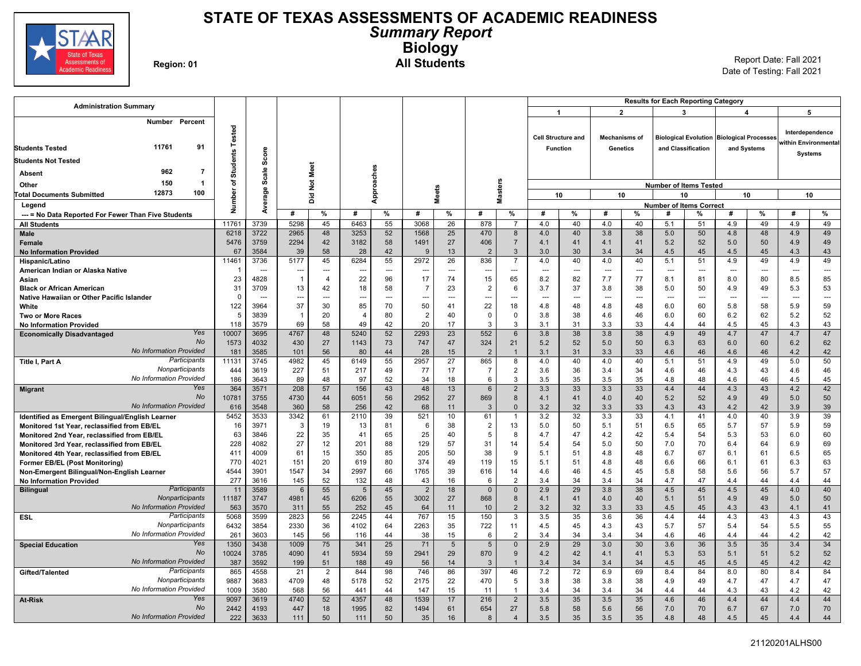

### **STATE OF TEXAS ASSESSMENTS OF ACADEMIC READINESS** *Summary Report* **Biology** Region: 01 **All Students All Students** Report Date: Fall 2021

| <b>Administration Summary</b>                       |                 |              |                      |                |             |            |                      |                 |                        |                      |                          |                           |                       |                      | <b>Results for Each Reporting Category</b> |                      |                                           |                |                                         |                          |
|-----------------------------------------------------|-----------------|--------------|----------------------|----------------|-------------|------------|----------------------|-----------------|------------------------|----------------------|--------------------------|---------------------------|-----------------------|----------------------|--------------------------------------------|----------------------|-------------------------------------------|----------------|-----------------------------------------|--------------------------|
|                                                     |                 |              |                      |                |             |            |                      |                 |                        |                      | $\overline{\mathbf{1}}$  |                           |                       | $\mathbf{2}$         |                                            | 3                    | 4                                         |                | 5                                       |                          |
| Number Percent<br>11761<br>91                       | Tested          |              |                      |                |             |            |                      |                 |                        |                      |                          | <b>Cell Structure and</b> |                       | <b>Mechanisms of</b> |                                            |                      | Biological Evolution Biological Processes |                | Interdependence<br>within Environmental |                          |
| <b>Students Tested</b>                              |                 | Score        |                      |                |             |            |                      |                 |                        |                      | <b>Function</b>          |                           |                       | Genetics             |                                            | and Classification   | and Systems                               |                | <b>Systems</b>                          |                          |
| <b>Students Not Tested</b>                          | <b>Students</b> |              |                      |                |             |            |                      |                 |                        |                      |                          |                           |                       |                      |                                            |                      |                                           |                |                                         |                          |
| 962<br>-7<br><b>Absent</b>                          |                 | Scale        |                      | Not Meet       |             |            |                      |                 |                        |                      |                          |                           |                       |                      |                                            |                      |                                           |                |                                         |                          |
| 150<br>-1<br>Other                                  | ৳               |              |                      |                |             |            |                      |                 |                        |                      |                          |                           |                       |                      | <b>Number of Items Tested</b>              |                      |                                           |                |                                         |                          |
| 12873<br>100<br><b>Total Documents Submitted</b>    |                 |              |                      |                |             | Approaches |                      | <b>Meets</b>    |                        | Masters              |                          | 10                        |                       | 10                   |                                            | 10                   |                                           | 10             | 10                                      |                          |
| Legend                                              | Number          | Average      |                      | ă              |             |            |                      |                 |                        |                      |                          |                           |                       |                      | <b>Number of Items Correct</b>             |                      |                                           |                |                                         |                          |
| --- = No Data Reported For Fewer Than Five Students |                 |              | #                    | $\%$           | #           | $\%$       | #                    | %               | #                      | %                    | #                        | %                         | #                     | %                    |                                            | %                    | #                                         | ℅              | #                                       | %                        |
| <b>All Students</b>                                 | 11761           | 3739         | 5298                 | 45             | 6463        | 55         | 3068                 | 26              | 878                    | $\overline{7}$       | 4.0                      | 40                        | 4.0                   | 40                   | 5.1                                        | 51                   | 4.9                                       | 49             | 4.9                                     | 49                       |
| Male                                                | 6218            | 3722         | 2965                 | 48             | 3253        | 52         | 1568                 | 25              | 470                    | 8                    | 4.0                      | 40                        | 3.8                   | 38                   | 5.0                                        | 50                   | 4.8                                       | 48             | 4.9                                     | 49                       |
| Female                                              | 5476            | 3759         | 2294                 | 42             | 3182        | 58         | 1491                 | 27              | 406                    | $\overline{7}$       | 4.1                      | 41                        | 4.1                   | 41                   | 5.2                                        | 52                   | 5.0                                       | 50             | 4.9                                     | 49                       |
| <b>No Information Provided</b>                      | 67              | 3584         | 39                   | 58             | 28          | 42         | 9                    | 13              | $\overline{2}$         | $\mathbf{3}$         | 3.0                      | 30                        | 3.4                   | 34                   | 4.5                                        | 45                   | 4.5                                       | 45             | 4.3                                     | 43                       |
| Hispanic/Latino                                     | 11461           | 3736         | 5177                 | 45             | 6284        | 55         | 2972                 | 26              | 836                    | $\overline{7}$       | 4.0                      | 40                        | 4.0                   | 40                   | 5.1                                        | 51                   | 4.9                                       | 49             | 4.9                                     | 49                       |
| American Indian or Alaska Native                    | -1              | $\sim$       | ---                  | $\overline{a}$ |             | ---        | ---                  | ---             | ---                    | ---                  | $\overline{\phantom{a}}$ | ---                       | $\sim$                | $\sim$               | ---                                        | $\overline{a}$       | ---                                       | ---            | ---                                     | $\overline{\phantom{a}}$ |
| Asian                                               | 23              | 4828<br>3709 | $\overline{1}$<br>13 | $\overline{4}$ | 22          | 96<br>58   | 17<br>$\overline{7}$ | 74<br>23        | 15<br>$\overline{2}$   | 65                   | 8.2                      | 82<br>37                  | 7.7                   | 77                   | 8.1                                        | 81                   | 8.0                                       | 80<br>49       | 8.5                                     | 85<br>53                 |
| <b>Black or African American</b>                    | 31<br>$\Omega$  | ---          | ---                  | 42<br>$-$      | 18          | ---        | -−-                  | $\sim$          | ---                    | 6<br>$\overline{a}$  | 3.7<br>$\sim$            | ---                       | 3.8<br>$\overline{a}$ | 38<br>$\sim$         | 5.0<br>$\overline{a}$                      | 50<br>$\overline{a}$ | 4.9<br>$\overline{\phantom{a}}$           | $\overline{a}$ | 5.3<br>$\overline{a}$                   | $\sim$                   |
| Native Hawaiian or Other Pacific Islander<br>White  | 122             | 3964         | 37                   | 30             | 85          | 70         | 50                   | 41              | 22                     | 18                   | 4.8                      | 48                        | 4.8                   | 48                   | 6.0                                        | 60                   | 5.8                                       | 58             | 5.9                                     | 59                       |
| <b>Two or More Races</b>                            | 5               | 3839         |                      | 20             | 4           | 80         | $\overline{2}$       | 40              | $\mathbf 0$            | $\mathbf 0$          | 3.8                      | 38                        | 4.6                   | 46                   | 6.0                                        | 60                   | 6.2                                       | 62             | 5.2                                     | 52                       |
| <b>No Information Provided</b>                      | 118             | 3579         | 69                   | 58             | 49          | 42         | 20                   | 17              | -3                     | 3                    | 3.1                      | 31                        | 3.3                   | 33                   | 4.4                                        | 44                   | 4.5                                       | 45             | 4.3                                     | 43                       |
| Yes<br><b>Economically Disadvantaged</b>            | 10007           | 3695         | 4767                 | 48             | 5240        | 52         | 2293                 | 23              | 552                    | 6                    | 3.8                      | 38                        | 3.8                   | 38                   | 4.9                                        | 49                   | 4.7                                       | 47             | 4.7                                     | 47                       |
| No                                                  | 1573            | 4032         | 430                  | 27             | 1143        | 73         | 747                  | 47              | 324                    | 21                   | 5.2                      | 52                        | 5.0                   | 50                   | 6.3                                        | 63                   | 6.0                                       | 60             | 6.2                                     | 62                       |
| <b>No Information Provided</b>                      | 181             | 3585         | 101                  | 56             | 80          | 44         | 28                   | 15              | $\overline{2}$         |                      | 3.1                      | 31                        | 3.3                   | 33                   | 4.6                                        | 46                   | 4.6                                       | 46             | 4.2                                     | 42                       |
| Participants<br>Title I, Part A                     | 11131           | 3745         | 4982                 | 45             | 6149        | 55         | 2957                 | 27              | 865                    | 8                    | 4.0                      | 40                        | 4.0                   | 40                   | 5.1                                        | 51                   | 4.9                                       | 49             | 5.0                                     | 50                       |
| Nonparticipants                                     | 444             | 3619         | 227                  | 51             | 217         | 49         | 77                   | 17              | $\overline{7}$         | $\overline{2}$       | 3.6                      | 36                        | 3.4                   | 34                   | 4.6                                        | 46                   | 4.3                                       | 43             | 4.6                                     | 46                       |
| No Information Provided<br>Yes                      | 186             | 3643         | 89                   | 48             | 97          | 52         | 34                   | 18              | 6                      | 3                    | 3.5                      | 35                        | 3.5                   | 35                   | 4.8                                        | 48                   | 4.6                                       | 46             | 4.5                                     | 45                       |
| <b>Migrant</b><br>No                                | 364<br>10781    | 3571<br>3755 | 208<br>4730          | 57<br>44       | 156<br>6051 | 43<br>56   | 48<br>2952           | 13<br>27        | $6\overline{6}$<br>869 | $\sqrt{2}$<br>8      | 3.3<br>4.1               | 33<br>41                  | 3.3<br>4.0            | 33<br>40             | 4.4                                        | 44<br>52             | 4.3<br>4.9                                | 43<br>49       | 4.2                                     | 42<br>50                 |
| <b>No Information Provided</b>                      | 616             | 3548         | 360                  | 58             | 256         | 42         | 68                   | 11              | $\overline{3}$         | $\mathbf 0$          | 3.2                      | 32                        | 3.3                   | 33                   | 5.2<br>4.3                                 | 43                   | 4.2                                       | 42             | 5.0<br>3.9                              | 39                       |
| Identified as Emergent Bilingual/English Learner    | 5452            | 3533         | 3342                 | 61             | 2110        | 39         | 521                  | 10              | 61                     | $\mathbf{1}$         | 3.2                      | 32                        | 3.3                   | 33                   | 4.1                                        | 41                   | 4.0                                       | 40             | 3.9                                     | 39                       |
| Monitored 1st Year, reclassified from EB/EL         | 16              | 3971         | 3                    | 19             | 13          | 81         | 6                    | 38              | $\overline{2}$         | 13                   | 5.0                      | 50                        | 5.1                   | 51                   | 6.5                                        | 65                   | 5.7                                       | 57             | 5.9                                     | 59                       |
| Monitored 2nd Year, reclassified from EB/EL         | 63              | 3846         | 22                   | 35             | 41          | 65         | 25                   | 40              | 5                      | 8                    | 4.7                      | 47                        | 4.2                   | 42                   | 5.4                                        | 54                   | 5.3                                       | 53             | 6.0                                     | 60                       |
| Monitored 3rd Year, reclassified from EB/EL         | 228             | 4082         | 27                   | 12             | 201         | 88         | 129                  | 57              | 31                     | 14                   | 5.4                      | 54                        | 5.0                   | 50                   | 7.0                                        | 70                   | 6.4                                       | 64             | 6.9                                     | 69                       |
| Monitored 4th Year, reclassified from EB/EL         | 411             | 4009         | 61                   | 15             | 350         | 85         | 205                  | 50              | 38                     | 9                    | 5.1                      | 51                        | 4.8                   | 48                   | 6.7                                        | 67                   | 6.1                                       | 61             | 6.5                                     | 65                       |
| Former EB/EL (Post Monitoring)                      | 770             | 4021         | 151                  | 20             | 619         | 80         | 374                  | 49              | 119                    | 15                   | 5.1                      | 51                        | 4.8                   | 48                   | 6.6                                        | 66                   | 6.1                                       | 61             | 6.3                                     | 63                       |
| Non-Emergent Bilingual/Non-English Learner          | 4544            | 3901         | 1547                 | 34             | 2997        | 66         | 1765                 | 39              | 616                    | 14                   | 4.6                      | 46                        | 4.5                   | 45                   | 5.8                                        | 58                   | 5.6                                       | 56             | 5.7                                     | 57                       |
| <b>No Information Provided</b>                      | 277             | 3616         | 145                  | 52             | 132         | 48         | 43                   | 16              | - 6                    | 2                    | 3.4                      | 34                        | 3.4                   | 34                   | 4.7                                        | 47                   | 4.4                                       | 44             | 4.4                                     | 44                       |
| Participants<br><b>Bilingual</b><br>Nonparticipants | 11              | 3589         | 6                    | 55             | 5           | 45         | $\overline{2}$       | 18              | $\overline{0}$         | $\mathbf{0}$         | 2.9                      | 29                        | 3.8                   | 38                   | 4.5                                        | 45                   | 4.5                                       | 45             | 4.0                                     | 40                       |
| <b>No Information Provided</b>                      | 11187<br>563    | 3747<br>3570 | 4981<br>311          | 45<br>55       | 6206<br>252 | 55<br>45   | 3002<br>64           | 27<br>11        | 868<br>10              | 8<br>$\overline{2}$  | 4.1<br>3.2               | 41<br>32                  | 4.0<br>3.3            | 40<br>33             | 5.1<br>4.5                                 | 51<br>45             | 4.9<br>4.3                                | 49<br>43       | 5.0<br>4.1                              | 50<br>41                 |
| Participants<br><b>ESL</b>                          | 5068            | 3599         | 2823                 | 56             | 2245        | 44         | 767                  | 15              | 150                    | 3                    | 3.5                      | 35                        | 3.6                   | 36                   | 4.4                                        | 44                   | 4.3                                       | 43             | 4.3                                     | 43                       |
| Nonparticipants                                     | 6432            | 3854         | 2330                 | 36             | 4102        | 64         | 2263                 | 35              | 722                    | 11                   | 4.5                      | 45                        | 4.3                   | 43                   | 5.7                                        | 57                   | 5.4                                       | 54             | 5.5                                     | 55                       |
| No Information Provided                             | 261             | 3603         | 145                  | 56             | 116         | 44         | 38                   | 15              | 6                      | 2                    | 3.4                      | 34                        | 3.4                   | 34                   | 4.6                                        | 46                   | 4.4                                       | 44             | 4.2                                     | 42                       |
| Yes<br><b>Special Education</b>                     | 1350            | 3438         | 1009                 | 75             | 341         | 25         | 71                   | $5\phantom{.0}$ | $5\overline{)}$        | $\mathsf{O}\xspace$  | 2.9                      | 29                        | 3.0                   | 30                   | 3.6                                        | 36                   | 3.5                                       | 35             | 3.4                                     | 34                       |
| No                                                  | 10024           | 3785         | 4090                 | 41             | 5934        | 59         | 2941                 | 29              | 870                    | 9                    | 4.2                      | 42                        | 4.1                   | 41                   | 5.3                                        | 53                   | 5.1                                       | 51             | 5.2                                     | 52                       |
| <b>No Information Provided</b>                      | 387             | 3592         | 199                  | 51             | 188         | 49         | 56                   | 14              | $\overline{3}$         | $\overline{1}$       | 3.4                      | 34                        | 3.4                   | 34                   | 4.5                                        | 45                   | 4.5                                       | 45             | 4.2                                     | 42                       |
| Participants<br>Gifted/Talented                     | 865             | 4558         | 21                   | $\overline{2}$ | 844         | 98         | 746                  | 86              | 397                    | 46                   | 7.2                      | 72                        | 6.9                   | 69                   | 8.4                                        | 84                   | 8.0                                       | 80             | 8.4                                     | 84                       |
| Nonparticipants                                     | 9887            | 3683         | 4709                 | 48             | 5178        | 52         | 2175                 | 22              | 470                    | 5                    | 3.8                      | 38                        | 3.8                   | 38                   | 4.9                                        | 49                   | 4.7                                       | 47             | 4.7                                     | 47                       |
| No Information Provided                             | 1009            | 3580         | 568                  | 56             | 441         | 44         | 147                  | 15              | 11                     | $\blacktriangleleft$ | 3.4                      | 34                        | 3.4                   | 34                   | 4.4                                        | 44                   | 4.3                                       | 43             | 4.2                                     | 42                       |
| Yes<br><b>At-Risk</b><br><b>No</b>                  | 9097            | 3619         | 4740                 | 52             | 4357        | 48         | 1539                 | 17              | 216                    | $\overline{2}$       | 3.5                      | 35                        | 3.5                   | 35                   | 4.6                                        | 46                   | 4.4                                       | 44             | 4.4                                     | 44                       |
| <b>No Information Provided</b>                      | 2442<br>222     | 4193<br>3633 | 447<br>111           | 18<br>50       | 1995<br>111 | 82<br>50   | 1494<br>35           | 61<br>16        | 654<br>8               | 27<br>$\overline{4}$ | 5.8<br>3.5               | 58<br>35                  | 5.6<br>3.5            | 56<br>35             | 7.0<br>4.8                                 | 70<br>48             | 6.7<br>4.5                                | 67<br>45       | 7.0<br>4.4                              | 70<br>44                 |
|                                                     |                 |              |                      |                |             |            |                      |                 |                        |                      |                          |                           |                       |                      |                                            |                      |                                           |                |                                         |                          |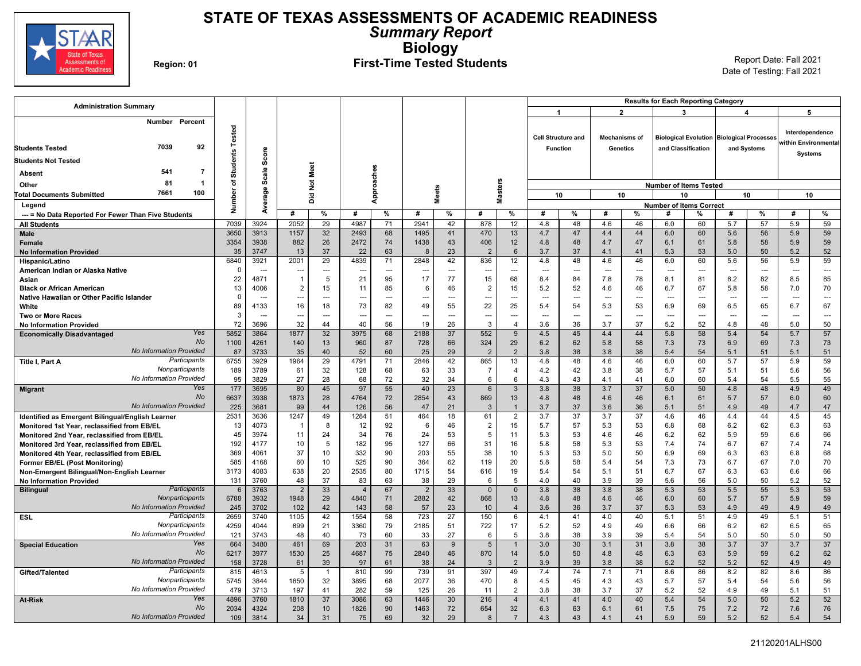

### **STATE OF TEXAS ASSESSMENTS OF ACADEMIC READINESS** *Summary Report* **Biology** Region: 01 **First-Time Tested Students** Report Date: Fall 2021

| <b>Administration Summary</b>                                                              |                 |                          |                |                |                          |                          |                |                          |                       |                         |                          |                           |                      |                          | <b>Results for Each Reporting Category</b> |                    |                                                  |             |                      |                          |
|--------------------------------------------------------------------------------------------|-----------------|--------------------------|----------------|----------------|--------------------------|--------------------------|----------------|--------------------------|-----------------------|-------------------------|--------------------------|---------------------------|----------------------|--------------------------|--------------------------------------------|--------------------|--------------------------------------------------|-------------|----------------------|--------------------------|
|                                                                                            |                 |                          |                |                |                          |                          |                |                          |                       |                         |                          | $\mathbf{1}$              |                      | $\overline{2}$           | 3                                          |                    | $\boldsymbol{4}$                                 |             | 5                    |                          |
| Percent<br>Number                                                                          |                 |                          |                |                |                          |                          |                |                          |                       |                         |                          |                           |                      |                          |                                            |                    |                                                  |             |                      |                          |
|                                                                                            | Tested          |                          |                |                |                          |                          |                |                          |                       |                         |                          | <b>Cell Structure and</b> | <b>Mechanisms of</b> |                          |                                            |                    | <b>Biological Evolution Biological Processes</b> |             | Interdependence      |                          |
| 7039<br>92<br><b>Students Tested</b>                                                       |                 |                          |                |                |                          |                          |                |                          |                       |                         | <b>Function</b>          |                           |                      | Genetics                 |                                            | and Classification |                                                  | and Systems | within Environmental |                          |
|                                                                                            | <b>Students</b> | Score                    |                |                |                          |                          |                |                          |                       |                         |                          |                           |                      |                          |                                            |                    |                                                  |             | <b>Systems</b>       |                          |
| Students Not Tested                                                                        |                 |                          |                |                |                          |                          |                |                          |                       |                         |                          |                           |                      |                          |                                            |                    |                                                  |             |                      |                          |
| 541<br>-7<br><b>Absent</b>                                                                 |                 | Scale                    |                | Not Meet       |                          |                          |                |                          |                       |                         |                          |                           |                      |                          |                                            |                    |                                                  |             |                      |                          |
| 81<br>$\mathbf{1}$<br>Other                                                                | ৳               |                          |                |                |                          |                          |                |                          |                       |                         |                          |                           |                      |                          | <b>Number of Items Tested</b>              |                    |                                                  |             |                      |                          |
| 7661<br>100<br><b>Total Documents Submitted</b>                                            | Number          | Average                  |                | Did            |                          | Approaches               |                | <b>Meets</b>             |                       | <b>Masters</b>          |                          | 10                        |                      | 10                       |                                            | 10                 |                                                  | 10          | 10                   |                          |
| Legend                                                                                     |                 |                          |                |                |                          |                          |                |                          |                       |                         |                          |                           |                      |                          | <b>Number of Items Correct</b>             |                    |                                                  |             |                      |                          |
| --- = No Data Reported For Fewer Than Five Students                                        |                 |                          | #              | %              | #                        | %                        | #              | %                        | #                     | %                       | #                        | %                         | #                    | %                        | #                                          | %                  | #                                                | %           | #                    | %                        |
| <b>All Students</b>                                                                        | 7039            | 3924                     | 2052           | 29             | 4987                     | 71                       | 2941           | 42                       | 878                   | 12                      | 4.8                      | 48                        | 4.6                  | 46                       | 6.0                                        | 60                 | 5.7                                              | 57          | 5.9                  | 59                       |
| Male                                                                                       | 3650            | 3913                     | 1157           | 32             | 2493                     | 68                       | 1495           | 41                       | 470                   | 13                      | 4.7                      | 47                        | 4.4                  | 44                       | 6.0                                        | 60                 | 5.6                                              | 56          | 5.9                  | 59                       |
| Female                                                                                     | 3354<br>35      | 3938<br>3747             | 882<br>13      | 26<br>37       | 2472<br>22               | 74<br>63                 | 1438<br>8      | 43<br>23                 | 406<br>$\overline{2}$ | 12<br>6                 | 4.8<br>3.7               | 48<br>37                  | 4.7<br>4.1           | 47<br>41                 | 6.1<br>5.3                                 | 61<br>53           | 5.8<br>5.0                                       | 58<br>50    | 5.9<br>5.2           | 59<br>52                 |
| <b>No Information Provided</b><br>Hispanic/Latino                                          | 6840            | 3921                     | 2001           | 29             | 4839                     | 71                       | 2848           | 42                       | 836                   | 12                      | 4.8                      | 48                        | 4.6                  | 46                       | 6.0                                        | 60                 | 5.6                                              | 56          | 5.9                  | 59                       |
| American Indian or Alaska Native                                                           | 0               | $\overline{\phantom{a}}$ | ---            | $\cdots$       | $\overline{\phantom{a}}$ | $\overline{\phantom{a}}$ | ---            | $\hspace{0.05cm} \ldots$ | ---                   | ---                     | $\overline{\phantom{a}}$ | ---                       | ---                  | $\overline{\phantom{a}}$ | $\overline{\phantom{a}}$                   | ---                | $\overline{\phantom{a}}$                         | ---         | ---                  | $\overline{\phantom{a}}$ |
| Asian                                                                                      | 22              | 4871                     | $\overline{1}$ | 5              | 21                       | 95                       | 17             | 77                       | 15                    | 68                      | 8.4                      | 84                        | 7.8                  | 78                       | 8.1                                        | 81                 | 8.2                                              | 82          | 8.5                  | 85                       |
| <b>Black or African American</b>                                                           | 13              | 4006                     | $\overline{2}$ | 15             | 11                       | 85                       | 6              | 46                       | $\overline{c}$        | 15                      | 5.2                      | 52                        | 4.6                  | 46                       | 6.7                                        | 67                 | 5.8                                              | 58          | 7.0                  | 70                       |
| Native Hawaiian or Other Pacific Islander                                                  | $\mathbf 0$     | $\overline{\phantom{a}}$ |                | ---            | $\overline{\phantom{a}}$ | ---                      |                | ---                      | ---                   |                         | ---                      | ---                       |                      | $\sim$                   | $\overline{a}$                             | ---                | $\sim$                                           | ---         |                      | $\hspace{0.05cm} \ldots$ |
| White                                                                                      | 89              | 4133                     | 16             | 18             | 73                       | 82                       | 49             | 55                       | 22                    | 25                      | 5.4                      | 54                        | 5.3                  | 53                       | 6.9                                        | 69                 | 6.5                                              | 65          | 6.7                  | 67                       |
| <b>Two or More Races</b>                                                                   | 3               | ---                      | $\overline{a}$ | $\overline{a}$ | $\overline{\phantom{a}}$ | ---                      | $---$          | $\overline{a}$           | ---                   | ---                     | $\sim$                   | ---                       | ---                  | $\sim$ $\sim$            | $\overline{a}$                             | ---                | $\sim$                                           | ---         | $\overline{a}$       | $\overline{a}$           |
| <b>No Information Provided</b><br>Yes                                                      | 72              | 3696                     | 32             | 44             | 40                       | 56                       | 19             | 26                       | $\mathbf{3}$          | $\overline{\mathbf{A}}$ | 3.6                      | 36                        | 3.7                  | 37                       | 5.2                                        | 52                 | 4.8                                              | 48          | 5.0                  | 50                       |
| <b>Economically Disadvantaged</b><br>No                                                    | 5852            | 3864<br>4261             | 1877           | 32             | 3975                     | 68                       | 2188           | 37                       | 552<br>324            | 9<br>29                 | 4.5                      | 45<br>62                  | 4.4                  | 44                       | 5.8                                        | 58                 | 5.4                                              | 54          | 5.7                  | 57<br>73                 |
| <b>No Information Provided</b>                                                             | 1100<br>87      | 3733                     | 140<br>35      | 13<br>40       | 960<br>52                | 87<br>60                 | 728<br>25      | 66<br>29                 | $\overline{2}$        | $\overline{2}$          | 6.2<br>3.8               | 38                        | 5.8<br>3.8           | 58<br>38                 | 7.3<br>5.4                                 | 73<br>54           | 6.9<br>5.1                                       | 69<br>51    | 7.3<br>5.1           | 51                       |
| Participants<br>Title I, Part A                                                            | 6755            | 3929                     | 1964           | 29             | 4791                     | 71                       | 2846           | 42                       | 865                   | 13                      | 4.8                      | 48                        | 4.6                  | 46                       | 6.0                                        | 60                 | 5.7                                              | 57          | 5.9                  | 59                       |
| Nonparticipants                                                                            | 189             | 3789                     | 61             | 32             | 128                      | 68                       | 63             | 33                       | $\overline{7}$        | 4                       | 4.2                      | 42                        | 3.8                  | 38                       | 5.7                                        | 57                 | 5.1                                              | 51          | 5.6                  | 56                       |
| No Information Provided                                                                    | 95              | 3829                     | 27             | 28             | 68                       | 72                       | 32             | 34                       | 6                     | 6                       | 4.3                      | 43                        | 4.1                  | 41                       | 6.0                                        | 60                 | 5.4                                              | 54          | 5.5                  | 55                       |
| Yes<br><b>Migrant</b>                                                                      | 177             | 3695                     | 80             | 45             | 97                       | 55                       | 40             | 23                       | $6\phantom{1}6$       | $\mathbf{3}$            | 3.8                      | 38                        | 3.7                  | 37                       | 5.0                                        | 50                 | 4.8                                              | 48          | 4.9                  | 49                       |
| <b>No</b>                                                                                  | 6637            | 3938                     | 1873           | 28             | 4764                     | 72                       | 2854           | 43                       | 869                   | 13                      | 4.8                      | 48                        | 4.6                  | 46                       | 6.1                                        | 61                 | 5.7                                              | 57          | 6.0                  | 60                       |
| <b>No Information Provided</b>                                                             | 225             | 3681                     | 99             | 44             | 126                      | 56                       | 47             | 21                       | $\mathbf{3}$          | $\mathbf{1}$            | 3.7                      | 37                        | 3.6                  | 36                       | 5.1                                        | 51                 | 4.9                                              | 49          | 4.7                  | 47                       |
| Identified as Emergent Bilingual/English Learner                                           | 2531            | 3636                     | 1247           | 49             | 1284                     | 51                       | 464            | 18                       | 61                    | $\overline{2}$          | 3.7                      | 37                        | 3.7                  | 37                       | 4.6                                        | 46                 | 4.4                                              | 44          | 4.5                  | 45                       |
| Monitored 1st Year, reclassified from EB/EL<br>Monitored 2nd Year, reclassified from EB/EL | 13<br>45        | 4073<br>3974             | -1<br>11       | 8<br>24        | 12<br>34                 | 92<br>76                 | 6<br>24        | 46<br>53                 | $\overline{2}$<br>5   | 15<br>11                | 5.7<br>5.3               | 57<br>53                  | 5.3<br>4.6           | 53<br>46                 | 6.8<br>6.2                                 | 68<br>62           | 6.2<br>5.9                                       | 62<br>59    | 6.3<br>6.6           | 63<br>66                 |
| Monitored 3rd Year, reclassified from EB/EL                                                | 192             | 4177                     | 10             | 5              | 182                      | 95                       | 127            | 66                       | 31                    | 16                      | 5.8                      | 58                        | 5.3                  | 53                       | 7.4                                        | 74                 | 6.7                                              | 67          | 7.4                  | 74                       |
| Monitored 4th Year, reclassified from EB/EL                                                | 369             | 4061                     | 37             | 10             | 332                      | 90                       | 203            | 55                       | 38                    | 10 <sup>1</sup>         | 5.3                      | 53                        | 5.0                  | 50                       | 6.9                                        | 69                 | 6.3                                              | 63          | 6.8                  | 68                       |
| <b>Former EB/EL (Post Monitoring)</b>                                                      | 585             | 4168                     | 60             | 10             | 525                      | 90                       | 364            | 62                       | 119                   | 20                      | 5.8                      | 58                        | 5.4                  | 54                       | 7.3                                        | 73                 | 6.7                                              | 67          | 7.0                  | 70                       |
| Non-Emergent Bilingual/Non-English Learner                                                 | 3173            | 4083                     | 638            | 20             | 2535                     | 80                       | 1715           | 54                       | 616                   | 19                      | 5.4                      | 54                        | 5.1                  | 51                       | 6.7                                        | 67                 | 6.3                                              | 63          | 6.6                  | 66                       |
| <b>No Information Provided</b>                                                             | 131             | 3760                     | 48             | 37             | 83                       | 63                       | 38             | 29                       | 6                     | 5                       | 4.0                      | 40                        | 3.9                  | 39                       | 5.6                                        | 56                 | 5.0                                              | 50          | 5.2                  | 52                       |
| <b>Participants</b><br><b>Bilingual</b>                                                    | 6               | 3763                     | $\overline{2}$ | 33             | $\overline{4}$           | 67                       | $\overline{2}$ | 33                       | $\Omega$              | $\mathbf 0$             | 3.8                      | 38                        | 3.8                  | 38                       | 5.3                                        | 53                 | 5.5                                              | 55          | 5.3                  | 53                       |
| Nonparticipants                                                                            | 6788            | 3932                     | 1948           | 29             | 4840                     | 71                       | 2882           | 42                       | 868                   | 13                      | 4.8                      | 48                        | 4.6                  | 46                       | 6.0                                        | 60                 | 5.7                                              | 57          | 5.9                  | 59                       |
| No Information Provided<br>Participants                                                    | 245             | 3702                     | 102            | 42             | 143                      | 58                       | 57             | 23                       | 10                    | $\overline{4}$          | 3.6                      | 36                        | 3.7                  | 37                       | 5.3                                        | 53                 | 4.9                                              | 49          | 4.9                  | 49                       |
| <b>ESL</b><br>Nonparticipants                                                              | 2659<br>4259    | 3740<br>4044             | 1105<br>899    | 42<br>21       | 1554<br>3360             | 58<br>79                 | 723<br>2185    | 27<br>51                 | 150                   | 6<br>17                 | 4.1                      | 41<br>52                  | 4.0                  | 40<br>49                 | 5.1                                        | 51                 | 4.9                                              | 49<br>62    | 5.1                  | 51<br>65                 |
| No Information Provided                                                                    | 121             | 3743                     | 48             | 40             | 73                       | 60                       | 33             | 27                       | 722<br>6              | 5                       | 5.2<br>3.8               | 38                        | 4.9<br>3.9           | 39                       | 6.6<br>5.4                                 | 66<br>54           | 6.2<br>5.0                                       | 50          | 6.5<br>5.0           | 50                       |
| Yes<br><b>Special Education</b>                                                            | 664             | 3480                     | 461            | 69             | 203                      | 31                       | 63             | 9                        | 5                     | $\mathbf{1}$            | 3.0                      | 30                        | 3.1                  | 31                       | 3.8                                        | 38                 | 3.7                                              | 37          | 3.7                  | 37                       |
| No                                                                                         | 6217            | 3977                     | 1530           | 25             | 4687                     | 75                       | 2840           | 46                       | 870                   | 14                      | 5.0                      | 50                        | 4.8                  | 48                       | 6.3                                        | 63                 | 5.9                                              | 59          | 6.2                  | 62                       |
| <b>No Information Provided</b>                                                             | 158             | 3728                     | 61             | 39             | 97                       | 61                       | 38             | 24                       | -3                    | $\overline{2}$          | 3.9                      | 39                        | 3.8                  | 38                       | 5.2                                        | 52                 | 5.2                                              | 52          | 4.9                  | 49                       |
| Participants<br>Gifted/Talented                                                            | 815             | 4613                     | 5              | $\overline{1}$ | 810                      | 99                       | 739            | 91                       | 397                   | 49                      | 7.4                      | 74                        | 7.1                  | 71                       | 8.6                                        | 86                 | 8.2                                              | 82          | 8.6                  | 86                       |
| Nonparticipants                                                                            | 5745            | 3844                     | 1850           | 32             | 3895                     | 68                       | 2077           | 36                       | 470                   | 8                       | 4.5                      | 45                        | 4.3                  | 43                       | 5.7                                        | 57                 | 5.4                                              | 54          | 5.6                  | 56                       |
| No Information Provided                                                                    | 479             | 3713                     | 197            | 41             | 282                      | 59                       | 125            | 26                       | 11                    | 2                       | 3.8                      | 38                        | 3.7                  | 37                       | 5.2                                        | 52                 | 4.9                                              | 49          | 5.1                  | 51                       |
| Yes<br><b>At-Risk</b>                                                                      | 4896            | 3760                     | 1810           | 37             | 3086                     | 63                       | 1446           | 30                       | 216                   | $\overline{4}$          | 4.1                      | 41                        | 4.0                  | 40                       | 5.4                                        | 54                 | 5.0                                              | 50          | 5.2                  | 52                       |
| <b>No</b><br><b>No Information Provided</b>                                                | 2034            | 4324                     | 208            | 10             | 1826                     | 90                       | 1463           | 72                       | 654                   | 32                      | 6.3                      | 63                        | 6.1                  | 61                       | 7.5                                        | 75                 | 7.2                                              | 72          | 7.6                  | 76                       |
|                                                                                            | 109             | 3814                     | 34             | 31             | 75                       | 69                       | 32             | 29                       | 8                     | $\overline{7}$          | 4.3                      | 43                        | 4.1                  | 41                       | 5.9                                        | 59                 | 5.2                                              | 52          | 5.4                  | 54                       |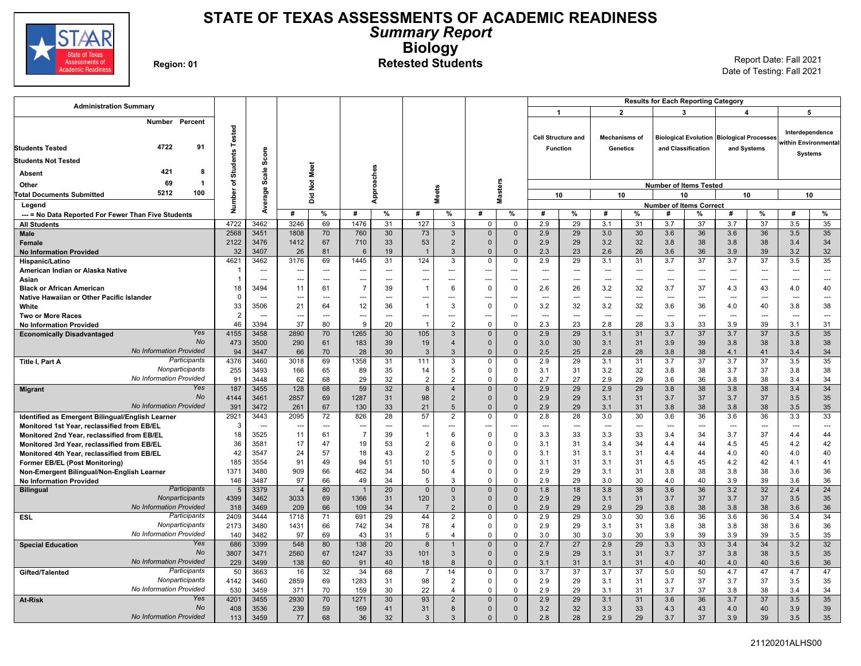

### **STATE OF TEXAS ASSESSMENTS OF ACADEMIC READINESS** *Summary Report* **Biology** Region: 01 **Refersted Students** Report Date: Fall 2021<br>Region: 01 **Report Date: Fall 2021**

| <b>Administration Summary</b>                                                 |                       |                          |                      |           |                          |                      |                                |                                  |                            |                      |                          |                           |                       |                          | <b>Results for Each Reporting Category</b> |                    |                                           |                      |                                         |                          |
|-------------------------------------------------------------------------------|-----------------------|--------------------------|----------------------|-----------|--------------------------|----------------------|--------------------------------|----------------------------------|----------------------------|----------------------|--------------------------|---------------------------|-----------------------|--------------------------|--------------------------------------------|--------------------|-------------------------------------------|----------------------|-----------------------------------------|--------------------------|
|                                                                               |                       |                          |                      |           |                          |                      |                                |                                  |                            |                      | -1                       |                           |                       | $\mathbf{2}$             |                                            | 3                  |                                           | 4                    | 5                                       |                          |
| Number<br>Percent<br>4722<br>91                                               | Tested                |                          |                      |           |                          |                      |                                |                                  |                            |                      |                          | <b>Cell Structure and</b> |                       | <b>Mechanisms of</b>     |                                            |                    | Biological Evolution Biological Processes |                      | Interdependence<br>within Environmental |                          |
| <b>Students Tested</b>                                                        |                       | Score                    |                      |           |                          |                      |                                |                                  |                            |                      | <b>Function</b>          |                           |                       | <b>Genetics</b>          |                                            | and Classification |                                           | and Systems          | <b>Systems</b>                          |                          |
| <b>Students Not Tested</b>                                                    | <b>Students</b>       |                          |                      |           |                          |                      |                                |                                  |                            |                      |                          |                           |                       |                          |                                            |                    |                                           |                      |                                         |                          |
| 421<br>-8<br>Absent                                                           |                       | Scale                    |                      | Not Meet  |                          |                      |                                |                                  |                            |                      |                          |                           |                       |                          |                                            |                    |                                           |                      |                                         |                          |
| 69<br>-1<br>Other                                                             | ৳                     |                          |                      |           |                          |                      |                                |                                  |                            |                      |                          |                           |                       |                          | <b>Number of Items Tested</b>              |                    |                                           |                      |                                         |                          |
| 5212<br>100<br><b>Total Documents Submitted</b>                               | Number                | Average                  |                      | ă         |                          | Approaches           |                                | <b>Meets</b>                     |                            | <b>Masters</b>       |                          | 10                        |                       | 10                       |                                            | 10                 |                                           | 10                   | 10                                      |                          |
| Legend                                                                        |                       |                          |                      |           |                          |                      |                                |                                  |                            |                      |                          |                           |                       |                          | <b>Number of Items Correct</b>             |                    |                                           |                      |                                         |                          |
| --- = No Data Reported For Fewer Than Five Students                           |                       |                          | #                    | %         | #                        | %                    | #                              | %                                | #                          | %                    | #                        | %                         | #                     | %                        | #                                          | %                  | #                                         | %                    | #                                       | $\%$                     |
| <b>All Students</b>                                                           | 4722                  | 3462                     | 3246                 | 69        | 1476                     | 31                   | 127                            | 3                                | $\mathbf 0$                | $\mathbf 0$          | 2.9                      | 29                        | 3.1                   | 31                       | 3.7                                        | 37                 | 3.7                                       | 37                   | 3.5                                     | 35                       |
| Male                                                                          | 2568                  | 3451                     | 1808                 | 70        | 760                      | 30                   | 73                             | $\mathbf{3}$                     | $\overline{0}$             | $\mathbf 0$          | 2.9                      | 29                        | 3.0                   | 30                       | 3.6                                        | 36                 | 3.6                                       | 36                   | 3.5                                     | 35                       |
| Female                                                                        | 2122                  | 3476                     | 1412                 | 67        | 710                      | 33                   | 53                             | $\overline{2}$                   | $\Omega$                   | $\Omega$             | 2.9                      | 29                        | 3.2                   | 32                       | 3.8                                        | 38                 | 3.8                                       | 38                   | 3.4                                     | 34                       |
| <b>No Information Provided</b>                                                | 32                    | 3407                     | 26                   | 81        | 6                        | 19                   | $\overline{1}$                 | 3                                | $\Omega$                   | $\Omega$             | 2.3                      | 23                        | 2.6                   | 26                       | 3.6                                        | 36                 | 3.9                                       | 39                   | 3.2                                     | 32                       |
| Hispanic/Latino                                                               | 4621                  | 3462                     | 3176                 | 69        | 1445                     | 31                   | 124                            | 3                                | $\mathbf 0$                | 0                    | 2.9                      | 29                        | 3.1                   | 31                       | 3.7                                        | 37                 | 3.7                                       | 37                   | 3.5                                     | 35                       |
| American Indian or Alaska Native                                              | $\overline{1}$        | $\overline{\phantom{a}}$ | ---                  | $-$       | $\overline{\phantom{a}}$ | $\overline{a}$       | ---                            | $\overline{a}$                   | ---                        | $\overline{a}$       | $\sim$                   | $\overline{a}$            | $\overline{a}$        | $\sim$ $\sim$            | $\overline{a}$                             | $\sim$             | $\sim$                                    | $\overline{a}$       | $\overline{a}$                          | $\overline{a}$           |
| Asian                                                                         | 18                    | $\sim$<br>3494           | ---<br>11            | $-$<br>61 | ---<br>7                 | $\overline{a}$<br>39 | ---<br>$\overline{1}$          | $\overline{a}$<br>6              | ---<br>$\mathbf 0$         | $\overline{a}$<br>0  | $\sim$<br>2.6            | ---<br>26                 | $\overline{a}$<br>3.2 | $\sim$ $\sim$<br>32      | $\overline{a}$<br>3.7                      | $\sim$<br>37       | $\overline{a}$<br>4.3                     | $\overline{a}$<br>43 | $\overline{a}$<br>4.0                   | $\overline{a}$<br>40     |
| <b>Black or African American</b><br>Native Hawaiian or Other Pacific Islander | $\Omega$              | ---                      |                      | -−-       |                          | ---                  |                                |                                  | ---                        |                      | $\overline{\phantom{a}}$ | …                         | ---                   | ---                      | ---                                        | ---                |                                           | …                    |                                         | $\overline{\phantom{a}}$ |
| White                                                                         | 33                    | 3506                     | 21                   | 64        | 12                       | 36                   | $\overline{1}$                 | 3                                | $\mathbf 0$                | $\mathbf 0$          | 3.2                      | 32                        | 3.2                   | 32                       | 3.6                                        | 36                 | 4.0                                       | 40                   | 3.8                                     | 38                       |
| <b>Two or More Races</b>                                                      | $\overline{2}$        | $\sim$                   | ---                  | $-$       | $\overline{\phantom{a}}$ | $\overline{a}$       | ---                            | $-$                              | ---                        | $---$                | $\sim$                   | $\overline{a}$            | $\overline{a}$        | $\sim$ $\sim$            | $\overline{a}$                             | $\sim$             | $\overline{a}$                            | $\overline{a}$       | $\overline{a}$                          | $\sim$                   |
| <b>No Information Provided</b>                                                | 46                    | 3394                     | 37                   | 80        | <sub>9</sub>             | 20                   | $\overline{1}$                 | $\overline{2}$                   | $\mathbf 0$                | $\Omega$             | 2.3                      | 23                        | 2.8                   | 28                       | 3.3                                        | 33                 | 3.9                                       | 39                   | 3.1                                     | 31                       |
| Yes<br><b>Economically Disadvantaged</b>                                      | 4155                  | 3458                     | 2890                 | 70        | 1265                     | 30                   | 105                            | 3                                | $\overline{0}$             | $\mathbf{0}$         | 2.9                      | 29                        | 3.1                   | 31                       | 3.7                                        | 37                 | 3.7                                       | 37                   | 3.5                                     | 35                       |
| <b>No</b>                                                                     | 473                   | 3500                     | 290                  | 61        | 183                      | 39                   | 19                             | $\overline{4}$                   | $\Omega$                   | $\mathbf{0}$         | 3.0                      | 30                        | 3.1                   | 31                       | 3.9                                        | 39                 | 3.8                                       | 38                   | 3.8                                     | 38                       |
| <b>No Information Provided</b>                                                | 94                    | 3447                     | 66                   | 70        | 28                       | 30                   | 3                              | 3                                | $\Omega$                   | $\mathbf{0}$         | 2.5                      | 25                        | 2.8                   | 28                       | 3.8                                        | 38                 | 4.1                                       | 41                   | 3.4                                     | 34                       |
| Participants<br>Title I, Part A                                               | 4376                  | 3460                     | 3018                 | 69        | 1358                     | 31                   | 111                            | 3                                | $\Omega$                   | 0                    | 2.9                      | 29                        | 3.1                   | 31                       | 3.7                                        | 37                 | $\overline{3.7}$                          | $\overline{37}$      | 3.5                                     | 35                       |
| Nonparticipants<br>No Information Provided                                    | 255                   | 3493                     | 166                  | 65        | 89                       | 35                   | 14                             | 5                                | $\mathbf 0$                | 0                    | 3.1                      | 31                        | 3.2                   | 32                       | 3.8                                        | 38                 | 3.7                                       | 37                   | 3.8                                     | 38                       |
| Yes                                                                           | 91<br>187             | 3448<br>3455             | 62<br>128            | 68<br>68  | 29<br>59                 | 32<br>32             | $\overline{2}$<br>$\mathbf{8}$ | $\overline{2}$<br>$\overline{4}$ | $\mathbf 0$<br>$\Omega$    | $\Omega$<br>$\Omega$ | 2.7<br>2.9               | 27<br>29                  | 2.9<br>2.9            | 29<br>29                 | 3.6<br>3.8                                 | 36<br>38           | 3.8<br>3.8                                | 38<br>38             | 3.4<br>3.4                              | 34<br>34                 |
| <b>Migrant</b><br>No                                                          | 4144                  | 3461                     | 2857                 | 69        | 1287                     | 31                   | 98                             | $\overline{2}$                   | $\Omega$                   | $\Omega$             | 2.9                      | 29                        | 3.1                   | 31                       | 3.7                                        | 37                 | 3.7                                       | 37                   | 3.5                                     | 35                       |
| <b>No Information Provided</b>                                                | 391                   | 3472                     | 261                  | 67        | 130                      | 33                   | 21                             | 5                                | $\overline{0}$             | $\mathbf{0}$         | 2.9                      | 29                        | 3.1                   | 31                       | 3.8                                        | 38                 | 3.8                                       | 38                   | 3.5                                     | 35                       |
| Identified as Emergent Bilingual/English Learner                              | 2921                  | 3443                     | 2095                 | 72        | 826                      | 28                   | 57                             | $\overline{2}$                   | $\Omega$                   | $\mathbf 0$          | 2.8                      | 28                        | 3.0                   | 30                       | 3.6                                        | 36                 | 3.6                                       | 36                   | 3.3                                     | 33                       |
| Monitored 1st Year, reclassified from EB/EL                                   | 3                     | $\overline{\phantom{a}}$ | ---                  | ---       | $\overline{\phantom{a}}$ | ---                  | ---                            |                                  | ---                        |                      | $\overline{\phantom{a}}$ | ---                       | ---                   | $\overline{\phantom{a}}$ | ---                                        | $\overline{a}$     | ---                                       | ---                  | $\overline{a}$                          | $\overline{\phantom{a}}$ |
| Monitored 2nd Year, reclassified from EB/EL                                   | 18                    | 3525                     | 11                   | 61        | $\overline{7}$           | 39                   | $\overline{1}$                 | 6                                | $\mathbf 0$                | $\Omega$             | 3.3                      | 33                        | 3.3                   | 33                       | 3.4                                        | 34                 | 3.7                                       | 37                   | 4.4                                     | 44                       |
| Monitored 3rd Year, reclassified from EB/EL                                   | 36                    | 3581                     | 17                   | 47        | 19                       | 53                   | $\overline{2}$                 | 6                                | $\mathbf 0$                | $\Omega$             | 3.1                      | 31                        | 3.4                   | 34                       | 4.4                                        | 44                 | 4.5                                       | 45                   | 4.2                                     | 42                       |
| Monitored 4th Year, reclassified from EB/EL                                   | 42                    | 3547                     | 24                   | 57        | 18                       | 43                   | $\overline{2}$                 | 5                                | $\Omega$                   | $\Omega$             | 3.1                      | 31                        | 3.1                   | 31                       | 4.4                                        | 44                 | 4.0                                       | 40                   | 4.0                                     | 40                       |
| <b>Former EB/EL (Post Monitoring)</b>                                         | 185                   | 3554                     | 91                   | 49        | 94                       | 51                   | 10 <sup>1</sup>                | 5                                | $\Omega$                   | $\Omega$             | 3.1                      | 31                        | 3.1                   | 31                       | 4.5                                        | 45                 | 4.2                                       | 42                   | 4.1                                     | 41                       |
| Non-Emergent Bilingual/Non-English Learner                                    | 1371                  | 3480                     | 909                  | 66        | 462                      | 34                   | 50                             | $\overline{\mathbf{4}}$<br>3     | $\mathbf 0$<br>$\Omega$    | $\Omega$<br>$\Omega$ | 2.9                      | 29                        | 3.1                   | 31                       | 3.8                                        | 38                 | 3.8                                       | 38                   | 3.6                                     | 36                       |
| <b>No Information Provided</b><br>Participants                                | 146<br>$5\phantom{1}$ | 3487<br>3379             | 97<br>$\overline{4}$ | 66<br>80  | 49                       | 34<br>20             | 5<br>$\mathbf{0}$              | $\mathbf{0}$                     | $\Omega$                   | $\Omega$             | 2.9<br>1.8               | 29<br>18                  | 3.0<br>3.8            | 30<br>38                 | 4.0<br>3.6                                 | 40<br>36           | 3.9<br>3.2                                | 39<br>32             | 3.6<br>2.4                              | 36<br>24                 |
| <b>Bilingual</b><br>Nonparticipants                                           | 4399                  | 3462                     | 3033                 | 69        | 1366                     | 31                   | 120                            | 3                                | $\overline{0}$             | $\mathbf 0$          | 2.9                      | 29                        | 3.1                   | 31                       | 3.7                                        | 37                 | 3.7                                       | 37                   | 3.5                                     | 35                       |
| <b>No Information Provided</b>                                                | 318                   | 3469                     | 209                  | 66        | 109                      | 34                   | $\overline{7}$                 | 2                                | $\Omega$                   | $\Omega$             | 2.9                      | 29                        | 2.9                   | 29                       | 3.8                                        | 38                 | 3.8                                       | 38                   | 3.6                                     | 36                       |
| Participants<br>ESL                                                           | 2409                  | 3444                     | 1718                 | 71        | 691                      | 29                   | 44                             | $\overline{2}$                   | $\Omega$                   | $\Omega$             | 2.9                      | 29                        | 3.0                   | 30                       | 3.6                                        | 36                 | 3.6                                       | 36                   | 3.4                                     | 34                       |
| Nonparticipants                                                               | 2173                  | 3480                     | 1431                 | 66        | 742                      | 34                   | 78                             | $\Delta$                         | $\mathbf 0$                | $\Omega$             | 2.9                      | 29                        | 3.1                   | 31                       | 3.8                                        | 38                 | 3.8                                       | 38                   | 3.6                                     | 36                       |
| No Information Provided                                                       | 140                   | 3482                     | 97                   | 69        | 43                       | 31                   | 5                              | $\overline{4}$                   | $\mathbf 0$                | $\Omega$             | 3.0                      | 30                        | 3.0                   | 30                       | 3.9                                        | 39                 | 3.9                                       | 39                   | 3.5                                     | 35                       |
| Yes<br><b>Special Education</b>                                               | 686                   | 3399                     | 548                  | 80        | 138                      | 20                   | 8                              | $\mathbf{1}$                     | $\overline{0}$             | $\mathbf{0}$         | 2.7                      | 27                        | 2.9                   | 29                       | 3.3                                        | 33                 | 3.4                                       | 34                   | 3.2                                     | 32                       |
| <b>No</b>                                                                     | 3807                  | 3471                     | 2560                 | 67        | 1247                     | 33                   | 101                            | 3                                | $\Omega$                   | $\Omega$             | 2.9                      | 29                        | 3.1                   | 31                       | 3.7                                        | 37                 | 3.8                                       | 38                   | 3.5                                     | 35                       |
| <b>No Information Provided</b>                                                | 229                   | 3499                     | 138                  | 60        | 91                       | 40                   | 18                             | 8                                | $\Omega$                   | $\mathbf{0}$         | 3.1                      | 31                        | 3.1                   | 31                       | 4.0                                        | 40                 | 4.0                                       | 40                   | 3.6                                     | 36                       |
| Participants<br>Gifted/Talented                                               | 50                    | 3663                     | 16                   | 32        | 34                       | 68                   | $\overline{7}$                 | 14                               | $\mathbf 0$                | $\Omega$             | 3.7                      | 37                        | 3.7                   | 37                       | 5.0                                        | 50                 | 4.7                                       | 47                   | 4.7                                     | 47                       |
| Nonparticipants<br>No Information Provided                                    | 4142<br>530           | 3460<br>3459             | 2859<br>371          | 69<br>70  | 1283<br>159              | 31<br>30             | 98<br>22                       | $\overline{2}$<br>$\overline{4}$ | $\mathbf 0$<br>$\mathbf 0$ | $\Omega$<br>$\Omega$ | 2.9<br>2.9               | 29<br>29                  | 3.1<br>3.1            | 31<br>31                 | 3.7<br>3.7                                 | 37<br>37           | 3.7<br>3.8                                | 37<br>38             | 3.5<br>3.4                              | 35<br>34                 |
| Yes<br><b>At-Risk</b>                                                         | 4201                  | 3455                     | 2930                 | 70        | 1271                     | 30                   | 93                             | $\sqrt{2}$                       | $\Omega$                   | $\Omega$             | 2.9                      | 29                        | 3.1                   | 31                       | 3.6                                        | 36                 | 3.7                                       | 37                   | 3.5                                     | 35                       |
| No                                                                            | 408                   | 3536                     | 239                  | 59        | 169                      | 41                   | 31                             | 8                                | $\Omega$                   | $\Omega$             | 3.2                      | 32                        | 3.3                   | 33                       | 4.3                                        | 43                 | 4.0                                       | 40                   | 3.9                                     | 39                       |
| <b>No Information Provided</b>                                                | 113                   | 3459                     | 77                   | 68        | 36                       | 32                   | 3                              | 3                                | $\Omega$                   | $\Omega$             | 2.8                      | 28                        | 2.9                   | 29                       | 3.7                                        | 37                 | 3.9                                       | 39                   | 3.5                                     | 35                       |
|                                                                               |                       |                          |                      |           |                          |                      |                                |                                  |                            |                      |                          |                           |                       |                          |                                            |                    |                                           |                      |                                         |                          |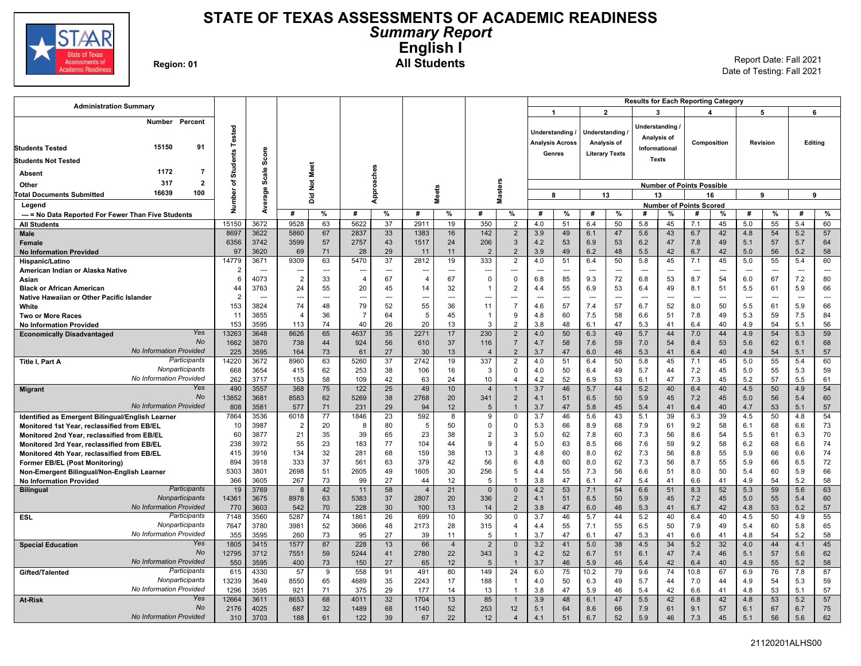

### **STATE OF TEXAS ASSESSMENTS OF ACADEMIC READINESS** *Summary Report* **English I Region: 01 All Students** Report Date: Fall 2021

Date of Testing: Fall 2021

| <b>Administration Summary</b>                                                              |                        |              |                                  |                 |                |                       |                |                      |                       |                                  |                        |                          |                       |                | <b>Results for Each Reporting Category</b> |                                  |                |             |               |          |                |                          |
|--------------------------------------------------------------------------------------------|------------------------|--------------|----------------------------------|-----------------|----------------|-----------------------|----------------|----------------------|-----------------------|----------------------------------|------------------------|--------------------------|-----------------------|----------------|--------------------------------------------|----------------------------------|----------------|-------------|---------------|----------|----------------|--------------------------|
|                                                                                            |                        |              |                                  |                 |                |                       |                |                      |                       |                                  | $\blacktriangleleft$   |                          |                       | $\overline{2}$ |                                            | 3                                |                |             |               | 5        |                | 6                        |
| Number Percent                                                                             |                        |              |                                  |                 |                |                       |                |                      |                       |                                  |                        |                          |                       |                |                                            | Understanding                    |                |             |               |          |                |                          |
|                                                                                            | <b>Students Tested</b> |              |                                  |                 |                |                       |                |                      |                       |                                  | Understanding          |                          | Understanding         |                |                                            | Analysis of                      |                |             |               |          |                |                          |
| 15150<br>91<br><b>Students Tested</b>                                                      |                        |              |                                  |                 |                |                       |                |                      |                       |                                  | <b>Analysis Across</b> |                          | Analysis of           |                |                                            | Informational                    |                | Composition |               | Revision |                | Editing                  |
|                                                                                            |                        | Score        |                                  |                 |                |                       |                |                      |                       |                                  | Genres                 |                          | <b>Literary Texts</b> |                |                                            |                                  |                |             |               |          |                |                          |
| <b>Students Not Tested</b>                                                                 |                        |              |                                  |                 |                |                       |                |                      |                       |                                  |                        |                          |                       |                |                                            | <b>Texts</b>                     |                |             |               |          |                |                          |
| 1172<br>$\overline{7}$<br><b>Absent</b>                                                    |                        | Scale        |                                  | Meet            |                |                       |                |                      |                       |                                  |                        |                          |                       |                |                                            |                                  |                |             |               |          |                |                          |
| 317<br>$\overline{2}$<br>Other                                                             | ৳                      |              |                                  | $\frac{5}{2}$   |                |                       |                |                      |                       |                                  |                        |                          |                       |                |                                            | <b>Number of Points Possible</b> |                |             |               |          |                |                          |
| 16639<br>100<br><b>Total Documents Submitted</b>                                           | Number                 | 응,           |                                  | ă               |                | Approaches            |                | <b>Meets</b>         |                       | <b>Masters</b>                   |                        | 8                        | 13                    |                |                                            | 13                               |                | 16          |               | 9        |                | 9                        |
| Legend                                                                                     |                        | ēïā          |                                  |                 |                |                       |                |                      |                       |                                  |                        |                          |                       |                |                                            | <b>Number of Points Scored</b>   |                |             |               |          |                |                          |
| --- = No Data Reported For Fewer Than Five Students                                        |                        | È            | #                                | %               | #              | $\%$                  | #              | %                    | #                     | $\%$                             | #                      | %                        | #                     | %              | #                                          | %                                | #              | %           | #             | %        | #              | %                        |
| <b>All Students</b>                                                                        | 15150                  | 3672         | 9528                             | 63              | 5622           | 37                    | 2911           | 19                   | 350                   | $\overline{2}$                   | 4.0                    | 51                       | 6.4                   | 50             | 5.8                                        | 45                               | 7.1            | 45          | 5.0           | 55       | 5.4            | 60                       |
| Male                                                                                       | 8697                   | 3622         | 5860                             | 67              | 2837           | 33                    | 1383           | 16                   | 142                   | $\overline{2}$                   | 3.9                    | 49                       | 6.1                   | 47             | 5.6                                        | 43                               | 6.7            | 42          | 4.8           | 54       | 5.2            | 57                       |
| Female                                                                                     | 6356                   | 3742         | 3599                             | 57              | 2757           | 43                    | 1517           | 24                   | 206                   | $\mathbf{3}$                     | 4.2                    | 53                       | 6.9                   | 53             | 6.2                                        | 47                               | 7.8            | 49          | 5.1           | 57       | 5.7            | 64                       |
| <b>No Information Provided</b>                                                             | 97<br>14779            | 3620<br>3671 | 69                               | 71              | 28<br>5470     | 29<br>37              | 11<br>2812     | 11                   | $\overline{2}$<br>333 | $\overline{2}$                   | 3.9                    | 49<br>51                 | 6.2                   | 48<br>50       | 5.5                                        | 42                               | 6.7<br>7.1     | 42<br>45    | 5.0           | 56<br>55 | 5.2<br>5.4     | 58                       |
| Hispanic/Latino                                                                            | $\overline{2}$         |              | 9309<br>$\overline{\phantom{a}}$ | 63<br>---       |                | $\overline{a}$        | ---            | 19                   | ---                   | $\overline{2}$<br>---            | 4.0                    | $\overline{\phantom{a}}$ | 6.4<br>$\overline{a}$ |                | 5.8<br>$\sim$                              | 45<br>---                        | $\overline{a}$ |             | 5.0<br>$\sim$ | -−-      | $\overline{a}$ | 60<br>$\sim$             |
| American Indian or Alaska Native<br>Asian                                                  | 6                      | 4073         | $\overline{2}$                   | 33              | $\overline{4}$ | 67                    | $\overline{4}$ | 67                   | $\mathsf 0$           | $\mathsf 0$                      | 6.8                    | 85                       | 9.3                   | 72             | 6.8                                        | 53                               | 8.7            | 54          | 6.0           | 67       | 7.2            | 80                       |
| <b>Black or African American</b>                                                           | 44                     | 3763         | 24                               | 55              | 20             | 45                    | 14             | 32                   | -1                    | $\overline{2}$                   | 4.4                    | 55                       | 6.9                   | 53             | 6.4                                        | 49                               | 8.1            | 51          | 5.5           | 61       | 5.9            | 66                       |
| Native Hawaiian or Other Pacific Islander                                                  | $\overline{2}$         | $\sim$       | ---                              | $\sim$          | ---            | $\sim$                | $\overline{a}$ | ---                  | ---                   | <u>.</u>                         |                        | $\hspace{0.05cm} \ldots$ | $\sim$                | $\overline{a}$ | $\sim$                                     | $\overline{a}$                   | $\sim$         | ---         | $\sim$        |          | $\sim$         | $\overline{\phantom{a}}$ |
| White                                                                                      | 153                    | 3824         | 74                               | 48              | 79             | 52                    | 55             | 36                   | 11                    | $\overline{7}$                   | 4.6                    | 57                       | 7.4                   | 57             | 6.7                                        | 52                               | 8.0            | 50          | 5.5           | 61       | 5.9            | 66                       |
| <b>Two or More Races</b>                                                                   | 11                     | 3855         | $\overline{\phantom{a}}$         | 36              | $\overline{7}$ | 64                    | 5              | 45                   | -1                    | 9                                | 4.8                    | 60                       | 7.5                   | 58             | 6.6                                        | 51                               | 7.8            | 49          | 5.3           | 59       | 7.5            | 84                       |
| <b>No Information Provided</b>                                                             | 153                    | 3595         | 113                              | 74              | 40             | 26                    | 20             | 13                   | $\mathcal{R}$         | $\overline{2}$                   | 3.8                    | 48                       | 6.1                   | 47             | 5.3                                        | 41                               | 6.4            | 40          | 4.9           | 54       | 5.1            | 56                       |
| Yes<br><b>Economically Disadvantaged</b>                                                   | 13263                  | 3648         | 8626                             | 65              | 4637           | 35                    | 2271           | 17                   | 230                   | $\overline{2}$                   | 4.0                    | 50                       | 6.3                   | 49             | 5.7                                        | 44                               | 7.0            | 44          | 4.9           | 54       | 5.3            | 59                       |
| No<br><b>No Information Provided</b>                                                       | 1662                   | 3870         | 738                              | 44              | 924            | 56                    | 610            | 37                   | 116                   | $\overline{7}$                   | 4.7                    | 58                       | 7.6                   | 59             | 7.0                                        | 54                               | 8.4            | 53          | 5.6           | 62       | 6.1            | 68                       |
| Participants                                                                               | 225<br>14220           | 3595<br>3672 | 164<br>8960                      | 73<br>63        | 61<br>5260     | 27<br>$\overline{37}$ | 30<br>2742     | 13<br>19             | $\overline{4}$<br>337 | $\overline{2}$<br>$\overline{2}$ | 3.7<br>4.0             | 47<br>51                 | 6.0<br>6.4            | 46<br>50       | 5.3<br>5.8                                 | 41<br>45                         | 6.4<br>7.1     | 40<br>45    | 4.9<br>5.0    | 54<br>55 | 5.1<br>5.4     | 57<br>60                 |
| Title I, Part A<br>Nonparticipants                                                         | 668                    | 3654         | 415                              | 62              | 253            | 38                    | 106            | 16                   | 3                     | $\mathbf 0$                      | 4.0                    | 50                       | 6.4                   | 49             | 5.7                                        | 44                               | 7.2            | 45          | 5.0           | 55       | 5.3            | 59                       |
| No Information Provided                                                                    | 262                    | 3717         | 153                              | 58              | 109            | 42                    | 63             | 24                   | 10                    | $\overline{4}$                   | 4.2                    | 52                       | 6.9                   | 53             | 6.1                                        | 47                               | 7.3            | 45          | 5.2           | 57       | 5.5            | 61                       |
| Yes<br><b>Migrant</b>                                                                      | 490                    | 3557         | 368                              | 75              | 122            | 25                    | 49             | 10                   | $\overline{4}$        | $\overline{1}$                   | 3.7                    | 46                       | 5.7                   | 44             | 5.2                                        | 40                               | 6.4            | 40          | 4.5           | 50       | 4.9            | 54                       |
| No                                                                                         | 13852                  | 3681         | 8583                             | 62              | 5269           | 38                    | 2768           | 20                   | 341                   | $\overline{2}$                   | 4.1                    | 51                       | 6.5                   | 50             | 5.9                                        | 45                               | 7.2            | 45          | 5.0           | 56       | 5.4            | 60                       |
| <b>No Information Provided</b>                                                             | 808                    | 3581         | 577                              | 71              | 231            | 29                    | 94             | 12                   | 5                     | $\overline{1}$                   | 3.7                    | 47                       | 5.8                   | 45             | 5.4                                        | 41                               | 6.4            | 40          | 4.7           | 53       | 5.1            | 57                       |
| Identified as Emergent Bilingual/English Learner                                           | 7864                   | 3536         | 6018                             | $\overline{77}$ | 1846           | 23                    | 592            | 8                    | 9                     | $\mathbf 0$                      | 3.7                    | 46                       | 5.6                   | 43             | 5.1                                        | 39                               | 6.3            | 39          | 4.5           | 50       | 4.8            | 54                       |
| Monitored 1st Year, reclassified from EB/EL                                                | 10                     | 3987         | $\overline{2}$                   | 20              | 8              | 80                    | 5              | 50                   | $\Omega$              | $\overline{0}$                   | 5.3                    | 66                       | 8.9                   | 68             | 7.9                                        | 61                               | 9.2            | 58          | 6.1           | 68       | 6.6            | 73                       |
| Monitored 2nd Year, reclassified from EB/EL                                                | 60                     | 3877         | 21<br>55                         | 35              | 39<br>183      | 65<br>77              | 23<br>104      | 38<br>44             | $\overline{2}$<br>9   | 3<br>$\overline{4}$              | 5.0                    | 62                       | 7.8                   | 60             | 7.3                                        | 56                               | 8.6            | 54<br>58    | 5.5           | 61<br>68 | 6.3<br>6.6     | 70<br>74                 |
| Monitored 3rd Year, reclassified from EB/EL<br>Monitored 4th Year, reclassified from EB/EL | 238<br>415             | 3972<br>3916 | 134                              | 23<br>32        | 281            | 68                    | 159            | 38                   | 13                    | 3                                | 5.0<br>4.8             | 63<br>60                 | 8.5<br>8.0            | 66<br>62       | 7.6<br>7.3                                 | 59<br>56                         | 9.2<br>8.8     | 55          | 6.2<br>5.9    | 66       | 6.6            | 74                       |
| Former EB/EL (Post Monitoring)                                                             | 894                    | 3918         | 333                              | 37              | 561            | 63                    | 379            | 42                   | 56                    | 6                                | 4.8                    | 60                       | 8.0                   | 62             | 7.3                                        | 56                               | 8.7            | 55          | 5.9           | 66       | 6.5            | 72                       |
| Non-Emergent Bilingual/Non-English Learner                                                 | 5303                   | 3801         | 2698                             | 51              | 2605           | 49                    | 1605           | 30                   | 256                   | 5                                | 4.4                    | 55                       | 7.3                   | 56             | 6.6                                        | 51                               | 8.0            | 50          | 5.4           | 60       | 5.9            | 66                       |
| <b>No Information Provided</b>                                                             | 366                    | 3605         | 267                              | 73              | 99             | 27                    | 44             | 12                   | 5                     | $\overline{1}$                   | 3.8                    | 47                       | 6.1                   | 47             | 5.4                                        | 41                               | 6.6            | 41          | 4.9           | 54       | 5.2            | 58                       |
| Participants<br><b>Bilingual</b>                                                           | 19                     | 3769         | 8                                | 42              | 11             | 58                    | $\overline{4}$ | 21                   | $\mathbf{0}$          | $\mathbf 0$                      | 4.2                    | 53                       | 7.1                   | 54             | 6.6                                        | 51                               | 8.3            | 52          | 5.3           | 59       | 5.6            | 63                       |
| Nonparticipants                                                                            | 14361                  | 3675         | 8978                             | 63              | 5383           | 37                    | 2807           | 20                   | 336                   | $\overline{2}$                   | 4.1                    | 51                       | 6.5                   | 50             | 5.9                                        | 45                               | 7.2            | 45          | 5.0           | 55       | 5.4            | 60                       |
| No Information Provided                                                                    | 770                    | 3603         | 542                              | 70              | 228            | 30                    | 100            | 13                   | 14                    | $\overline{2}$                   | 3.8                    | 47                       | 6.0                   | 46             | 5.3                                        | 41                               | 6.7            | 42          | 4.8           | 53       | 5.2            | 57                       |
| Participants<br><b>ESL</b>                                                                 | 7148                   | 3560         | 5287                             | 74              | 1861           | 26                    | 699            | 10                   | 30                    | $\Omega$                         | 3.7                    | 46                       | 5.7                   | 44             | 5.2                                        | 40                               | 6.4            | 40          | 4.5           | 50       | 4.9            | 55                       |
| Nonparticipants<br>No Information Provided                                                 | 7647                   | 3780<br>3595 | 3981                             | 52              | 3666           | 48<br>27              | 2173           | 28                   | 315                   | $\overline{4}$<br>$\overline{1}$ | 4.4                    | 55<br>47                 | 7.1<br>6.1            | 55<br>47       | 6.5<br>5.3                                 | 50                               | 7.9            | 49<br>41    | 5.4           | 60<br>54 | 5.8<br>5.2     | 65<br>58                 |
| Yes                                                                                        | 355<br>1805            | 3415         | 260<br>1577                      | 73<br>87        | 95<br>228      | 13                    | 39<br>66       | 11<br>$\overline{4}$ | 5<br>2                | $\mathbf 0$                      | 3.7<br>3.2             | 41                       | 5.0                   | 38             | 4.5                                        | 41<br>34                         | 6.6<br>5.2     | 32          | 4.8<br>4.0    | 44       | 4.1            | 45                       |
| <b>Special Education</b><br>No                                                             | 12795                  | 3712         | 7551                             | 59              | 5244           | 41                    | 2780           | 22                   | 343                   | 3                                | 4.2                    | 52                       | 6.7                   | 51             | 6.1                                        | 47                               | 7.4            | 46          | 5.1           | 57       | 5.6            | 62                       |
| <b>No Information Provided</b>                                                             | 550                    | 3595         | 400                              | $73\,$          | 150            | 27                    | 65             | 12                   | 5                     | $\overline{1}$                   | 3.7                    | 46                       | 5.9                   | 46             | 5.4                                        | 42                               | 6.4            | 40          | 4.9           | 55       | 5.2            | 58                       |
| Participants<br>Gifted/Talented                                                            | 615                    | 4330         | 57                               | 9               | 558            | 91                    | 491            | 80                   | 149                   | 24                               | 6.0                    | 75                       | 10.2                  | 79             | 9.6                                        | 74                               | 10.8           | 67          | 6.9           | 76       | 7.8            | 87                       |
| Nonparticipants                                                                            | 13239                  | 3649         | 8550                             | 65              | 4689           | 35                    | 2243           | 17                   | 188                   | $\overline{1}$                   | 4.0                    | 50                       | 6.3                   | 49             | 5.7                                        | 44                               | 7.0            | 44          | 4.9           | 54       | 5.3            | 59                       |
| No Information Provided                                                                    | 1296                   | 3595         | 921                              | 71              | 375            | 29                    | 177            | 14                   | 13                    | $\overline{1}$                   | 3.8                    | 47                       | 5.9                   | 46             | 5.4                                        | 42                               | 6.6            | 41          | 4.8           | 53       | 5.1            | 57                       |
| Yes<br><b>At-Risk</b>                                                                      | 12664                  | 3611         | 8653                             | 68              | 4011           | 32                    | 1704           | 13                   | 85                    | $\overline{1}$                   | 3.9                    | 48                       | 6.1                   | 47             | 5.5                                        | 42                               | 6.8            | 42          | 4.8           | 53       | 5.2            | 57                       |
| <b>No</b>                                                                                  | 2176                   | 4025         | 687                              | 32              | 1489           | 68                    | 1140           | 52                   | 253                   | 12                               | 5.1                    | 64                       | 8.6                   | 66             | 7.9                                        | 61                               | 9.1            | 57          | 6.1           | 67       | 6.7            | 75                       |
| <b>No Information Provided</b>                                                             | 310                    | 3703         | 188                              | 61              | 122            | 39                    | 67             | 22                   | 12                    | $\overline{4}$                   | 4.1                    | 51                       | 6.7                   | 52             | 5.9                                        | 46                               | 7.3            | 45          | 5.1           | 56       | 5.6            | 62                       |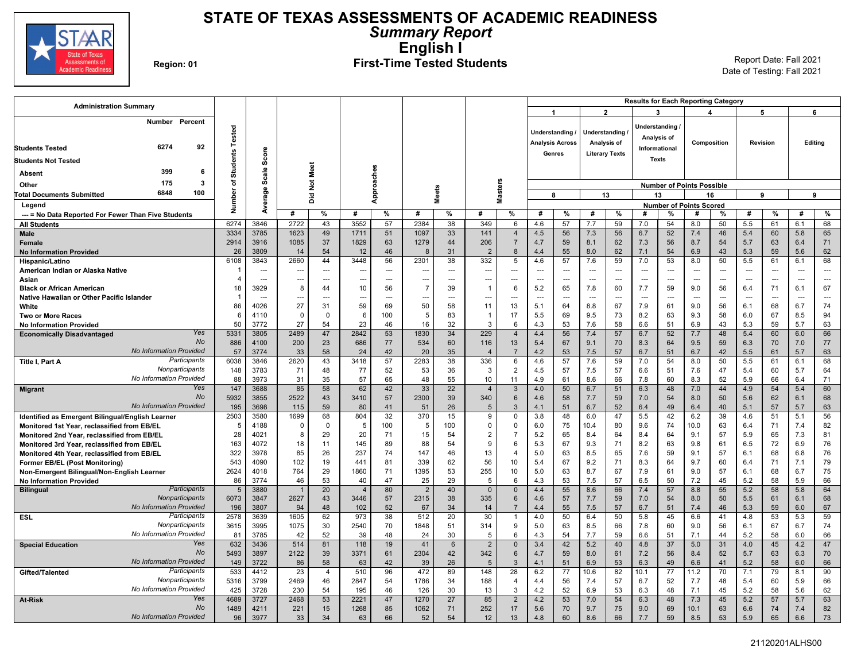

## **STATE OF TEXAS ASSESSMENTS OF ACADEMIC READINESS** *Summary Report* **English I**

# Region: 01 **First-Time Tested Students** Report Date: Fall 2021

| <b>Administration Summary</b>                                                              |                 |                          |             |                |                |                |                |                       |                       |                      |                        |                          |                          |                | <b>Results for Each Reporting Category</b> |                |                                  |                        |                |          |                          |                          |
|--------------------------------------------------------------------------------------------|-----------------|--------------------------|-------------|----------------|----------------|----------------|----------------|-----------------------|-----------------------|----------------------|------------------------|--------------------------|--------------------------|----------------|--------------------------------------------|----------------|----------------------------------|------------------------|----------------|----------|--------------------------|--------------------------|
|                                                                                            |                 |                          |             |                |                |                |                |                       |                       |                      | 1                      |                          |                          | $\overline{2}$ |                                            | 3              |                                  | $\boldsymbol{\Lambda}$ |                | 5        |                          | 6                        |
| Number<br>Percent                                                                          |                 |                          |             |                |                |                |                |                       |                       |                      |                        |                          |                          |                |                                            | Understanding  |                                  |                        |                |          |                          |                          |
|                                                                                            | Tested          |                          |             |                |                |                |                |                       |                       |                      | <b>Understanding</b>   |                          | Understanding            |                |                                            | Analysis of    |                                  |                        |                |          |                          |                          |
| 6274<br>92<br><b>Students Tested</b>                                                       |                 |                          |             |                |                |                |                |                       |                       |                      | <b>Analysis Across</b> |                          | Analysis of              |                |                                            | Informational  |                                  | Composition            |                | Revision |                          | Editing                  |
|                                                                                            | <b>Students</b> | Score                    |             |                |                |                |                |                       |                       |                      |                        | Genres                   | <b>Literary Texts</b>    |                |                                            | <b>Texts</b>   |                                  |                        |                |          |                          |                          |
| <b>Students Not Tested</b>                                                                 |                 |                          |             |                |                |                |                |                       |                       |                      |                        |                          |                          |                |                                            |                |                                  |                        |                |          |                          |                          |
| 399<br>6<br>Absent                                                                         |                 | Scale                    |             | Meet           |                |                |                |                       |                       |                      |                        |                          |                          |                |                                            |                |                                  |                        |                |          |                          |                          |
| $\overline{\mathbf{3}}$<br>175<br>Other                                                    | ৳               |                          |             | $\frac{5}{2}$  |                |                |                |                       |                       |                      |                        |                          |                          |                |                                            |                | <b>Number of Points Possible</b> |                        |                |          |                          |                          |
| 6848<br>100<br><b>Total Documents Submitted</b>                                            | Number          | erage                    |             | ă              |                | Approaches     |                | <b>Meets</b>          |                       | <b>Masters</b>       |                        | 8                        | 13                       |                |                                            | 13             |                                  | 16                     |                | 9        | 9                        |                          |
| Legend                                                                                     |                 | à                        |             |                |                |                |                |                       |                       |                      |                        |                          |                          |                |                                            |                | <b>Number of Points Scored</b>   |                        |                |          |                          |                          |
| --- = No Data Reported For Fewer Than Five Students                                        |                 |                          | #           | %              | #              | %              | #              | %                     | #                     | %                    | #                      | %                        | #                        | %              | #                                          | %              | #                                | %                      | #              | %        | #                        | %                        |
| <b>All Students</b>                                                                        | 6274            | 3846                     | 2722        | 43             | 3552           | 57             | 2384           | 38                    | 349                   | 6                    | 4.6                    | 57                       | 7.7                      | 59             | 7.0                                        | 54             | 8.0                              | 50                     | 5.5            | 61       | 6.1                      | 68                       |
| Male                                                                                       | 3334            | 3785                     | 1623        | 49             | 1711           | 51             | 1097           | 33                    | 141                   | $\overline{4}$       | 4.5                    | 56                       | 7.3                      | 56             | 6.7                                        | 52             | 7.4                              | 46                     | 5.4            | 60       | 5.8                      | 65                       |
| <b>Female</b>                                                                              | 2914<br>26      | 3916<br>3809             | 1085<br>14  | 37<br>54       | 1829<br>12     | 63<br>46       | 1279<br>8      | 44<br>31              | 206<br>$\overline{2}$ | $\overline{7}$<br>8  | 4.7<br>4.4             | 59<br>55                 | 8.1<br>8.0               | 62<br>62       | 7.3<br>7.1                                 | 56<br>54       | 8.7<br>6.9                       | 54<br>43               | 5.7<br>5.3     | 63<br>59 | 6.4<br>5.6               | 71<br>62                 |
| <b>No Information Provided</b><br>Hispanic/Latino                                          | 6108            | 3843                     | 2660        | 44             | 3448           | 56             | 2301           | 38                    | 332                   | 5                    | 4.6                    | 57                       | 7.6                      | 59             | 7.0                                        | 53             | 8.0                              | 50                     | 5.5            | 61       | 6.1                      | 68                       |
| American Indian or Alaska Native                                                           |                 | $\hspace{0.05cm} \cdots$ | ---         | ---            | --             | $\overline{a}$ | ---            | $\overline{a}$        | ---                   | ---                  | ---                    | $\overline{\phantom{a}}$ | $\overline{\phantom{a}}$ | $\sim$         | $\sim$                                     | ---            | ---                              | ---                    | ---            | ÷÷       | $\overline{\phantom{a}}$ | $\overline{\phantom{a}}$ |
| Asian                                                                                      | $\overline{4}$  | $\overline{a}$           | ---         | $\overline{a}$ |                | $\overline{a}$ | ---            |                       | ---                   | $\overline{a}$       |                        | $\overline{a}$           | ---                      | $---$          | $\overline{a}$                             | $\overline{a}$ | $\overline{\phantom{a}}$         | $\overline{a}$         | $\overline{a}$ |          | $\sim$                   | $\sim$                   |
| <b>Black or African American</b>                                                           | 18              | 3929                     | 8           | 44             | 10             | 56             | $\overline{7}$ | 39                    | $\overline{1}$        | 6                    | 5.2                    | 65                       | 7.8                      | 60             | 7.7                                        | 59             | 9.0                              | 56                     | 6.4            | 71       | 6.1                      | 67                       |
| Native Hawaiian or Other Pacific Islander                                                  | -1              | $\overline{\phantom{a}}$ | --          | ---            |                | ---            | −−             |                       | ---                   | ---                  | ---                    | ---                      | $\overline{\phantom{a}}$ | $\overline{a}$ | $\overline{\phantom{a}}$                   | $\overline{a}$ | $\sim$                           | $\overline{a}$         | $\overline{a}$ | ---      | $\sim$                   | ---                      |
| White                                                                                      | 86              | 4026                     | 27          | 31             | 59             | 69             | 50             | 58                    | 11                    | 13                   | 5.1                    | 64                       | 8.8                      | 67             | 7.9                                        | 61             | 9.0                              | 56                     | 6.1            | 68       | 6.7                      | 74                       |
| <b>Two or More Races</b>                                                                   | 6               | 4110                     | $\mathbf 0$ | $\mathbf 0$    | 6              | 100            | 5              | 83                    | -1                    | 17                   | 5.5                    | 69                       | 9.5                      | 73             | 8.2                                        | 63             | 9.3                              | 58                     | 6.0            | 67       | 8.5                      | 94                       |
| <b>No Information Provided</b>                                                             | 50              | 3772                     | 27          | 54             | 23             | 46             | 16             | 32                    | $\mathcal{R}$         | 6                    | 4.3                    | 53                       | 7.6                      | 58             | 6.6                                        | 51             | 6.9                              | 43                     | 5.3            | 59       | 5.7                      | 63                       |
| Yes<br><b>Economically Disadvantaged</b>                                                   | 5331            | 3805                     | 2489        | 47             | 2842           | 53             | 1830           | 34                    | 229                   | $\overline{4}$       | 4.4                    | 56                       | 7.4                      | 57             | 6.7                                        | 52             | 7.7                              | 48                     | 5.4            | 60       | 6.0                      | 66                       |
| No<br><b>No Information Provided</b>                                                       | 886<br>57       | 4100<br>3774             | 200<br>33   | 23<br>58       | 686<br>24      | 77<br>42       | 534<br>20      | 60<br>35              | 116<br>$\overline{4}$ | 13<br>$\overline{7}$ | 5.4<br>4.2             | 67<br>53                 | 9.1<br>7.5               | 70<br>57       | 8.3<br>6.7                                 | 64<br>51       | 9.5<br>6.7                       | 59<br>42               | 6.3<br>5.5     | 70<br>61 | 7.0<br>5.7               | 77<br>63                 |
| Participants<br>Title I, Part A                                                            | 6038            | 3846                     | 2620        | 43             | 3418           | 57             | 2283           | 38                    | 336                   | 6                    | 4.6                    | 57                       | 7.6                      | 59             | 7.0                                        | 54             | 8.0                              | 50                     | 5.5            | 61       | 6.1                      | 68                       |
| Nonparticipants                                                                            | 148             | 3783                     | 71          | 48             | 77             | 52             | 53             | 36                    | 3                     | 2                    | 4.5                    | 57                       | 7.5                      | 57             | 6.6                                        | 51             | 7.6                              | 47                     | 5.4            | 60       | 5.7                      | 64                       |
| No Information Provided                                                                    | 88              | 3973                     | 31          | 35             | 57             | 65             | 48             | 55                    | 10                    | 11                   | 4.9                    | 61                       | 8.6                      | 66             | 7.8                                        | 60             | 8.3                              | 52                     | 5.9            | 66       | 6.4                      | 71                       |
| Yes<br><b>Migrant</b>                                                                      | 147             | 3688                     | 85          | 58             | 62             | 42             | 33             | 22                    | $\overline{4}$        | 3                    | 4.0                    | 50                       | 6.7                      | 51             | 6.3                                        | 48             | 7.0                              | 44                     | 4.9            | 54       | 5.4                      | 60                       |
| <b>No</b>                                                                                  | 5932            | 3855                     | 2522        | 43             | 3410           | 57             | 2300           | 39                    | 340                   | 6                    | 4.6                    | 58                       | 7.7                      | 59             | 7.0                                        | 54             | 8.0                              | 50                     | 5.6            | 62       | 6.1                      | 68                       |
| <b>No Information Provided</b>                                                             | 195             | 3698                     | 115         | 59             | 80             | 41             | 51             | 26                    | 5                     | 3                    | 4.1                    | 51                       | 6.7                      | 52             | 6.4                                        | 49             | 6.4                              | 40                     | 5.1            | 57       | 5.7                      | 63                       |
| Identified as Emergent Bilingual/English Learner                                           | 2503            | 3580                     | 1699        | 68             | 804            | 32             | 370            | 15                    | 9                     | $\mathbf 0$          | 3.8                    | 48                       | 6.0                      | 47             | 5.5                                        | 42             | 6.2                              | 39                     | 4.6            | 51       | 5.1                      | 56                       |
| Monitored 1st Year, reclassified from EB/EL                                                | 5               | 4188                     | $\mathbf 0$ | $\mathbf 0$    | -5             | 100            | 5              | 100                   | $\Omega$              | $\Omega$             | 6.0                    | 75                       | 10.4                     | 80             | 9.6                                        | 74             | 10.0                             | 63                     | 6.4            | 71       | 7.4                      | 82                       |
| Monitored 2nd Year, reclassified from EB/EL                                                | 28              | 4021                     | 8<br>18     | 29             | 20             | 71             | 15             | 54<br>54              | $\overline{2}$<br>9   | $\overline{7}$<br>6  | 5.2<br>5.3             | 65<br>67                 | 8.4<br>9.3               | 64             | 8.4                                        | 64<br>63       | 9.1                              | 57<br>61               | 5.9            | 65<br>72 | 7.3<br>6.9               | 81<br>76                 |
| Monitored 3rd Year, reclassified from EB/EL<br>Monitored 4th Year, reclassified from EB/EL | 163<br>322      | 4072<br>3978             | 85          | 11<br>26       | 145<br>237     | 89<br>74       | 88<br>147      | 46                    | 13                    | $\overline{4}$       | 5.0                    | 63                       | 8.5                      | 71<br>65       | 8.2<br>7.6                                 | 59             | 9.8<br>9.1                       | 57                     | 6.5<br>6.1     | 68       | 6.8                      | 76                       |
| <b>Former EB/EL (Post Monitoring)</b>                                                      | 543             | 4090                     | 102         | 19             | 441            | 81             | 339            | 62                    | 56                    | 10                   | 5.4                    | 67                       | 9.2                      | 71             | 8.3                                        | 64             | 9.7                              | 60                     | 6.4            | 71       | 7.1                      | 79                       |
| Non-Emergent Bilingual/Non-English Learner                                                 | 2624            | 4018                     | 764         | 29             | 1860           | 71             | 1395           | 53                    | 255                   | 10                   | 5.0                    | 63                       | 8.7                      | 67             | 7.9                                        | 61             | 9.0                              | 57                     | 6.1            | 68       | 6.7                      | 75                       |
| <b>No Information Provided</b>                                                             | 86              | 3774                     | 46          | 53             | 40             | 47             | 25             | 29                    | 5                     | 6                    | 4.3                    | 53                       | 7.5                      | 57             | 6.5                                        | 50             | 7.2                              | 45                     | 5.2            | 58       | 5.9                      | 66                       |
| Participants<br><b>Bilingual</b>                                                           | 5               | 3880                     |             | 20             | $\overline{4}$ | 80             | 2              | 40                    | $\mathbf{0}$          | $\Omega$             | 4.4                    | 55                       | 8.6                      | 66             | 7.4                                        | 57             | 8.8                              | 55                     | 5.2            | 58       | 5.8                      | 64                       |
| Nonparticipants                                                                            | 6073            | 3847                     | 2627        | 43             | 3446           | 57             | 2315           | 38                    | 335                   | 6                    | 4.6                    | 57                       | 7.7                      | 59             | 7.0                                        | 54             | 8.0                              | 50                     | 5.5            | 61       | 6.1                      | 68                       |
| <b>No Information Provided</b>                                                             | 196             | 3807                     | 94          | 48             | 102            | 52             | 67             | 34                    | 14                    | $\overline{7}$       | 4.4                    | 55                       | 7.5                      | 57             | 6.7                                        | 51             | 7.4                              | 46                     | 5.3            | 59       | 6.0                      | 67                       |
| Participants<br>ESL                                                                        | 2578            | 3639                     | 1605        | 62             | 973            | 38             | 512            | 20                    | 30                    | -1                   | 4.0                    | 50                       | 6.4                      | 50             | 5.8                                        | 45             | 6.6                              | 41                     | 4.8            | 53       | 5.3                      | 59                       |
| Nonparticipants<br>No Information Provided                                                 | 3615            | 3995                     | 1075        | 30             | 2540           | 70             | 1848           | 51                    | 314                   | 9                    | 5.0                    | 63                       | 8.5                      | 66             | 7.8                                        | 60             | 9.0                              | 56                     | 6.1            | 67       | 6.7                      | 74                       |
| Yes                                                                                        | 81<br>632       | 3785<br>3436             | 42<br>514   | 52<br>81       | 39<br>118      | 48<br>19       | 24<br>41       | 30                    | -5<br>$\overline{2}$  | 6<br>$\mathbf{0}$    | 4.3<br>3.4             | 54<br>42                 | 7.7<br>5.2               | 59<br>40       | 6.6<br>4.8                                 | 51<br>37       | 7.1<br>5.0                       | 44<br>31               | 5.2<br>4.0     | 58<br>45 | 6.0<br>4.2               | 66<br>47                 |
| <b>Special Education</b><br>No                                                             | 5493            | 3897                     | 2122        | 39             | 3371           | 61             | 2304           | $6\phantom{1}6$<br>42 | 342                   | 6                    | 4.7                    | 59                       | 8.0                      | 61             | 7.2                                        | 56             | 8.4                              | 52                     | 5.7            | 63       | 6.3                      | 70                       |
| <b>No Information Provided</b>                                                             | 149             | 3722                     | 86          | 58             | 63             | 42             | 39             | 26                    | 5                     | 3                    | 4.1                    | 51                       | 6.9                      | 53             | 6.3                                        | 49             | 6.6                              | 41                     | 5.2            | 58       | 6.0                      | 66                       |
| Participants<br>Gifted/Talented                                                            | 533             | 4412                     | 23          | 4              | 510            | 96             | 472            | 89                    | 148                   | 28                   | 6.2                    | 77                       | 10.6                     | 82             | 10.1                                       | 77             | 11.2                             | 70                     | 7.1            | 79       | 8.1                      | 90                       |
| Nonparticipants                                                                            | 5316            | 3799                     | 2469        | 46             | 2847           | 54             | 1786           | 34                    | 188                   | $\overline{4}$       | 4.4                    | 56                       | 7.4                      | 57             | 6.7                                        | 52             | 7.7                              | 48                     | 5.4            | 60       | 5.9                      | 66                       |
| <b>No Information Provided</b>                                                             | 425             | 3728                     | 230         | 54             | 195            | 46             | 126            | 30                    | 13                    | 3                    | 4.2                    | 52                       | 6.9                      | 53             | 6.3                                        | 48             | 7.1                              | 45                     | 5.2            | 58       | 5.6                      | 62                       |
| Yes<br><b>At-Risk</b>                                                                      | 4689            | 3727                     | 2468        | 53             | 2221           | 47             | 1270           | 27                    | 85                    | $\overline{2}$       | 4.2                    | 53                       | 7.0                      | 54             | 6.3                                        | 48             | 7.3                              | 45                     | 5.2            | 57       | 5.7                      | 63                       |
| <b>No</b>                                                                                  | 1489            | 4211                     | 221         | 15             | 1268           | 85             | 1062           | 71                    | 252                   | 17                   | 5.6                    | 70                       | 9.7                      | 75             | 9.0                                        | 69             | 10.1                             | 63                     | 6.6            | 74       | 7.4                      | 82                       |
| <b>No Information Provided</b>                                                             | 96              | 3977                     | 33          | 34             | 63             | 66             | 52             | 54                    | 12                    | 13                   | 4.8                    | 60                       | 8.6                      | 66             | 7.7                                        | 59             | 8.5                              | 53                     | 5.9            | 65       | 6.6                      | 73                       |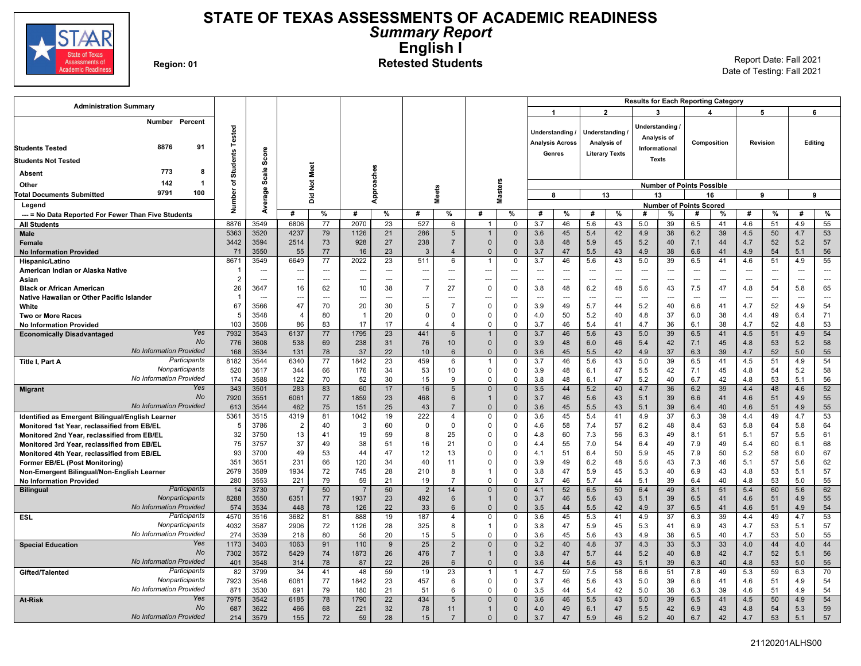

### **STATE OF TEXAS ASSESSMENTS OF ACADEMIC READINESS** *Summary Report* **English I** Region: 01<br>**Region: 01 Retested Students** Report Date: Fall 2021

| <b>Administration Summary</b>                                                       |                 |                                                      |                |                      |             |            |                |                                  |                      |                                  |                        |                                 |                       |                      | <b>Results for Each Reporting Category</b> |                      |                                  |             |                       |                          |            |                          |
|-------------------------------------------------------------------------------------|-----------------|------------------------------------------------------|----------------|----------------------|-------------|------------|----------------|----------------------------------|----------------------|----------------------------------|------------------------|---------------------------------|-----------------------|----------------------|--------------------------------------------|----------------------|----------------------------------|-------------|-----------------------|--------------------------|------------|--------------------------|
|                                                                                     |                 |                                                      |                |                      |             |            |                |                                  |                      |                                  | -1                     |                                 |                       | $\overline{2}$       |                                            | 3                    |                                  | 4           |                       | 5                        |            | 6                        |
| Number Percent                                                                      |                 |                                                      |                |                      |             |            |                |                                  |                      |                                  |                        |                                 |                       |                      |                                            | Understanding /      |                                  |             |                       |                          |            |                          |
|                                                                                     | Tested          |                                                      |                |                      |             |            |                |                                  |                      |                                  |                        | Understanding /                 | Understanding         |                      |                                            | Analysis of          |                                  |             |                       |                          |            |                          |
| 8876<br>91<br><b>Students Tested</b>                                                |                 |                                                      |                |                      |             |            |                |                                  |                      |                                  | <b>Analysis Across</b> |                                 | Analysis of           |                      |                                            | Informational        |                                  | Composition |                       | Revision                 |            | Editing                  |
|                                                                                     | <b>Students</b> | Score                                                |                |                      |             |            |                |                                  |                      |                                  |                        | Genres                          | <b>Literary Texts</b> |                      |                                            |                      |                                  |             |                       |                          |            |                          |
| <b>Students Not Tested</b>                                                          |                 |                                                      |                |                      |             |            |                |                                  |                      |                                  |                        |                                 |                       |                      |                                            | <b>Texts</b>         |                                  |             |                       |                          |            |                          |
| 773<br>8<br><b>Absent</b>                                                           |                 | Scale                                                |                |                      |             |            |                |                                  |                      |                                  |                        |                                 |                       |                      |                                            |                      |                                  |             |                       |                          |            |                          |
| 142<br>-1<br>Other                                                                  | ৳               |                                                      |                | Not Meet             |             |            |                |                                  |                      |                                  |                        |                                 |                       |                      |                                            |                      | <b>Number of Points Possible</b> |             |                       |                          |            |                          |
| 9791<br>100<br><b>Total Documents Submitted</b>                                     | Number          | erage                                                |                | ă                    |             | Approaches |                | <b>Meets</b>                     |                      | <b>Masters</b>                   |                        | 8                               | 13                    |                      |                                            | 13                   |                                  | 16          |                       | 9                        |            | 9                        |
| Legend                                                                              |                 |                                                      |                |                      |             |            |                |                                  |                      |                                  |                        |                                 |                       |                      |                                            |                      | <b>Number of Points Scored</b>   |             |                       |                          |            |                          |
| --- = No Data Reported For Fewer Than Five Students                                 |                 | दे                                                   | #              | %                    | #           | %          | #              | %                                | #                    | %                                | #                      | %                               | #                     | %                    | #                                          | %                    | #                                | %           | #                     | %                        | #          | $\%$                     |
| <b>All Students</b>                                                                 | 8876            | 3549                                                 | 6806           | 77                   | 2070        | 23         | 527            | 6                                | $\mathbf{1}$         | $\Omega$                         | 3.7                    | 46                              | 5.6                   | 43                   | 5.0                                        | 39                   | 6.5                              | 41          | 4.6                   | 51                       | 4.9        | 55                       |
| Male                                                                                | 5363            | 3520                                                 | 4237           | 79                   | 1126        | 21         | 286            | 5                                | $\overline{1}$       | $\overline{0}$                   | 3.6                    | 45                              | 5.4                   | 42                   | 4.9                                        | 38                   | 6.2                              | 39          | 4.5                   | 50                       | 4.7        | 53                       |
| Female                                                                              | 3442            | 3594                                                 | 2514           | 73                   | 928         | 27         | 238            | $\overline{7}$                   | $\Omega$             | $\mathbf{0}$                     | 3.8                    | 48                              | 5.9                   | 45                   | 5.2                                        | 40                   | 7.1                              | 44          | 4.7                   | 52                       | 5.2        | 57                       |
| <b>No Information Provided</b>                                                      | 71              | 3550                                                 | 55             | 77                   | 16          | 23         | $\mathbf{3}$   | $\overline{4}$                   | $\mathbf 0$<br>-1    | $\overline{0}$                   | 3.7                    | 47                              | 5.5                   | 43                   | 4.9                                        | 38                   | 6.6                              | 41          | 4.9                   | 54                       | 5.1        | 56                       |
| Hispanic/Latino                                                                     | 8671<br>-1      | 3549                                                 | 6649           | 77                   | 2022        | 23<br>---  | 511            | 6<br>---                         |                      | 0<br>$\overline{a}$              | 3.7<br>$\overline{a}$  | 46                              | 5.6                   | 43<br>$\overline{a}$ | 5.0<br>---                                 | 39<br>$\overline{a}$ | 6.5<br>---                       | 41          | 4.6<br>$\overline{a}$ | 51<br>---                | 4.9        | 55<br>---                |
| American Indian or Alaska Native<br>Asian                                           | $\overline{2}$  | $\overline{\phantom{a}}$<br>$\overline{\phantom{a}}$ | ---<br>---     | $\cdots$<br>$\cdots$ | ---         | ---        | ---<br>---     |                                  | ---<br>---           | ---                              | ---                    | ---<br>$\overline{\phantom{a}}$ | ---<br>$\overline{a}$ | ---                  | $\overline{a}$                             | ---                  | ---                              | ---<br>---  | $\overline{a}$        | $\overline{\phantom{a}}$ | ---<br>÷-  | $\overline{\phantom{a}}$ |
| <b>Black or African American</b>                                                    | 26              | 3647                                                 | 16             | 62                   | 10          | 38         | $\overline{7}$ | 27                               | $\Omega$             | $\mathbf 0$                      | 3.8                    | 48                              | 6.2                   | 48                   | 5.6                                        | 43                   | 7.5                              | 47          | 4.8                   | 54                       | 5.8        | 65                       |
| Native Hawaiian or Other Pacific Islander                                           | $\mathbf{1}$    | $\overline{\phantom{a}}$                             | ---            | ---                  |             | ---        | ---            |                                  |                      | ---                              |                        | ---                             | --                    | ---                  | ---                                        |                      | ---                              | ---         |                       | $\overline{a}$           |            | ---                      |
| White                                                                               | 67              | 3566                                                 | 47             | 70                   | 20          | 30         | 5              | 7                                | $\Omega$             | $\mathbf 0$                      | 3.9                    | 49                              | 5.7                   | 44                   | 5.2                                        | 40                   | 6.6                              | 41          | 4.7                   | 52                       | 4.9        | 54                       |
| <b>Two or More Races</b>                                                            | 5               | 3548                                                 | $\overline{4}$ | 80                   |             | 20         | $\Omega$       | $\Omega$                         | $\Omega$             | 0                                | 4.0                    | 50                              | 5.2                   | 40                   | 4.8                                        | 37                   | 6.0                              | 38          | 4.4                   | 49                       | 6.4        | 71                       |
| <b>No Information Provided</b>                                                      | 103             | 3508                                                 | 86             | 83                   | 17          | 17         | $\overline{4}$ | $\overline{4}$                   | $\Omega$             | $\Omega$                         | 3.7                    | 46                              | 5.4                   | 41                   | 4.7                                        | 36                   | 6.1                              | 38          | 4.7                   | 52                       | 4.8        | 53                       |
| Yes<br><b>Economically Disadvantaged</b>                                            | 7932            | 3543                                                 | 6137           | 77                   | 1795        | 23         | 441            | 6                                |                      | $\Omega$                         | 3.7                    | 46                              | 5.6                   | 43                   | 5.0                                        | 39                   | 6.5                              | 41          | 4.5                   | 51                       | 4.9        | 54                       |
| <b>No</b>                                                                           | 776             | 3608                                                 | 538            | 69                   | 238         | 31         | 76             | 10                               | $\mathbf{0}$         | $\overline{0}$                   | 3.9                    | 48                              | 6.0                   | 46                   | 5.4                                        | 42                   | 7.1                              | 45          | 4.8                   | 53                       | 5.2        | 58                       |
| <b>No Information Provided</b>                                                      | 168             | 3534                                                 | 131            | 78                   | 37          | 22         | 10             | 6                                | $\Omega$             | $\mathbf{0}$                     | 3.6                    | 45                              | 5.5                   | 42                   | 4.9                                        | 37                   | 6.3                              | 39          | 4.7                   | 52                       | 5.0        | 55                       |
| Participants<br>Title I, Part A<br>Nonparticipants                                  | 8182<br>520     | 3544<br>3617                                         | 6340<br>344    | 77<br>66             | 1842<br>176 | 23<br>34   | 459<br>53      | 6<br>10                          | $\Omega$             | $\Omega$<br>0                    | 3.7<br>3.9             | 46<br>48                        | 5.6                   | 43<br>47             | 5.0<br>5.5                                 | 39                   | 6.5<br>7.1                       | 41<br>45    | 4.5                   | 51<br>54                 | 4.9<br>5.2 | 54<br>58                 |
| No Information Provided                                                             | 174             | 3588                                                 | 122            | 70                   | 52          | 30         | 15             | 9                                | $\Omega$             | $\mathbf 0$                      | 3.8                    | 48                              | 6.1<br>6.1            | 47                   | 5.2                                        | 42<br>40             | 6.7                              | 42          | 4.8<br>4.8            | 53                       | 5.1        | 56                       |
| Yes<br><b>Migrant</b>                                                               | 343             | 3501                                                 | 283            | 83                   | 60          | 17         | 16             | 5                                | $\Omega$             | $\overline{0}$                   | 3.5                    | 44                              | 5.2                   | 40                   | 4.7                                        | 36                   | 6.2                              | 39          | 4.4                   | 48                       | 4.6        | 52                       |
| <b>No</b>                                                                           | 7920            | 3551                                                 | 6061           | 77                   | 1859        | 23         | 468            | 6                                | $\mathbf{1}$         | $\overline{0}$                   | 3.7                    | 46                              | 5.6                   | 43                   | 5.1                                        | 39                   | 6.6                              | 41          | 4.6                   | 51                       | 4.9        | 55                       |
| <b>No Information Provided</b>                                                      | 613             | 3544                                                 | 462            | 75                   | 151         | 25         | 43             | $\overline{7}$                   | $\mathbf{0}$         | $\Omega$                         | 3.6                    | 45                              | 5.5                   | 43                   | 5.1                                        | 39                   | 6.4                              | 40          | 4.6                   | 51                       | 4.9        | 55                       |
| Identified as Emergent Bilingual/English Learner                                    | 5361            | 3515                                                 | 4319           | 81                   | 1042        | 19         | 222            | $\overline{4}$                   | $\Omega$             | $\overline{0}$                   | 3.6                    | 45                              | 5.4                   | 41                   | 4.9                                        | 37                   | 6.3                              | 39          | 4.4                   | 49                       | 4.7        | 53                       |
| Monitored 1st Year, reclassified from EB/EL                                         | 5               | 3786                                                 | $\overline{2}$ | 40                   | 3           | 60         | $\mathbf 0$    | $\Omega$                         | $\Omega$             | $\mathbf 0$                      | 4.6                    | 58                              | 7.4                   | 57                   | 6.2                                        | 48                   | 8.4                              | 53          | 5.8                   | 64                       | 5.8        | 64                       |
| Monitored 2nd Year, reclassified from EB/EL                                         | 32              | 3750                                                 | 13             | 41                   | 19          | 59         | 8              | 25                               | $\Omega$             | $\mathbf 0$                      | 4.8                    | 60                              | 7.3                   | 56                   | 6.3                                        | 49                   | 8.1                              | 51          | 5.1                   | 57                       | 5.5        | 61                       |
| Monitored 3rd Year, reclassified from EB/EL                                         | 75              | 3757                                                 | 37             | 49                   | 38          | 51         | 16             | 21                               | $\Omega$             | $\mathbf 0$                      | 4.4                    | 55                              | 7.0                   | 54                   | 6.4                                        | 49                   | 7.9                              | 49          | 5.4                   | 60                       | 6.1        | 68                       |
| Monitored 4th Year, reclassified from EB/EL                                         | 93<br>351       | 3700<br>3651                                         | 49<br>231      | 53<br>66             | 44<br>120   | 47<br>34   | 12<br>40       | 13<br>11                         |                      | $\mathbf 0$<br>$\Omega$          | 4.1<br>3.9             | 51<br>49                        | 6.4<br>6.2            | 50<br>48             | 5.9<br>5.6                                 | 45<br>43             | 7.9<br>7.3                       | 50<br>46    | 5.2<br>5.1            | 58<br>57                 | 6.0<br>5.6 | 67<br>62                 |
| <b>Former EB/EL (Post Monitoring)</b><br>Non-Emergent Bilingual/Non-English Learner | 2679            | 3589                                                 | 1934           | 72                   | 745         | 28         | 210            | 8                                |                      | $\mathbf 0$                      | 3.8                    | 47                              | 5.9                   | 45                   | 5.3                                        | 40                   | 6.9                              | 43          | 4.8                   | 53                       | 5.1        | 57                       |
| <b>No Information Provided</b>                                                      | 280             | 3553                                                 | 221            | 79                   | 59          | 21         | 19             | $\overline{7}$                   | $\Omega$             | $\mathbf 0$                      | 3.7                    | 46                              | 5.7                   | 44                   | 5.1                                        | 39                   | 6.4                              | 40          | 4.8                   | 53                       | 5.0        | 55                       |
| Participants<br><b>Bilingual</b>                                                    | 14              | 3730                                                 |                | 50                   | 7           | 50         | $\overline{2}$ | 14                               | $\Omega$             | $\Omega$                         | 4.1                    | 52                              | 6.5                   | 50                   | 6.4                                        | 49                   | 8.1                              | 51          | 5.4                   | 60                       | 5.6        | 62                       |
| Nonparticipants                                                                     | 8288            | 3550                                                 | 6351           | 77                   | 1937        | 23         | 492            | 6                                |                      | $\overline{0}$                   | 3.7                    | 46                              | 5.6                   | 43                   | 5.1                                        | 39                   | 6.5                              | 41          | 4.6                   | 51                       | 4.9        | 55                       |
| <b>No Information Provided</b>                                                      | 574             | 3534                                                 | 448            | 78                   | 126         | 22         | 33             | 6                                | $\Omega$             | $\overline{0}$                   | 3.5                    | 44                              | 5.5                   | 42                   | 4.9                                        | 37                   | 6.5                              | 41          | 4.6                   | 51                       | 4.9        | 54                       |
| Participants<br><b>ESL</b>                                                          | 4570            | 3516                                                 | 3682           | 81                   | 888         | 19         | 187            | 4                                | $\Omega$             | $\mathbf 0$                      | 3.6                    | 45                              | 5.3                   | 41                   | 4.9                                        | 37                   | 6.3                              | 39          | 4.4                   | 49                       | 4.7        | 53                       |
| Nonparticipants                                                                     | 4032            | 3587                                                 | 2906           | 72                   | 1126        | 28         | 325            | 8                                | f,                   | $\mathbf 0$                      | 3.8                    | 47                              | 5.9                   | 45                   | 5.3                                        | 41                   | 6.9                              | 43          | 4.7                   | 53                       | 5.1        | 57                       |
| <b>No Information Provided</b><br>Yes                                               | 274             | 3539                                                 | 218            | 80                   | 56          | 20         | 15             | 5                                | $\Omega$<br>$\Omega$ | $\mathsf 0$                      | 3.6                    | 45                              | 5.6                   | 43                   | 4.9                                        | 38                   | 6.5                              | 40          | 4.7                   | 53                       | 5.0        | 55                       |
| <b>Special Education</b><br>No                                                      | 1173<br>7302    | 3403<br>3572                                         | 1063<br>5429   | 91<br>74             | 110<br>1873 | 9<br>26    | 25<br>476      | $\overline{2}$<br>$\overline{7}$ | $\overline{1}$       | $\overline{0}$<br>$\overline{0}$ | 3.2<br>3.8             | 40<br>47                        | 4.8<br>5.7            | 37<br>44             | 4.3<br>5.2                                 | 33<br>40             | 5.3<br>6.8                       | 33<br>42    | 4.0<br>4.7            | 44<br>52                 | 4.0<br>5.1 | 44<br>56                 |
| <b>No Information Provided</b>                                                      | 401             | 3548                                                 | 314            | 78                   | 87          | 22         | 26             | 6                                | $\Omega$             | $\mathbf 0$                      | 3.6                    | 44                              | 5.6                   | 43                   | 5.1                                        | 39                   | 6.3                              | 40          | 4.8                   | 53                       | 5.0        | 55                       |
| Participants<br>Gifted/Talented                                                     | 82              | 3799                                                 | 34             | 41                   | 48          | 59         | 19             | 23                               | $\overline{1}$       | $\overline{1}$                   | 4.7                    | 59                              | 7.5                   | 58                   | 6.6                                        | 51                   | 7.8                              | 49          | 5.3                   | 59                       | 6.3        | 70                       |
| Nonparticipants                                                                     | 7923            | 3548                                                 | 6081           | 77                   | 1842        | 23         | 457            | 6                                | $\Omega$             | $\mathbf 0$                      | 3.7                    | 46                              | 5.6                   | 43                   | 5.0                                        | 39                   | 6.6                              | 41          | 4.6                   | 51                       | 4.9        | 54                       |
| <b>No Information Provided</b>                                                      | 871             | 3530                                                 | 691            | 79                   | 180         | 21         | 51             | 6                                | $\Omega$             | 0                                | 3.5                    | 44                              | 5.4                   | 42                   | 5.0                                        | 38                   | 6.3                              | 39          | 4.6                   | 51                       | 4.9        | 54                       |
| Yes<br>At-Risk                                                                      | 7975            | 3542                                                 | 6185           | 78                   | 1790        | 22         | 434            | 5                                | $\Omega$             | $\Omega$                         | 3.6                    | 46                              | 5.5                   | 43                   | 5.0                                        | 39                   | 6.5                              | 41          | 4.5                   | 50                       | 4.9        | 54                       |
| No                                                                                  | 687             | 3622                                                 | 466            | 68                   | 221         | 32         | 78             | 11                               | $\mathbf{1}$         | $\mathbf 0$                      | 4.0                    | 49                              | 6.1                   | 47                   | 5.5                                        | 42                   | 6.9                              | 43          | 4.8                   | 54                       | 5.3        | 59                       |
| <b>No Information Provided</b>                                                      | 214             | 3579                                                 | 155            | 72                   | 59          | 28         | 15             | $\overline{7}$                   | $\Omega$             | $\mathbf 0$                      | 3.7                    | 47                              | 5.9                   | 46                   | 5.2                                        | 40                   | 6.7                              | 42          | 4.7                   | 53                       | 5.1        | 57                       |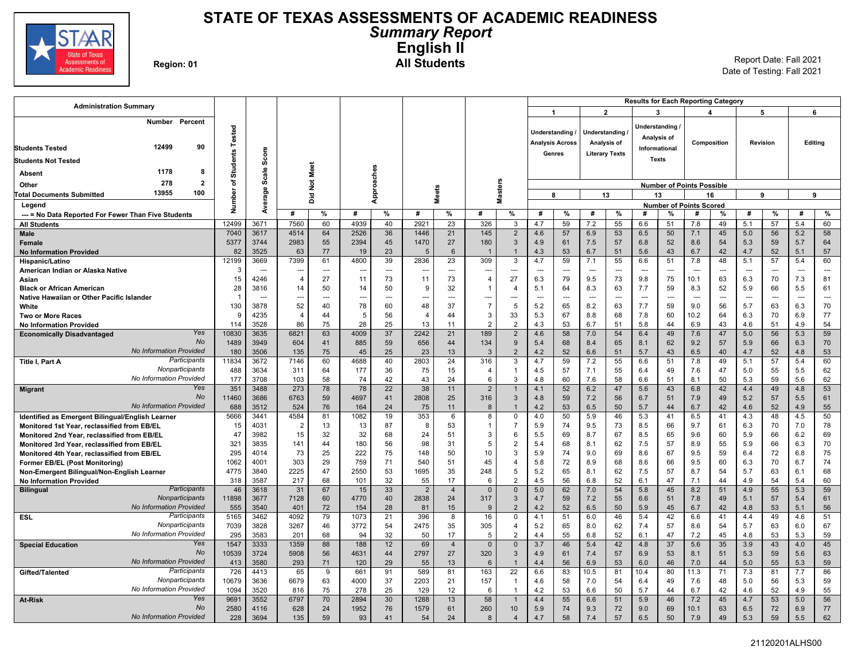

### **STATE OF TEXAS ASSESSMENTS OF ACADEMIC READINESS** *Summary Report* **English II Region: 01 All Students** Report Date: Fall 2021

Date of Testing: Fall 2021

| $\overline{1}$<br>$\overline{2}$<br>6<br>3<br>$\overline{\mathbf{A}}$<br>5<br>Number Percent<br>Understanding<br>Tested<br>Understanding<br>Understanding<br>Analysis of<br>Editing<br><b>Analysis Across</b><br>Analysis of<br>Composition<br>Revision<br>12499<br>90<br><b>Students Tested</b><br>Informational<br>Score<br><b>Students</b><br>Genres<br><b>Literary Texts</b><br><b>Texts</b><br><b>Students Not Tested</b><br>Not Meet<br>Approaches<br>Scale<br>1178<br>8<br>Absent<br><b>Masters</b><br>F<br>278<br>$\overline{2}$<br>Other<br><b>Number of Points Possible</b><br><b>Meets</b><br>erage<br>ត<br>13955<br>100<br>13<br>9<br>9<br><b>Total Documents Submitted</b><br>ă<br>8<br>13<br>16<br>흍<br>Legend<br><b>Number of Points Scored</b><br>ž<br>å<br>%<br>%<br>#<br>%<br>%<br>%<br>#<br>%<br>%<br>#<br>#<br>#<br>%<br>#<br>%<br>#<br>%<br>#<br>#<br>#<br>--- = No Data Reported For Fewer Than Five Students<br>4939<br>2921<br>55<br>12499<br>3671<br>7560<br>60<br>40<br>23<br>326<br>4.7<br>59<br>7.2<br>6.6<br>51<br>7.8<br>49<br>5.1<br>57<br>5.4<br>60<br>3<br><b>All Students</b><br>7040<br>3617<br>4514<br>64<br>2526<br>36<br>1446<br>21<br>145<br>$\overline{2}$<br>4.6<br>57<br>6.9<br>53<br>6.5<br>50<br>7.1<br>45<br>5.0<br>56<br>5.2<br>58<br><b>Male</b><br>5377<br>3744<br>2983<br>55<br>2394<br>45<br>1470<br>27<br>180<br>3<br>4.9<br>61<br>7.5<br>6.8<br>52<br>8.6<br>54<br>5.3<br>59<br>5.7<br>64<br>57<br>Female | <b>Administration Summary</b>  |    |      |    |    |    |    |   |                 |                |     |    |     |    | <b>Results for Each Reporting Category</b> |    |     |    |     |    |     |    |
|---------------------------------------------------------------------------------------------------------------------------------------------------------------------------------------------------------------------------------------------------------------------------------------------------------------------------------------------------------------------------------------------------------------------------------------------------------------------------------------------------------------------------------------------------------------------------------------------------------------------------------------------------------------------------------------------------------------------------------------------------------------------------------------------------------------------------------------------------------------------------------------------------------------------------------------------------------------------------------------------------------------------------------------------------------------------------------------------------------------------------------------------------------------------------------------------------------------------------------------------------------------------------------------------------------------------------------------------------------------------------------------------------------------------------------------------------------------|--------------------------------|----|------|----|----|----|----|---|-----------------|----------------|-----|----|-----|----|--------------------------------------------|----|-----|----|-----|----|-----|----|
|                                                                                                                                                                                                                                                                                                                                                                                                                                                                                                                                                                                                                                                                                                                                                                                                                                                                                                                                                                                                                                                                                                                                                                                                                                                                                                                                                                                                                                                               |                                |    |      |    |    |    |    |   |                 |                |     |    |     |    |                                            |    |     |    |     |    |     |    |
|                                                                                                                                                                                                                                                                                                                                                                                                                                                                                                                                                                                                                                                                                                                                                                                                                                                                                                                                                                                                                                                                                                                                                                                                                                                                                                                                                                                                                                                               |                                |    |      |    |    |    |    |   |                 |                |     |    |     |    |                                            |    |     |    |     |    |     |    |
|                                                                                                                                                                                                                                                                                                                                                                                                                                                                                                                                                                                                                                                                                                                                                                                                                                                                                                                                                                                                                                                                                                                                                                                                                                                                                                                                                                                                                                                               |                                |    |      |    |    |    |    |   |                 |                |     |    |     |    |                                            |    |     |    |     |    |     |    |
|                                                                                                                                                                                                                                                                                                                                                                                                                                                                                                                                                                                                                                                                                                                                                                                                                                                                                                                                                                                                                                                                                                                                                                                                                                                                                                                                                                                                                                                               |                                |    |      |    |    |    |    |   |                 |                |     |    |     |    |                                            |    |     |    |     |    |     |    |
|                                                                                                                                                                                                                                                                                                                                                                                                                                                                                                                                                                                                                                                                                                                                                                                                                                                                                                                                                                                                                                                                                                                                                                                                                                                                                                                                                                                                                                                               |                                |    |      |    |    |    |    |   |                 |                |     |    |     |    |                                            |    |     |    |     |    |     |    |
|                                                                                                                                                                                                                                                                                                                                                                                                                                                                                                                                                                                                                                                                                                                                                                                                                                                                                                                                                                                                                                                                                                                                                                                                                                                                                                                                                                                                                                                               |                                |    |      |    |    |    |    |   |                 |                |     |    |     |    |                                            |    |     |    |     |    |     |    |
|                                                                                                                                                                                                                                                                                                                                                                                                                                                                                                                                                                                                                                                                                                                                                                                                                                                                                                                                                                                                                                                                                                                                                                                                                                                                                                                                                                                                                                                               |                                |    |      |    |    |    |    |   |                 |                |     |    |     |    |                                            |    |     |    |     |    |     |    |
|                                                                                                                                                                                                                                                                                                                                                                                                                                                                                                                                                                                                                                                                                                                                                                                                                                                                                                                                                                                                                                                                                                                                                                                                                                                                                                                                                                                                                                                               |                                |    |      |    |    |    |    |   |                 |                |     |    |     |    |                                            |    |     |    |     |    |     |    |
|                                                                                                                                                                                                                                                                                                                                                                                                                                                                                                                                                                                                                                                                                                                                                                                                                                                                                                                                                                                                                                                                                                                                                                                                                                                                                                                                                                                                                                                               |                                |    |      |    |    |    |    |   |                 |                |     |    |     |    |                                            |    |     |    |     |    |     |    |
|                                                                                                                                                                                                                                                                                                                                                                                                                                                                                                                                                                                                                                                                                                                                                                                                                                                                                                                                                                                                                                                                                                                                                                                                                                                                                                                                                                                                                                                               |                                |    |      |    |    |    |    |   |                 |                |     |    |     |    |                                            |    |     |    |     |    |     |    |
|                                                                                                                                                                                                                                                                                                                                                                                                                                                                                                                                                                                                                                                                                                                                                                                                                                                                                                                                                                                                                                                                                                                                                                                                                                                                                                                                                                                                                                                               |                                |    |      |    |    |    |    |   |                 |                |     |    |     |    |                                            |    |     |    |     |    |     |    |
|                                                                                                                                                                                                                                                                                                                                                                                                                                                                                                                                                                                                                                                                                                                                                                                                                                                                                                                                                                                                                                                                                                                                                                                                                                                                                                                                                                                                                                                               |                                |    |      |    |    |    |    |   |                 |                |     |    |     |    |                                            |    |     |    |     |    |     |    |
|                                                                                                                                                                                                                                                                                                                                                                                                                                                                                                                                                                                                                                                                                                                                                                                                                                                                                                                                                                                                                                                                                                                                                                                                                                                                                                                                                                                                                                                               |                                |    |      |    |    |    |    |   |                 |                |     |    |     |    |                                            |    |     |    |     |    |     |    |
|                                                                                                                                                                                                                                                                                                                                                                                                                                                                                                                                                                                                                                                                                                                                                                                                                                                                                                                                                                                                                                                                                                                                                                                                                                                                                                                                                                                                                                                               | <b>No Information Provided</b> | 82 | 3525 | 63 | 77 | 19 | 23 | 5 | $6\phantom{1}6$ | $\overline{1}$ | 4.3 | 53 | 6.7 | 51 | 5.6                                        | 43 | 6.7 | 42 | 4.7 | 52 | 5.1 | 57 |
| 309<br>60<br>12199<br>7399<br>39<br>2836<br>23<br>4.7<br>59<br>7.1<br>55<br>51<br>7.8<br>48<br>5.1<br>57<br>5.4<br>3669<br>61<br>4800<br>3<br>6.6<br>Hispanic/Latino                                                                                                                                                                                                                                                                                                                                                                                                                                                                                                                                                                                                                                                                                                                                                                                                                                                                                                                                                                                                                                                                                                                                                                                                                                                                                          |                                |    |      |    |    |    |    |   |                 |                |     |    |     |    |                                            |    |     |    |     |    |     |    |
| American Indian or Alaska Native<br>3<br>$\overline{a}$<br>$\overline{\phantom{a}}$<br>$\overline{\phantom{a}}$<br>$\overline{\phantom{a}}$<br>$\sim$<br>$\cdots$<br>---<br>---<br>---<br>$\sim$<br>---<br>---<br>---<br>$\overline{a}$<br>---<br>---<br>---<br>---<br>---<br>$\overline{a}$<br>---                                                                                                                                                                                                                                                                                                                                                                                                                                                                                                                                                                                                                                                                                                                                                                                                                                                                                                                                                                                                                                                                                                                                                           |                                |    |      |    |    |    |    |   |                 |                |     |    |     |    |                                            |    |     |    |     |    |     |    |
| $\overline{4}$<br>73<br>11<br>27<br>79<br>9.8<br>75<br>63<br>15<br>4246<br>27<br>11<br>73<br>$\overline{4}$<br>6.3<br>9.5<br>73<br>10.1<br>6.3<br>70<br>7.3<br>81<br>Asian                                                                                                                                                                                                                                                                                                                                                                                                                                                                                                                                                                                                                                                                                                                                                                                                                                                                                                                                                                                                                                                                                                                                                                                                                                                                                    |                                |    |      |    |    |    |    |   |                 |                |     |    |     |    |                                            |    |     |    |     |    |     |    |
| 28<br>3816<br>14<br>50<br>50<br>9<br>32<br>5.1<br>64<br>8.3<br>63<br>7.7<br>59<br>8.3<br>52<br>5.9<br>66<br>5.5<br>61<br>14<br>$\overline{1}$<br>$\overline{\mathbf{A}}$<br><b>Black or African American</b>                                                                                                                                                                                                                                                                                                                                                                                                                                                                                                                                                                                                                                                                                                                                                                                                                                                                                                                                                                                                                                                                                                                                                                                                                                                  |                                |    |      |    |    |    |    |   |                 |                |     |    |     |    |                                            |    |     |    |     |    |     |    |
| Native Hawaiian or Other Pacific Islander<br>-1<br><br>$-$<br>$\overline{a}$<br>$\overline{a}$<br>$\overline{a}$<br>$\sim$<br>$\overline{a}$<br>÷-<br>$\sim$<br>$\overline{a}$<br>$\overline{a}$<br>$\overline{a}$<br>$\sim$<br>$\sim$<br>$\sim$<br>$\overline{a}$<br>$\sim$<br>$\overline{a}$                                                                                                                                                                                                                                                                                                                                                                                                                                                                                                                                                                                                                                                                                                                                                                                                                                                                                                                                                                                                                                                                                                                                                                |                                |    |      |    |    |    |    |   |                 |                |     |    |     |    |                                            |    |     |    |     |    |     |    |
| 52<br>$\overline{7}$<br>130<br>3878<br>78<br>60<br>48<br>37<br>5<br>5.2<br>65<br>8.2<br>63<br>7.7<br>59<br>56<br>63<br>6.3<br>70<br>40<br>9.0<br>5.7<br>White<br>4235<br>67<br>6.9<br>77<br>$\overline{4}$<br>56<br>3<br>70<br>9<br>5<br>$\overline{4}$                                                                                                                                                                                                                                                                                                                                                                                                                                                                                                                                                                                                                                                                                                                                                                                                                                                                                                                                                                                                                                                                                                                                                                                                       |                                |    |      |    |    |    |    |   |                 |                |     |    |     |    |                                            |    |     |    |     |    |     |    |
| 33<br>5.3<br>8.8<br>68<br>7.8<br>60<br>10.2<br>64<br>44<br>44<br>6.3<br><b>Two or More Races</b><br>86<br>25<br>54<br>3528<br>75<br>28<br>13<br>$\overline{2}$<br>$\overline{2}$<br>4.3<br>53<br>6.7<br>51<br>5.8<br>6.9<br>43<br>51<br>4.9<br>114<br>11<br>44<br>4.6<br><b>No Information Provided</b>                                                                                                                                                                                                                                                                                                                                                                                                                                                                                                                                                                                                                                                                                                                                                                                                                                                                                                                                                                                                                                                                                                                                                       |                                |    |      |    |    |    |    |   |                 |                |     |    |     |    |                                            |    |     |    |     |    |     |    |
| Yes<br>37<br>189<br>58<br>6.4<br>56<br>59<br>10830<br>6821<br>4009<br>2242<br>21<br>$\overline{2}$<br>4.6<br>7.0<br>54<br>49<br>7.6<br>47<br>5.0<br>5.3<br>3635<br>63<br><b>Economically Disadvantaged</b>                                                                                                                                                                                                                                                                                                                                                                                                                                                                                                                                                                                                                                                                                                                                                                                                                                                                                                                                                                                                                                                                                                                                                                                                                                                    |                                |    |      |    |    |    |    |   |                 |                |     |    |     |    |                                            |    |     |    |     |    |     |    |
| <b>No</b><br>604<br>1489<br>3949<br>885<br>59<br>656<br>44<br>134<br>9<br>5.4<br>68<br>8.4<br>8.1<br>62<br>9.2<br>57<br>66<br>6.3<br>70<br>41<br>65<br>5.9                                                                                                                                                                                                                                                                                                                                                                                                                                                                                                                                                                                                                                                                                                                                                                                                                                                                                                                                                                                                                                                                                                                                                                                                                                                                                                    |                                |    |      |    |    |    |    |   |                 |                |     |    |     |    |                                            |    |     |    |     |    |     |    |
| No Information Provided<br>52<br>53<br>180<br>3506<br>135<br>45<br>25<br>23<br>13<br>3<br>$\overline{2}$<br>4.2<br>52<br>6.6<br>51<br>5.7<br>43<br>6.5<br>40<br>4.7<br>4.8<br>75                                                                                                                                                                                                                                                                                                                                                                                                                                                                                                                                                                                                                                                                                                                                                                                                                                                                                                                                                                                                                                                                                                                                                                                                                                                                              |                                |    |      |    |    |    |    |   |                 |                |     |    |     |    |                                            |    |     |    |     |    |     |    |
| Participants<br>11834<br>2803<br>7.8<br>57<br>5.4<br>60<br>3672<br>7146<br>60<br>4688<br>40<br>24<br>316<br>3<br>4.7<br>59<br>7.2<br>55<br>6.6<br>51<br>49<br>5.1<br>Title I, Part A                                                                                                                                                                                                                                                                                                                                                                                                                                                                                                                                                                                                                                                                                                                                                                                                                                                                                                                                                                                                                                                                                                                                                                                                                                                                          |                                |    |      |    |    |    |    |   |                 |                |     |    |     |    |                                            |    |     |    |     |    |     |    |
| Nonparticipants<br>62<br>488<br>3634<br>311<br>177<br>36<br>75<br>15<br>4.5<br>57<br>7.1<br>55<br>6.4<br>49<br>47<br>55<br>5.5<br>64<br>$\overline{4}$<br>7.6<br>5.0<br>$\mathbf 1$                                                                                                                                                                                                                                                                                                                                                                                                                                                                                                                                                                                                                                                                                                                                                                                                                                                                                                                                                                                                                                                                                                                                                                                                                                                                           |                                |    |      |    |    |    |    |   |                 |                |     |    |     |    |                                            |    |     |    |     |    |     |    |
| No Information Provided<br>103<br>50<br>62<br>177<br>3708<br>58<br>74<br>42<br>43<br>24<br>6<br>3<br>4.8<br>60<br>7.6<br>58<br>6.6<br>51<br>5.3<br>59<br>5.6<br>8.1                                                                                                                                                                                                                                                                                                                                                                                                                                                                                                                                                                                                                                                                                                                                                                                                                                                                                                                                                                                                                                                                                                                                                                                                                                                                                           |                                |    |      |    |    |    |    |   |                 |                |     |    |     |    |                                            |    |     |    |     |    |     |    |
| 351<br>53<br>Yes<br>273<br>78<br>78<br>22<br>38<br>$\overline{2}$<br>52<br>6.2<br>47<br>5.6<br>43<br>6.8<br>42<br>49<br>4.8<br>3488<br>11<br>4.1<br>4.4<br>$\overline{1}$<br><b>Migrant</b><br>No                                                                                                                                                                                                                                                                                                                                                                                                                                                                                                                                                                                                                                                                                                                                                                                                                                                                                                                                                                                                                                                                                                                                                                                                                                                             |                                |    |      |    |    |    |    |   |                 |                |     |    |     |    |                                            |    |     |    |     |    |     |    |
| 316<br>6.7<br>11460<br>3686<br>6763<br>59<br>4697<br>41<br>2808<br>25<br>3<br>4.8<br>59<br>7.2<br>56<br>51<br>7.9<br>49<br>5.2<br>57<br>5.5<br>61<br>No Information Provided<br>524<br>53<br>6.5<br>5.7<br>52<br>4.9<br>55<br>688<br>3512<br>76<br>164<br>24<br>75<br>11<br>8<br>4.2<br>50<br>44<br>6.7<br>42<br>4.6<br>$\mathbf{1}$                                                                                                                                                                                                                                                                                                                                                                                                                                                                                                                                                                                                                                                                                                                                                                                                                                                                                                                                                                                                                                                                                                                          |                                |    |      |    |    |    |    |   |                 |                |     |    |     |    |                                            |    |     |    |     |    |     |    |
| 5666<br>3441<br>4584<br>1082<br>19<br>353<br>6<br>8<br>50<br>5.9<br>5.3<br>6.5<br>41<br>4.3<br>48<br>4.5<br>50<br>Identified as Emergent Bilingual/English Learner<br>81<br>$\mathbf 0$<br>4.0<br>46<br>41                                                                                                                                                                                                                                                                                                                                                                                                                                                                                                                                                                                                                                                                                                                                                                                                                                                                                                                                                                                                                                                                                                                                                                                                                                                    |                                |    |      |    |    |    |    |   |                 |                |     |    |     |    |                                            |    |     |    |     |    |     |    |
| 78<br>4031<br>$\overline{2}$<br>13<br>13<br>87<br>8<br>53<br>$\overline{7}$<br>5.9<br>74<br>9.5<br>73<br>8.5<br>66<br>9.7<br>61<br>70<br>7.0<br>15<br>$\mathbf{1}$<br>6.3<br>Monitored 1st Year, reclassified from EB/EL                                                                                                                                                                                                                                                                                                                                                                                                                                                                                                                                                                                                                                                                                                                                                                                                                                                                                                                                                                                                                                                                                                                                                                                                                                      |                                |    |      |    |    |    |    |   |                 |                |     |    |     |    |                                            |    |     |    |     |    |     |    |
| 15<br>32<br>8.5<br>65<br>69<br>47<br>3982<br>32<br>68<br>24<br>51<br>3<br>6<br>5.5<br>69<br>8.7<br>67<br>9.6<br>60<br>5.9<br>66<br>6.2<br>Monitored 2nd Year, reclassified from EB/EL                                                                                                                                                                                                                                                                                                                                                                                                                                                                                                                                                                                                                                                                                                                                                                                                                                                                                                                                                                                                                                                                                                                                                                                                                                                                         |                                |    |      |    |    |    |    |   |                 |                |     |    |     |    |                                            |    |     |    |     |    |     |    |
| $\overline{2}$<br>57<br>6.3<br>70<br>321<br>3835<br>141<br>180<br>56<br>98<br>31<br>5<br>5.4<br>68<br>8.1<br>62<br>7.5<br>8.9<br>55<br>66<br>44<br>5.9<br>Monitored 3rd Year, reclassified from EB/EL                                                                                                                                                                                                                                                                                                                                                                                                                                                                                                                                                                                                                                                                                                                                                                                                                                                                                                                                                                                                                                                                                                                                                                                                                                                         |                                |    |      |    |    |    |    |   |                 |                |     |    |     |    |                                            |    |     |    |     |    |     |    |
| 75<br>75<br>295<br>73<br>25<br>148<br>50<br>10<br>3<br>5.9<br>74<br>9.0<br>8.6<br>67<br>9.5<br>59<br>72<br>4014<br>222<br>69<br>6.4<br>6.8<br>Monitored 4th Year, reclassified from EB/EL                                                                                                                                                                                                                                                                                                                                                                                                                                                                                                                                                                                                                                                                                                                                                                                                                                                                                                                                                                                                                                                                                                                                                                                                                                                                     |                                |    |      |    |    |    |    |   |                 |                |     |    |     |    |                                            |    |     |    |     |    |     |    |
| 303<br>540<br>45<br>5.8<br>72<br>60<br>74<br>1062<br>4001<br>29<br>759<br>71<br>51<br>$\overline{4}$<br>8.9<br>68<br>8.6<br>66<br>9.5<br>6.3<br>70<br>6.7<br>Former EB/EL (Post Monitoring)                                                                                                                                                                                                                                                                                                                                                                                                                                                                                                                                                                                                                                                                                                                                                                                                                                                                                                                                                                                                                                                                                                                                                                                                                                                                   |                                |    |      |    |    |    |    |   |                 |                |     |    |     |    |                                            |    |     |    |     |    |     |    |
| 4775<br>2225<br>47<br>2550<br>53<br>1695<br>248<br>5<br>5.2<br>8.1<br>7.5<br>57<br>54<br>68<br>3840<br>35<br>65<br>62<br>8.7<br>5.7<br>63<br>6.1<br>Non-Emergent Bilingual/Non-English Learner<br>32<br>$\overline{2}$<br>56<br>6.1<br>6<br>44                                                                                                                                                                                                                                                                                                                                                                                                                                                                                                                                                                                                                                                                                                                                                                                                                                                                                                                                                                                                                                                                                                                                                                                                                |                                |    |      |    |    |    |    |   |                 |                |     |    |     |    |                                            |    |     |    |     |    |     |    |
| 318<br>3587<br>217<br>68<br>101<br>55<br>17<br>4.5<br>6.8<br>52<br>47<br>7.1<br>4.9<br>54<br>5.4<br>60<br><b>No Information Provided</b><br>Participants<br>3618<br>31<br>67<br>15<br>33<br>$\overline{2}$<br>$\overline{4}$<br>$\overline{0}$<br>$\mathbf{0}$<br>5.0<br>62<br>7.0<br>54<br>5.8<br>45<br>8.2<br>51<br>4.9<br>55<br>5.3<br>59<br><b>Bilingual</b><br>46                                                                                                                                                                                                                                                                                                                                                                                                                                                                                                                                                                                                                                                                                                                                                                                                                                                                                                                                                                                                                                                                                        |                                |    |      |    |    |    |    |   |                 |                |     |    |     |    |                                            |    |     |    |     |    |     |    |
| Nonparticipants<br>7128<br>40<br>317<br>57<br>5.4<br>11898<br>3677<br>4770<br>2838<br>24<br>3<br>4.7<br>59<br>7.2<br>55<br>6.6<br>51<br>7.8<br>49<br>61<br>60<br>5.1                                                                                                                                                                                                                                                                                                                                                                                                                                                                                                                                                                                                                                                                                                                                                                                                                                                                                                                                                                                                                                                                                                                                                                                                                                                                                          |                                |    |      |    |    |    |    |   |                 |                |     |    |     |    |                                            |    |     |    |     |    |     |    |
| No Information Provided<br>555<br>28<br>$\overline{2}$<br>52<br>6.5<br>42<br>53<br>5.1<br>56<br>3540<br>401<br>72<br>154<br>81<br>15<br>9<br>4.2<br>50<br>5.9<br>45<br>6.7<br>4.8                                                                                                                                                                                                                                                                                                                                                                                                                                                                                                                                                                                                                                                                                                                                                                                                                                                                                                                                                                                                                                                                                                                                                                                                                                                                             |                                |    |      |    |    |    |    |   |                 |                |     |    |     |    |                                            |    |     |    |     |    |     |    |
| Participants<br>4092<br>1073<br>396<br>16<br>5.4<br>42<br>41<br>49<br>51<br>5165<br>3462<br>79<br>21<br>8<br>4.1<br>51<br>6.0<br>46<br>6.6<br>4.4<br>4.6<br><b>ESL</b><br>$\Omega$                                                                                                                                                                                                                                                                                                                                                                                                                                                                                                                                                                                                                                                                                                                                                                                                                                                                                                                                                                                                                                                                                                                                                                                                                                                                            |                                |    |      |    |    |    |    |   |                 |                |     |    |     |    |                                            |    |     |    |     |    |     |    |
| Nonparticipants<br>7039<br>3828<br>3267<br>3772<br>54<br>2475<br>35<br>305<br>5.2<br>65<br>7.4<br>57<br>54<br>6.0<br>67<br>46<br>$\overline{4}$<br>8.0<br>62<br>8.6<br>5.7<br>63                                                                                                                                                                                                                                                                                                                                                                                                                                                                                                                                                                                                                                                                                                                                                                                                                                                                                                                                                                                                                                                                                                                                                                                                                                                                              |                                |    |      |    |    |    |    |   |                 |                |     |    |     |    |                                            |    |     |    |     |    |     |    |
| No Information Provided<br>295<br>3583<br>32<br>50<br>17<br>5<br>$\overline{2}$<br>55<br>6.8<br>52<br>6.1<br>47<br>45<br>53<br>5.3<br>59<br>201<br>68<br>94<br>4.4<br>7.2<br>4.8                                                                                                                                                                                                                                                                                                                                                                                                                                                                                                                                                                                                                                                                                                                                                                                                                                                                                                                                                                                                                                                                                                                                                                                                                                                                              |                                |    |      |    |    |    |    |   |                 |                |     |    |     |    |                                            |    |     |    |     |    |     |    |
| Yes<br>1547<br>3333<br>1359<br>188<br>12<br>$\mathbf 0$<br>46<br>5.4<br>42<br>4.8<br>37<br>5.6<br>35<br>3.9<br>43<br>4.0<br>45<br>88<br>69<br>$\overline{4}$<br>$\mathbf{0}$<br>3.7<br><b>Special Education</b>                                                                                                                                                                                                                                                                                                                                                                                                                                                                                                                                                                                                                                                                                                                                                                                                                                                                                                                                                                                                                                                                                                                                                                                                                                               |                                |    |      |    |    |    |    |   |                 |                |     |    |     |    |                                            |    |     |    |     |    |     |    |
| <b>No</b><br>10539<br>4631<br>44<br>2797<br>27<br>320<br>$\overline{3}$<br>53<br>63<br>3724<br>5908<br>56<br>4.9<br>61<br>7.4<br>57<br>6.9<br>8.1<br>51<br>5.3<br>59<br>5.6<br>No Information Provided<br>3580<br>293<br>29<br>56<br>6.9<br>6.0<br>46<br>44<br>$5.0$<br>55<br>5.3<br>59<br>120<br>55<br>6<br>4.4<br>7.0                                                                                                                                                                                                                                                                                                                                                                                                                                                                                                                                                                                                                                                                                                                                                                                                                                                                                                                                                                                                                                                                                                                                       |                                |    |      |    |    |    |    |   |                 |                |     |    |     |    |                                            |    |     |    |     |    |     |    |
| 413<br>71<br>13<br>53<br>$\mathbf{1}$<br>Participants<br>86<br>726<br>4413<br>65<br>9<br>91<br>589<br>81<br>163<br>22<br>6.6<br>83<br>10.5<br>81<br>80<br>11.3<br>71<br>7.3<br>81<br>7.7<br>661<br>10.4<br>Gifted/Talented                                                                                                                                                                                                                                                                                                                                                                                                                                                                                                                                                                                                                                                                                                                                                                                                                                                                                                                                                                                                                                                                                                                                                                                                                                    |                                |    |      |    |    |    |    |   |                 |                |     |    |     |    |                                            |    |     |    |     |    |     |    |
| Nonparticipants<br>3636<br>6679<br>37<br>2203<br>21<br>157<br>58<br>56<br>5.3<br>59<br>10679<br>63<br>4000<br>$\overline{1}$<br>4.6<br>7.0<br>54<br>6.4<br>49<br>7.6<br>48<br>5.0                                                                                                                                                                                                                                                                                                                                                                                                                                                                                                                                                                                                                                                                                                                                                                                                                                                                                                                                                                                                                                                                                                                                                                                                                                                                             |                                |    |      |    |    |    |    |   |                 |                |     |    |     |    |                                            |    |     |    |     |    |     |    |
| No Information Provided<br>1094<br>3520<br>75<br>278<br>25<br>129<br>53<br>6.6<br>50<br>5.7<br>44<br>6.7<br>42<br>52<br>4.9<br>55<br>816<br>12<br>6<br>4.2<br>4.6<br>$\overline{1}$                                                                                                                                                                                                                                                                                                                                                                                                                                                                                                                                                                                                                                                                                                                                                                                                                                                                                                                                                                                                                                                                                                                                                                                                                                                                           |                                |    |      |    |    |    |    |   |                 |                |     |    |     |    |                                            |    |     |    |     |    |     |    |
| 9691<br>58<br>5.9<br>53<br>Yes<br>3552<br>6797<br>70<br>2894<br>30<br>1288<br>13<br>4.4<br>55<br>6.6<br>51<br>46<br>7.2<br>45<br>4.7<br>5.0<br>56<br>$\overline{1}$<br><b>At-Risk</b>                                                                                                                                                                                                                                                                                                                                                                                                                                                                                                                                                                                                                                                                                                                                                                                                                                                                                                                                                                                                                                                                                                                                                                                                                                                                         |                                |    |      |    |    |    |    |   |                 |                |     |    |     |    |                                            |    |     |    |     |    |     |    |
| No<br>2580<br>628<br>1952<br>76<br>61<br>260<br>5.9<br>74<br>9.3<br>9.0<br>69<br>63<br>72<br>6.9<br>77<br>4116<br>24<br>1579<br>10<br>72<br>10.1<br>6.5                                                                                                                                                                                                                                                                                                                                                                                                                                                                                                                                                                                                                                                                                                                                                                                                                                                                                                                                                                                                                                                                                                                                                                                                                                                                                                       |                                |    |      |    |    |    |    |   |                 |                |     |    |     |    |                                            |    |     |    |     |    |     |    |
| <b>No Information Provided</b><br>228<br>3694<br>135<br>59<br>93<br>41<br>54<br>24<br>8<br>4.7<br>58<br>7.4<br>57<br>6.5<br>50<br>7.9<br>49<br>5.3<br>59<br>5.5<br>62<br>$\overline{4}$                                                                                                                                                                                                                                                                                                                                                                                                                                                                                                                                                                                                                                                                                                                                                                                                                                                                                                                                                                                                                                                                                                                                                                                                                                                                       |                                |    |      |    |    |    |    |   |                 |                |     |    |     |    |                                            |    |     |    |     |    |     |    |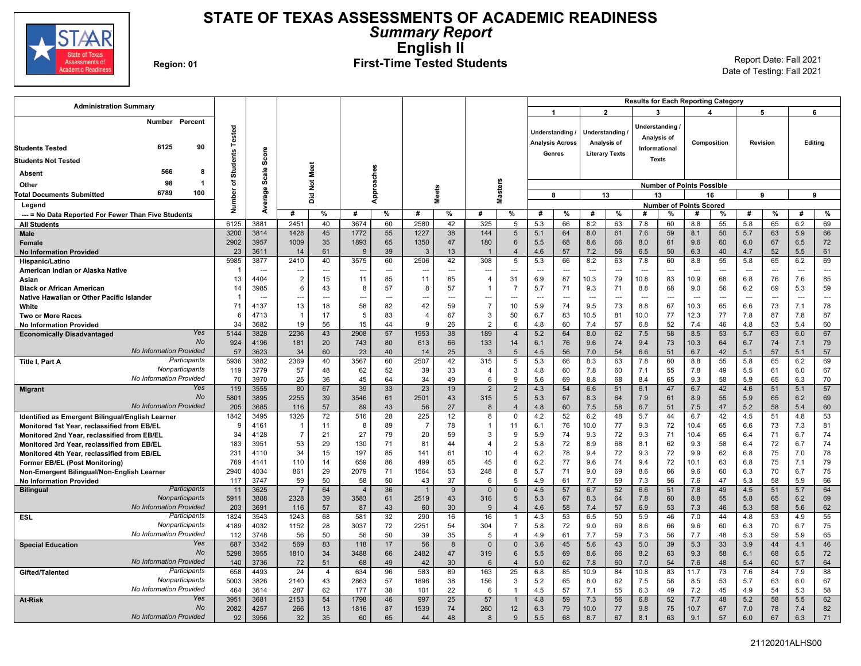

### **STATE OF TEXAS ASSESSMENTS OF ACADEMIC READINESS** *Summary Report* **English II** Region: 01 **First-Time Tested Students** Report Date: Fall 2021

| <b>Administration Summary</b>                       |                                 |                 |                                  |                |               |                |                |                          |                          |                       |                                  |                        |                          |                                 |                         |               |                                | <b>Results for Each Reporting Category</b> |                        |                |           |                          |           |
|-----------------------------------------------------|---------------------------------|-----------------|----------------------------------|----------------|---------------|----------------|----------------|--------------------------|--------------------------|-----------------------|----------------------------------|------------------------|--------------------------|---------------------------------|-------------------------|---------------|--------------------------------|--------------------------------------------|------------------------|----------------|-----------|--------------------------|-----------|
|                                                     |                                 |                 |                                  |                |               |                |                |                          |                          |                       |                                  | 1                      |                          |                                 | $\overline{\mathbf{2}}$ |               | 3                              |                                            | $\boldsymbol{\Lambda}$ |                | 5         |                          | 6         |
|                                                     | Number<br>Percent               | Tested          |                                  |                |               |                |                |                          |                          |                       |                                  | <b>Understanding</b>   |                          | Understanding                   |                         |               | Understanding                  |                                            |                        |                |           |                          |           |
|                                                     |                                 |                 |                                  |                |               |                |                |                          |                          |                       |                                  | <b>Analysis Across</b> |                          | Analysis of                     |                         |               | Analysis of                    |                                            | Composition            |                | Revision  |                          | Editing   |
| <b>Students Tested</b>                              | 6125<br>90                      |                 |                                  |                |               |                |                |                          |                          |                       |                                  | Genres                 |                          | <b>Literary Texts</b>           |                         |               | Informational                  |                                            |                        |                |           |                          |           |
| <b>Students Not Tested</b>                          |                                 | <b>Students</b> | Score                            |                |               |                |                |                          |                          |                       |                                  |                        |                          |                                 |                         |               | <b>Texts</b>                   |                                            |                        |                |           |                          |           |
| Absent                                              | 566<br>-8                       |                 |                                  |                | Meet          |                |                |                          |                          |                       |                                  |                        |                          |                                 |                         |               |                                |                                            |                        |                |           |                          |           |
| Other                                               | 98<br>-1                        | ৳               | Scale                            |                | $\frac{5}{2}$ |                |                |                          |                          |                       |                                  |                        |                          |                                 |                         |               |                                | <b>Number of Points Possible</b>           |                        |                |           |                          |           |
| <b>Total Documents Submitted</b>                    | 6789<br>100                     |                 | erage                            |                |               |                | Approaches     |                          | <b>Meets</b>             |                       | <b>Masters</b>                   |                        | 8                        | 13                              |                         |               | 13                             |                                            | 16                     |                | 9         | 9                        |           |
| Legend                                              |                                 | Number          |                                  |                | ă             |                |                |                          |                          |                       |                                  |                        |                          |                                 |                         |               |                                | <b>Number of Points Scored</b>             |                        |                |           |                          |           |
| --- = No Data Reported For Fewer Than Five Students |                                 |                 | à                                | #              | %             | #              | %              | #                        | %                        | #                     | %                                | #                      | %                        | #                               | %                       | #             | %                              | #                                          | %                      | #              | %         | #                        | %         |
| <b>All Students</b>                                 |                                 | 6125            | 3881                             | 2451           | 40            | 3674           | 60             | 2580                     | 42                       | 325                   | 5                                | 5.3                    | 66                       | 8.2                             | 63                      | 7.8           | 60                             | 8.8                                        | 55                     | 5.8            | 65        | 6.2                      | 69        |
| Male                                                |                                 | 3200            | 3814                             | 1428           | 45            | 1772           | 55             | 1227                     | 38                       | 144                   | 5                                | 5.1                    | 64                       | 8.0                             | 61                      | 7.6           | 59                             | 8.1                                        | 50                     | 5.7            | 63        | 5.9                      | 66        |
| <b>Female</b>                                       |                                 | 2902            | 3957                             | 1009           | 35            | 1893           | 65             | 1350                     | 47                       | 180                   | $6\phantom{.}6$                  | 5.5                    | 68                       | 8.6                             | 66                      | 8.0           | 61                             | 9.6                                        | 60                     | 6.0            | 67        | 6.5                      | 72        |
| <b>No Information Provided</b>                      |                                 | 23              | 3611                             | 14             | 61            | $\mathbf{q}$   | 39             | 3                        | 13                       | $\overline{1}$        | $\overline{4}$                   | 4.6                    | 57                       | 7.2                             | 56                      | 6.5           | 50                             | 6.3                                        | 40                     | 4.7            | 52        | 5.5                      | 61        |
| Hispanic/Latino                                     |                                 | 5985            | 3877                             | 2410           | 40            | 3575           | 60             | 2506                     | 42                       | 308                   | 5                                | 5.3                    | 66                       | 8.2                             | 63                      | 7.8           | 60                             | 8.8                                        | 55                     | 5.8            | 65        | 6.2                      | 69        |
| American Indian or Alaska Native                    |                                 | -1              | ---                              | ---            | ---           | --             | $\overline{a}$ | $\overline{\phantom{a}}$ | $\overline{\phantom{a}}$ | ---                   | ---                              | -−-                    | $\overline{\phantom{a}}$ | -44                             | $\overline{a}$          | -44           | ---                            | $\sim$                                     | ---                    | $\overline{a}$ | ÷÷        | $\overline{\phantom{a}}$ | ---       |
| Asian                                               |                                 | 13              | 4404                             | $\overline{2}$ | 15            | 11             | 85             | 11                       | 85                       | $\overline{4}$        | 31                               | 6.9                    | 87                       | 10.3                            | 79                      | 10.8          | 83                             | 10.9                                       | 68                     | 6.8            | 76        | 7.6                      | 85        |
| <b>Black or African American</b>                    |                                 | 14              | 3985                             | 6              | 43            | 8              | 57             | 8                        | 57                       | $\overline{1}$        | $\overline{7}$                   | 5.7                    | 71                       | 9.3                             | 71                      | 8.8           | 68                             | 9.0                                        | 56                     | 6.2            | 69        | 5.3                      | 59        |
| Native Hawaiian or Other Pacific Islander           |                                 | -1<br>71        | $\overline{\phantom{a}}$<br>4137 | --<br>13       | ---<br>18     | 58             | ---<br>82      | <br>42                   | $\overline{a}$<br>59     | ---<br>$\overline{7}$ | $\overline{a}$<br>10             | $\overline{a}$<br>5.9  | ---<br>74                | $\overline{\phantom{a}}$<br>9.5 | ---<br>73               | $\sim$<br>8.8 | $\overline{\phantom{a}}$<br>67 | $\overline{\phantom{a}}$<br>10.3           | $\overline{a}$<br>65   | ---<br>6.6     | ---<br>73 | $\overline{a}$<br>7.1    | ---<br>78 |
| White<br><b>Two or More Races</b>                   |                                 | 6               | 4713                             |                | 17            | -5             | 83             | $\overline{4}$           | 67                       | 3                     | 50                               | 6.7                    | 83                       | 10.5                            | 81                      | 10.0          | 77                             | 12.3                                       | 77                     | 7.8            | 87        | 7.8                      | 87        |
| <b>No Information Provided</b>                      |                                 | 34              | 3682                             | 19             | 56            | 15             | 44             | $\mathbf{Q}$             | 26                       | $\overline{2}$        | 6                                | 4.8                    | 60                       | 7.4                             | 57                      | 6.8           | 52                             | 7.4                                        | 46                     | 4.8            | 53        | 5.4                      | 60        |
| <b>Economically Disadvantaged</b>                   | Yes                             | 5144            | 3828                             | 2236           | 43            | 2908           | 57             | 1953                     | 38                       | 189                   | $\overline{4}$                   | 5.2                    | 64                       | 8.0                             | 62                      | 7.5           | 58                             | 8.5                                        | 53                     | 5.7            | 63        | 6.0                      | 67        |
|                                                     | No                              | 924             | 4196                             | 181            | 20            | 743            | 80             | 613                      | 66                       | 133                   | 14                               | 6.1                    | 76                       | 9.6                             | 74                      | 9.4           | 73                             | 10.3                                       | 64                     | 6.7            | 74        | 7.1                      | 79        |
|                                                     | <b>No Information Provided</b>  | 57              | 3623                             | 34             | 60            | 23             | 40             | 14                       | 25                       | $\overline{3}$        | $\overline{5}$                   | 4.5                    | 56                       | 7.0                             | 54                      | 6.6           | 51                             | 6.7                                        | 42                     | 5.1            | 57        | 5.1                      | 57        |
| Title I, Part A                                     | Participants                    | 5936            | 3882                             | 2369           | 40            | 3567           | 60             | 2507                     | 42                       | 315                   | 5                                | 5.3                    | 66                       | 8.3                             | 63                      | 7.8           | 60                             | 8.8                                        | 55                     | 5.8            | 65        | 6.2                      | 69        |
|                                                     | Nonparticipants                 | 119             | 3779                             | 57             | 48            | 62             | 52             | 39                       | 33                       | $\overline{4}$        | 3                                | 4.8                    | 60                       | 7.8                             | 60                      | 7.1           | 55                             | 7.8                                        | 49                     | 5.5            | 61        | 6.0                      | 67        |
|                                                     | No Information Provided         | 70              | 3970                             | 25             | 36            | 45             | 64             | 34                       | 49                       | 6                     | 9                                | 5.6                    | 69                       | 8.8                             | 68                      | 8.4           | 65                             | 9.3                                        | 58                     | 5.9            | 65        | 6.3                      | 70        |
| <b>Migrant</b>                                      | Yes<br><b>No</b>                | 119             | 3555                             | 80             | 67            | 39             | 33             | 23                       | 19                       | $\overline{2}$        | $\overline{2}$                   | 4.3                    | 54                       | 6.6                             | 51                      | 6.1           | 47                             | 6.7                                        | 42                     | 4.6            | 51        | 5.1                      | 57        |
|                                                     | <b>No Information Provided</b>  | 5801<br>205     | 3895<br>3685                     | 2255<br>116    | 39<br>57      | 3546<br>89     | 61<br>43       | 2501<br>56               | 43<br>27                 | 315<br>8              | $\overline{5}$<br>$\overline{4}$ | 5.3<br>4.8             | 67<br>60                 | 8.3<br>7.5                      | 64<br>58                | 7.9<br>6.7    | 61<br>51                       | 8.9<br>7.5                                 | 55<br>47               | 5.9<br>5.2     | 65<br>58  | 6.2<br>5.4               | 69<br>60  |
| Identified as Emergent Bilingual/English Learner    |                                 | 1842            | 3495                             | 1326           | 72            | 516            | 28             | 225                      | 12                       | 8                     | $\mathbf 0$                      | 4.2                    | 52                       | 6.2                             | 48                      | 5.7           | 44                             | 6.7                                        | 42                     | 4.5            | 51        | 4.8                      | 53        |
| Monitored 1st Year, reclassified from EB/EL         |                                 | g               | 4161                             | - 1            | 11            | 8              | 89             | $\overline{7}$           | 78                       | -1                    | 11                               | 6.1                    | 76                       | 10.0                            | 77                      | 9.3           | 72                             | 10.4                                       | 65                     | 6.6            | 73        | 7.3                      | 81        |
| Monitored 2nd Year, reclassified from EB/EL         |                                 | 34              | 4128                             | $\overline{7}$ | 21            | 27             | 79             | 20                       | 59                       | 3                     | 9                                | 5.9                    | 74                       | 9.3                             | 72                      | 9.3           | 71                             | 10.4                                       | 65                     | 6.4            | 71        | 6.7                      | 74        |
| Monitored 3rd Year, reclassified from EB/EL         |                                 | 183             | 3951                             | 53             | 29            | 130            | 71             | 81                       | 44                       | 4                     | $\overline{2}$                   | 5.8                    | 72                       | 8.9                             | 68                      | 8.1           | 62                             | 9.3                                        | 58                     | 6.4            | 72        | 6.7                      | 74        |
| Monitored 4th Year, reclassified from EB/EL         |                                 | 231             | 4110                             | 34             | 15            | 197            | 85             | 141                      | 61                       | 10                    | $\overline{4}$                   | 6.2                    | 78                       | 9.4                             | 72                      | 9.3           | 72                             | 9.9                                        | 62                     | 6.8            | 75        | 7.0                      | 78        |
| <b>Former EB/EL (Post Monitoring)</b>               |                                 | 769             | 4141                             | 110            | 14            | 659            | 86             | 499                      | 65                       | 45                    | 6                                | 6.2                    | 77                       | 9.6                             | 74                      | 9.4           | 72                             | 10.1                                       | 63                     | 6.8            | 75        | 7.1                      | 79        |
| Non-Emergent Bilingual/Non-English Learner          |                                 | 2940            | 4034                             | 861            | 29            | 2079           | 71             | 1564                     | 53                       | 248                   | 8                                | 5.7                    | 71                       | 9.0                             | 69                      | 8.6           | 66                             | 9.6                                        | 60                     | 6.3            | 70        | 6.7                      | 75        |
| <b>No Information Provided</b>                      |                                 | 117             | 3747                             | 59             | 50            | 58             | 50             | 43                       | 37                       | 6                     | 5                                | 4.9                    | 61                       | 7.7                             | 59                      | 7.3           | 56                             | 7.6                                        | 47                     | 5.3            | 58        | 5.9                      | 66        |
| <b>Bilingual</b>                                    | Participants<br>Nonparticipants | 11              | 3625                             | $\overline{7}$ | 64            | $\overline{4}$ | 36             | $\overline{1}$           | 9                        | $\Omega$              | $\Omega$                         | 4.5                    | 57                       | 6.7                             | 52                      | 6.6           | 51                             | 7.8                                        | 49                     | 4.5            | 51        | 5.7                      | 64        |
|                                                     | <b>No Information Provided</b>  | 5911<br>203     | 3888<br>3691                     | 2328<br>116    | 39<br>57      | 3583<br>87     | 61<br>43       | 2519<br>60               | 43<br>30                 | 316<br>9              | 5<br>$\overline{4}$              | 5.3<br>4.6             | 67<br>58                 | 8.3<br>7.4                      | 64<br>57                | 7.8<br>6.9    | 60<br>53                       | 8.8<br>7.3                                 | 55<br>46               | 5.8<br>5.3     | 65<br>58  | 6.2<br>5.6               | 69<br>62  |
| ESL                                                 | Participants                    | 1824            | 3543                             | 1243           | 68            | 581            | 32             | 290                      | 16                       | 16                    |                                  | 4.3                    | 53                       | 6.5                             | 50                      | 5.9           | 46                             | 7.0                                        | 44                     | 4.8            | 53        | 4.9                      | 55        |
|                                                     | Nonparticipants                 | 4189            | 4032                             | 1152           | 28            | 3037           | 72             | 2251                     | 54                       | 304                   | $\overline{7}$                   | 5.8                    | 72                       | 9.0                             | 69                      | 8.6           | 66                             | 9.6                                        | 60                     | 6.3            | 70        | 6.7                      | 75        |
|                                                     | No Information Provided         | 112             | 3748                             | 56             | 50            | 56             | 50             | 39                       | 35                       | -5                    | $\overline{4}$                   | 4.9                    | 61                       | 7.7                             | 59                      | 7.3           | 56                             | 7.7                                        | 48                     | 5.3            | 59        | 5.9                      | 65        |
| <b>Special Education</b>                            | Yes                             | 687             | 3342                             | 569            | 83            | 118            | 17             | 56                       | 8                        | $\mathbf 0$           | $\mathbf{0}$                     | 3.6                    | 45                       | 5.6                             | 43                      | 5.0           | 39                             | 5.3                                        | 33                     | 3.9            | 44        | 4.1                      | 46        |
|                                                     | No                              | 5298            | 3955                             | 1810           | 34            | 3488           | 66             | 2482                     | 47                       | 319                   | 6                                | 5.5                    | 69                       | 8.6                             | 66                      | 8.2           | 63                             | 9.3                                        | 58                     | 6.1            | 68        | 6.5                      | 72        |
|                                                     | <b>No Information Provided</b>  | 140             | 3736                             | 72             | 51            | 68             | 49             | 42                       | 30                       | 6                     | $\overline{4}$                   | 5.0                    | 62                       | 7.8                             | 60                      | 7.0           | 54                             | 7.6                                        | 48                     | 5.4            | 60        | 5.7                      | 64        |
| Gifted/Talented                                     | Participants                    | 658             | 4493                             | 24             | 4             | 634            | 96             | 583                      | 89                       | 163                   | 25                               | 6.8                    | 85                       | 10.9                            | 84                      | 10.8          | 83                             | 11.7                                       | 73                     | 7.6            | 84        | 7.9                      | 88        |
|                                                     | Nonparticipants                 | 5003            | 3826                             | 2140           | 43            | 2863           | 57             | 1896                     | 38                       | 156                   | 3                                | 5.2                    | 65                       | 8.0                             | 62                      | 7.5           | 58                             | 8.5                                        | 53                     | 5.7            | 63        | 6.0                      | 67        |
|                                                     | <b>No Information Provided</b>  | 464             | 3614                             | 287            | 62            | 177            | 38             | 101                      | 22                       | 6                     | $\overline{1}$                   | 4.5                    | 57                       | 7.1                             | 55                      | 6.3           | 49                             | 7.2                                        | 45                     | 4.9            | 54        | 5.3                      | 58        |
| <b>At-Risk</b>                                      | Yes<br><b>No</b>                | 3951            | 3681                             | 2153           | 54            | 1798           | 46             | 997                      | 25                       | 57                    |                                  | 4.8                    | 59                       | 7.3                             | 56                      | 6.8           | 52                             | 7.7                                        | 48                     | 5.2            | 58        | 5.5                      | 62        |
|                                                     | <b>No Information Provided</b>  | 2082<br>92      | 4257<br>3956                     | 266<br>32      | 13<br>35      | 1816<br>60     | 87<br>65       | 1539<br>44               | 74<br>48                 | 260<br>8              | 12<br>9                          | 6.3<br>5.5             | 79<br>68                 | 10.0<br>8.7                     | 77<br>67                | 9.8<br>8.1    | 75<br>63                       | 10.7<br>9.1                                | 67<br>57               | 7.0<br>6.0     | 78<br>67  | 7.4<br>6.3               | 82<br>71  |
|                                                     |                                 |                 |                                  |                |               |                |                |                          |                          |                       |                                  |                        |                          |                                 |                         |               |                                |                                            |                        |                |           |                          |           |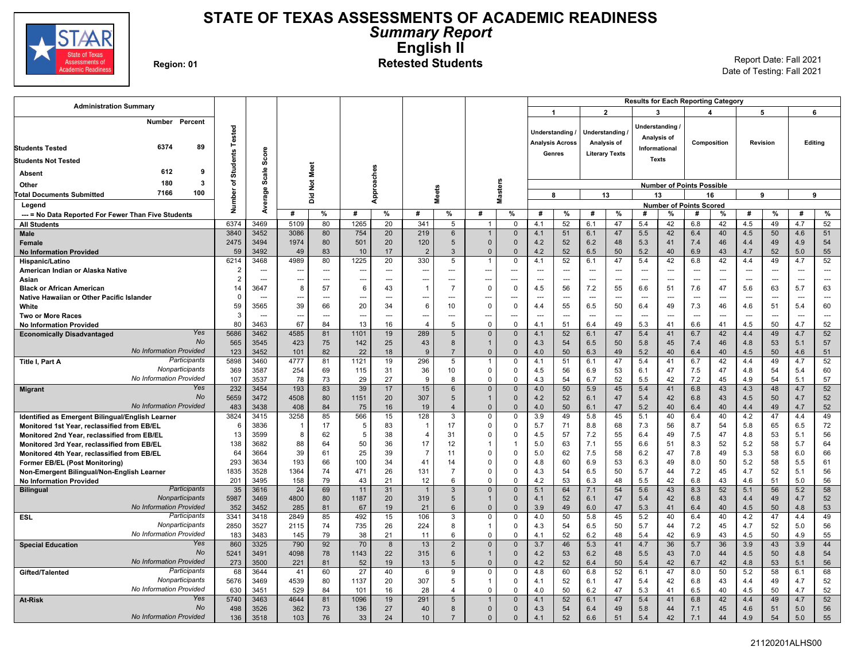

### **STATE OF TEXAS ASSESSMENTS OF ACADEMIC READINESS** *Summary Report* **English II** Region: 01<br>**Region: 01 Retested Students** Report Date: Fall 2021

Date of Testing: Fall 2021

| <b>Administration Summary</b>                                      |                 |              |              |                |             |            |                       |                         |                              |                               |                                           |                          |                |                                |                                 |                                               | <b>Results for Each Reporting Category</b> |                       |                |           |                       |                      |
|--------------------------------------------------------------------|-----------------|--------------|--------------|----------------|-------------|------------|-----------------------|-------------------------|------------------------------|-------------------------------|-------------------------------------------|--------------------------|----------------|--------------------------------|---------------------------------|-----------------------------------------------|--------------------------------------------|-----------------------|----------------|-----------|-----------------------|----------------------|
|                                                                    |                 |              |              |                |             |            |                       |                         |                              |                               | $\overline{1}$                            |                          |                | $\overline{2}$                 |                                 | 3                                             |                                            | $\boldsymbol{\Delta}$ |                | 5         |                       | 6                    |
| Number<br>Percent<br>89<br>6374<br><b>Students Tested</b>          | Tested          |              |              |                |             |            |                       |                         |                              |                               | Understanding /<br><b>Analysis Across</b> |                          |                | Understanding /<br>Analysis of |                                 | Understanding<br>Analysis of<br>Informational |                                            | Composition           |                | Revision  |                       | Editing              |
|                                                                    | <b>Students</b> | Score        |              |                |             |            |                       |                         |                              |                               |                                           | Genres                   |                | <b>Literary Texts</b>          |                                 | <b>Texts</b>                                  |                                            |                       |                |           |                       |                      |
| <b>Students Not Tested</b>                                         |                 |              |              |                |             |            |                       |                         |                              |                               |                                           |                          |                |                                |                                 |                                               |                                            |                       |                |           |                       |                      |
| 612<br>9<br>Absent                                                 |                 | Scale        |              | Not Meet       |             | Approaches |                       |                         |                              |                               |                                           |                          |                |                                |                                 |                                               |                                            |                       |                |           |                       |                      |
| 180<br>3<br>Other                                                  | ৳<br>৯          |              |              |                |             |            |                       |                         |                              | <b>Masters</b>                |                                           |                          |                |                                |                                 |                                               | <b>Number of Points Possible</b>           |                       |                |           |                       |                      |
| 7166<br>100<br><b>Total Documents Submitted</b>                    |                 | Average      |              | ă              |             |            |                       | <b>Meets</b>            |                              |                               | 8                                         |                          |                | 13                             |                                 | 13                                            |                                            | 16                    |                | 9         |                       | 9                    |
| Legend                                                             | م<br>العالم     |              |              |                |             |            |                       |                         |                              |                               |                                           |                          |                |                                |                                 |                                               | <b>Number of Points Scored</b>             |                       |                |           |                       |                      |
| --- = No Data Reported For Fewer Than Five Students                |                 |              | #            | $\%$           | #           | %          | #                     | %                       | #                            | %                             | #                                         | %                        | #              | %                              | #                               | %                                             | #                                          | %                     | #              | %         | #                     | %                    |
| <b>All Students</b>                                                | 6374<br>3840    | 3469<br>3452 | 5109<br>3086 | 80<br>80       | 1265<br>754 | 20<br>20   | 341<br>219            | 5                       | $\mathbf{1}$<br>$\mathbf{1}$ | 0<br>$\mathbf{0}$             | 4.1<br>4.1                                | 52<br>51                 | 6.1            | 47<br>47                       | 5.4                             | 42<br>42                                      | 6.8                                        | 42<br>40              | 4.5            | 49<br>50  | 4.7<br>4.6            | 52<br>51             |
| Male<br>Female                                                     | 2475            | 3494         | 1974         | 80             | 501         | 20         | 120                   | 6<br>5                  | $\Omega$                     | $\Omega$                      | 4.2                                       | 52                       | 6.1<br>6.2     | 48                             | 5.5<br>5.3                      | 41                                            | 6.4<br>7.4                                 | 46                    | 4.5<br>4.4     | 49        | 4.9                   | 54                   |
| <b>No Information Provided</b>                                     | 59              | 3492         | 49           | 83             | 10          | 17         | $\overline{2}$        | 3                       | $\mathbf{0}$                 | $\overline{0}$                | 4.2                                       | 52                       | 6.5            | 50                             | 5.2                             | 40                                            | 6.9                                        | 43                    | 4.7            | 52        | 5.0                   | 55                   |
| Hispanic/Latino                                                    | 6214            | 3468         | 4989         | 80             | 1225        | 20         | 330                   | 5                       | $\mathbf 1$                  | $\mathbf 0$                   | 4.1                                       | 52                       | 6.1            | 47                             | 5.4                             | 42                                            | 6.8                                        | 42                    | 4.4            | 49        | 4.7                   | 52                   |
| American Indian or Alaska Native                                   | $\overline{2}$  |              | ---          | ---            | ---         | ---        | ---                   | ---                     | ---                          | ---                           |                                           | $\hspace{0.05cm} \cdots$ | $\overline{a}$ | $\overline{a}$                 | $\overline{a}$                  | $\overline{a}$                                | $\sim$                                     | $\overline{a}$        | $\sim$         | ---       | $\overline{a}$        | ---                  |
| Asian                                                              | $\overline{2}$  |              | ---          | $\overline{a}$ |             |            | ---                   |                         | ---                          | ---                           |                                           | $\sim$                   |                | $\overline{a}$                 |                                 | $\overline{a}$                                |                                            |                       | $\overline{a}$ |           | $\overline{a}$        | <u>.</u>             |
| <b>Black or African American</b>                                   | 14              | 3647         | 8            | 57             | 6           | 43         | $\overline{1}$        | $\overline{7}$          | $\Omega$                     | $\Omega$                      | 4.5                                       | 56                       | 7.2            | 55                             | 6.6                             | 51                                            | 7.6                                        | 47                    | 5.6            | 63        | 5.7                   | 63                   |
| Native Hawaiian or Other Pacific Islander                          | 0               | $\sim$       | ---          | $\sim$ $\sim$  |             | ---        | ---                   | ---                     | ---                          | ---                           |                                           | $\overline{a}$           | $\sim$         | $\overline{a}$                 | $\overline{a}$                  | $\overline{a}$                                | ---                                        | $\overline{a}$        | $\overline{a}$ | ---       | ---                   | $\overline{a}$       |
| White                                                              | 59              | 3565         | 39           | 66             | 20          | 34         | 6                     | 10                      | $\Omega$                     | $\Omega$                      | 4.4                                       | 55                       | 6.5            | 50<br>$\sim$                   | 6.4                             | 49<br>$\overline{a}$                          | 7.3<br>$\sim$                              | 46                    | 4.6<br>$\sim$  | 51        | 5.4                   | 60                   |
| <b>Two or More Races</b><br><b>No Information Provided</b>         | 3<br>80         | 3463         | <br>67       | $\sim$<br>84   | 13          | ---<br>16  | ---<br>$\overline{4}$ | ---<br>5                | ---<br>$\Omega$              | $\overline{a}$<br>$\mathbf 0$ | 4.1                                       | $\sim$<br>51             | $\sim$<br>6.4  | 49                             | $\overline{\phantom{a}}$<br>5.3 | 41                                            | 6.6                                        | ---<br>41             | 4.5            | ---<br>50 | $\overline{a}$<br>4.7 | $\overline{a}$<br>52 |
| Yes<br><b>Economically Disadvantaged</b>                           | 5686            | 3462         | 4585         | 81             | 1101        | 19         | 289                   | 5                       | $\Omega$                     | $\Omega$                      | 4.1                                       | 52                       | 6.1            | 47                             | 5.4                             | 41                                            | 6.7                                        | 42                    | 4.4            | 49        | 4.7                   | 52                   |
| No                                                                 | 565             | 3545         | 423          | 75             | 142         | 25         | 43                    | 8                       | $\mathbf{1}$                 | $\mathbf{0}$                  | 4.3                                       | 54                       | 6.5            | 50                             | 5.8                             | 45                                            | 7.4                                        | 46                    | 4.8            | 53        | 5.1                   | 57                   |
| <b>No Information Provided</b>                                     | 123             | 3452         | 101          | 82             | 22          | 18         | 9                     | $\overline{7}$          | $\Omega$                     | $\Omega$                      | 4.0                                       | 50                       | 6.3            | 49                             | 5.2                             | 40                                            | 6.4                                        | 40                    | 4.5            | 50        | 4.6                   | 51                   |
| Participants<br>Title I, Part A                                    | 5898            | 3460         | 4777         | 81             | 1121        | 19         | 296                   | 5                       | $\mathbf{1}$                 | $\mathbf 0$                   | 4.1                                       | 51                       | 6.1            | 47                             | 5.4                             | 41                                            | 6.7                                        | 42                    | 4.4            | 49        | 4.7                   | 52                   |
| Nonparticipants                                                    | 369             | 3587         | 254          | 69             | 115         | 31         | 36                    | 10                      | $\Omega$                     | 0                             | 4.5                                       | 56                       | 6.9            | 53                             | 6.1                             | 47                                            | 7.5                                        | 47                    | 4.8            | 54        | 5.4                   | 60                   |
| No Information Provided                                            | 107             | 3537         | 78           | 73             | 29          | 27         | 9                     | 8                       | $\mathbf 0$                  | $\mathbf 0$                   | 4.3                                       | 54                       | 6.7            | 52                             | 5.5                             | 42                                            | 7.2                                        | 45                    | 4.9            | 54        | 5.1                   | 57                   |
| Yes<br><b>Migrant</b><br><b>No</b>                                 | 232             | 3454<br>3472 | 193<br>4508  | 83<br>80       | 39          | 17<br>20   | 15<br>307             | 6<br>5                  | $\mathbf 0$                  | $\Omega$<br>$\Omega$          | 4.0<br>4.2                                | 50                       | 5.9            | 45                             | 5.4                             | 41<br>42                                      | 6.8                                        | 43                    | 4.3            | 48<br>50  | 4.7                   | 52                   |
| No Information Provided                                            | 5659<br>483     | 3438         | 408          | 84             | 1151<br>75  | 16         | 19                    | $\overline{4}$          | $\Omega$                     | $\Omega$                      | 4.0                                       | 52<br>50                 | 6.1<br>6.1     | 47<br>47                       | 5.4<br>5.2                      | 40                                            | 6.8<br>6.4                                 | 43<br>40              | 4.5<br>4.4     | 49        | 4.7<br>4.7            | 52<br>52             |
| Identified as Emergent Bilingual/English Learner                   | 3824            | 3415         | 3258         | 85             | 566         | 15         | 128                   | $\overline{3}$          | $\Omega$                     | $\Omega$                      | 3.9                                       | 49                       | 5.8            | 45                             | 5.1                             | 40                                            | 6.4                                        | 40                    | 4.2            | 47        | 4.4                   | 49                   |
| Monitored 1st Year, reclassified from EB/EL                        | 6               | 3836         | 1            | 17             | 5           | 83         | $\overline{1}$        | 17                      | $\Omega$                     | $\Omega$                      | 5.7                                       | 71                       | 8.8            | 68                             | 7.3                             | 56                                            | 8.7                                        | 54                    | 5.8            | 65        | 6.5                   | 72                   |
| Monitored 2nd Year, reclassified from EB/EL                        | 13              | 3599         | 8            | 62             | 5           | 38         | $\overline{4}$        | 31                      | $\Omega$                     | $\Omega$                      | 4.5                                       | 57                       | 7.2            | 55                             | 6.4                             | 49                                            | 7.5                                        | 47                    | 4.8            | 53        | 5.1                   | 56                   |
| Monitored 3rd Year, reclassified from EB/EL                        | 138             | 3682         | 88           | 64             | 50          | 36         | 17                    | 12                      |                              | $\overline{1}$                | 5.0                                       | 63                       | 7.1            | 55                             | 6.6                             | 51                                            | 8.3                                        | 52                    | 5.2            | 58        | 5.7                   | 64                   |
| Monitored 4th Year, reclassified from EB/EL                        | 64              | 3664         | 39           | 61             | 25          | 39         | $\overline{7}$        | 11                      | $\Omega$                     | $\mathbf 0$                   | 5.0                                       | 62                       | 7.5            | 58                             | 6.2                             | 47                                            | 7.8                                        | 49                    | 5.3            | 58        | 6.0                   | 66                   |
| Former EB/EL (Post Monitoring)                                     | 293             | 3634         | 193          | 66             | 100         | 34         | 41                    | 14                      | $\Omega$                     | $\Omega$                      | 4.8                                       | 60                       | 6.9            | 53                             | 6.3                             | 49                                            | 8.0                                        | 50                    | 5.2            | 58        | 5.5                   | 61                   |
| Non-Emergent Bilingual/Non-English Learner                         | 1835            | 3528         | 1364         | 74             | 471         | 26         | 131<br>12             | $\overline{7}$<br>6     | 0                            | $\Omega$<br>$\Omega$          | 4.3                                       | 54<br>53                 | 6.5<br>6.3     | 50                             | 5.7<br>5.5                      | 44<br>42                                      | 7.2                                        | 45<br>43              | 4.7            | 52<br>51  | 5.1                   | 56<br>56             |
| <b>No Information Provided</b><br>Participants<br><b>Bilingual</b> | 201<br>35       | 3495<br>3616 | 158<br>24    | 79<br>69       | 43<br>11    | 21<br>31   | $\overline{1}$        | $\mathbf{3}$            | $\Omega$<br>$\Omega$         | $\overline{0}$                | 4.2<br>5.1                                | 64                       | 7.1            | 48<br>54                       | 5.6                             | 43                                            | 6.8<br>8.3                                 | 52                    | 4.6<br>5.1     | 56        | 5.0<br>5.2            | 58                   |
| Nonparticipants                                                    | 5987            | 3469         | 4800         | 80             | 1187        | 20         | 319                   | 5                       | $\mathbf{1}$                 | $\Omega$                      | 4.1                                       | 52                       | 6.1            | 47                             | 5.4                             | 42                                            | 6.8                                        | 43                    | 4.4            | 49        | 4.7                   | 52                   |
| No Information Provided                                            | 352             | 3452         | 285          | 81             | 67          | 19         | 21                    | 6                       | $\Omega$                     | $\Omega$                      | 3.9                                       | 49                       | 6.0            | 47                             | 5.3                             | 41                                            | 6.4                                        | 40                    | 4.5            | 50        | 4.8                   | 53                   |
| Participants<br><b>ESL</b>                                         | 3341            | 3418         | 2849         | 85             | 492         | 15         | 106                   | 3                       | $\mathbf 0$                  | $\Omega$                      | 4.0                                       | 50                       | 5.8            | 45                             | 5.2                             | 40                                            | 6.4                                        | 40                    | 4.2            | 47        | 4.4                   | 49                   |
| Nonparticipants                                                    | 2850            | 3527         | 2115         | 74             | 735         | 26         | 224                   | 8                       | $\mathbf 1$                  | $\Omega$                      | 4.3                                       | 54                       | 6.5            | 50                             | 5.7                             | 44                                            | 7.2                                        | 45                    | 4.7            | 52        | 5.0                   | 56                   |
| No Information Provided                                            | 183             | 3483         | 145          | 79             | 38          | 21         | 11                    | 6                       | $\Omega$                     | $\Omega$                      | 4.1                                       | 52                       | 6.2            | 48                             | 5.4                             | 42                                            | 6.9                                        | 43                    | 4.5            | 50        | 4.9                   | 55                   |
| Yes<br><b>Special Education</b>                                    | 860             | 3325         | 790          | 92             | 70          | 8          | 13                    | $\overline{2}$          | $\mathbf{0}$                 | $\Omega$                      | 3.7                                       | 46                       | 5.3            | 41                             | 4.7                             | 36                                            | 5.7                                        | 36                    | 3.9            | 43        | 3.9                   | 44                   |
| <b>No</b><br>No Information Provided                               | 5241            | 3491         | 4098         | 78             | 1143        | 22         | 315                   | 6                       | $\mathbf{1}$                 | $\mathbf{0}$                  | 4.2                                       | 53                       | 6.2            | 48                             | 5.5                             | 43                                            | 7.0                                        | 44                    | 4.5            | 50        | 4.8                   | 54                   |
| Participants<br>Gifted/Talented                                    | 273<br>68       | 3500<br>3644 | 221<br>41    | 81<br>60       | 52<br>27    | 19<br>40   | 13<br>6               | 5<br>9                  | $\Omega$<br>$\Omega$         | $\mathbf{0}$<br>$\Omega$      | 4.2<br>4.8                                | 52<br>60                 | 6.4<br>6.8     | 50<br>52                       | 5.4<br>6.1                      | 42<br>47                                      | 6.7<br>8.0                                 | 42<br>50              | 4.8<br>5.2     | 53<br>58  | 5.1<br>6.1            | 56<br>68             |
| Nonparticipants                                                    | 5676            | 3469         | 4539         | 80             | 1137        | 20         | 307                   | 5                       | $\mathbf{1}$                 | 0                             | 4.1                                       | 52                       | 6.1            | 47                             | 5.4                             | 42                                            | 6.8                                        | 43                    | 4.4            | 49        | 4.7                   | 52                   |
| No Information Provided                                            | 630             | 3451         | 529          | 84             | 101         | 16         | 28                    | $\overline{\mathbf{4}}$ | $\mathbf 0$                  | $\overline{0}$                | 4.0                                       | 50                       | 6.2            | 47                             | 5.3                             | 41                                            | 6.5                                        | 40                    | 4.5            | 50        | 4.7                   | 52                   |
| Yes<br><b>At-Risk</b>                                              | 5740            | 3463         | 4644         | 81             | 1096        | 19         | 291                   | 5                       | $\mathbf{1}$                 | $\overline{0}$                | 4.1                                       | 52                       | 6.1            | 47                             | 5.4                             | 41                                            | 6.8                                        | 42                    | 4.4            | 49        | 4.7                   | 52                   |
| <b>No</b>                                                          | 498             | 3526         | 362          | 73             | 136         | 27         | 40                    | 8                       | $\Omega$                     | $\Omega$                      | 4.3                                       | 54                       | 6.4            | 49                             | 5.8                             | 44                                            | 7.1                                        | 45                    | 4.6            | 51        | 5.0                   | 56                   |
| No Information Provided                                            | 136             | 3518         | 103          | 76             | 33          | 24         | 10                    | $\overline{7}$          | $\Omega$                     | $\mathbf{0}$                  | 4.1                                       | 52                       | 6.6            | 51                             | 5.4                             | 42                                            | 7.1                                        | 44                    | 4.9            | 54        | 5.0                   | 55                   |
|                                                                    |                 |              |              |                |             |            |                       |                         |                              |                               |                                           |                          |                |                                |                                 |                                               |                                            |                       |                |           |                       |                      |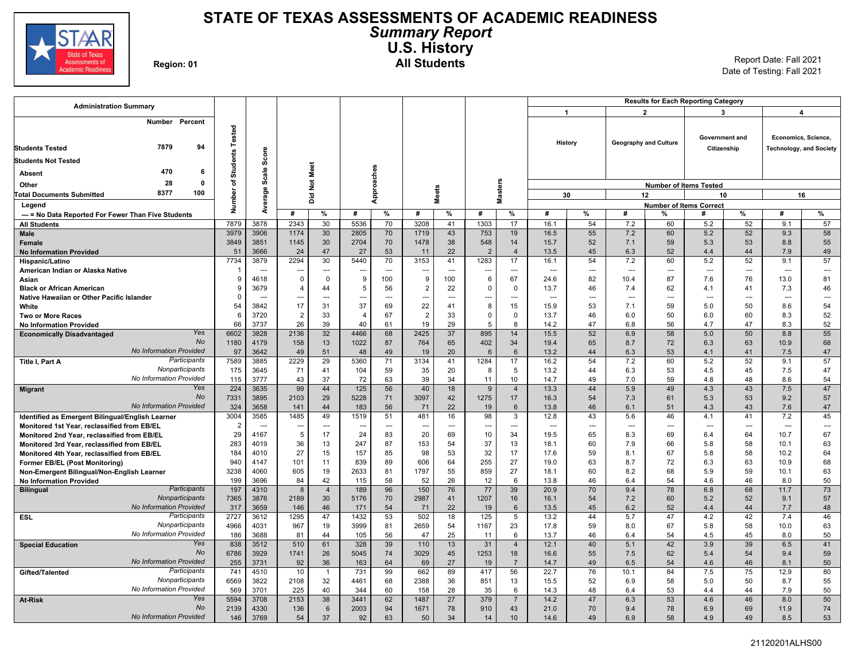

### **STATE OF TEXAS ASSESSMENTS OF ACADEMIC READINESS** *Summary Report* **U.S. History Region: 01 All Students** Report Date: Fall 2021

| <b>Administration Summary</b>                                                                    |                        |              |                         |                              |                |                |                |                      |                 |                     | <b>Results for Each Reporting Category</b> |                          |                |                              |                                     |                               |                                  |                                |  |  |
|--------------------------------------------------------------------------------------------------|------------------------|--------------|-------------------------|------------------------------|----------------|----------------|----------------|----------------------|-----------------|---------------------|--------------------------------------------|--------------------------|----------------|------------------------------|-------------------------------------|-------------------------------|----------------------------------|--------------------------------|--|--|
|                                                                                                  |                        |              |                         |                              |                |                |                |                      |                 |                     | $\overline{1}$                             |                          |                | $\overline{2}$               |                                     | 3                             |                                  | 4                              |  |  |
| Number Percent<br>7879<br>94<br><b>Students Tested</b><br><b>Students Not Tested</b><br>470<br>6 | <b>Students Tested</b> | Scor         |                         | Not Meet                     |                |                |                |                      |                 |                     |                                            | History                  |                | <b>Geography and Culture</b> |                                     | Government and<br>Citizenship | Economics, Science,              | <b>Technology, and Society</b> |  |  |
| Absent<br>28<br>0                                                                                | ৳                      | Scale        |                         |                              | Approaches     |                |                |                      |                 |                     |                                            |                          |                |                              |                                     |                               |                                  |                                |  |  |
| Other<br>8377<br>100                                                                             |                        |              |                         |                              |                |                |                |                      |                 | <b>Masters</b>      |                                            |                          |                |                              | <b>Number of Items Tested</b>       |                               |                                  |                                |  |  |
| <b>Total Documents Submitted</b>                                                                 | mber                   | erage        |                         | ă                            |                |                |                | <b>Meets</b>         |                 |                     |                                            | 30                       | 12<br>10       |                              |                                     |                               |                                  | 16                             |  |  |
| Legend                                                                                           | ž                      | Ž            | #                       | %                            | #              | %              | #              | %                    | #               | %                   | #                                          | %                        | #              | %                            | <b>Number of Items Correct</b><br># | %                             | #                                | %                              |  |  |
| --- = No Data Reported For Fewer Than Five Students                                              | 7879                   | 3878         | 2343                    | 30                           | 5536           | 70             | 3208           | 41                   | 1303            | 17                  | 16.1                                       | 54                       | 7.2            | 60                           | 5.2                                 | 52                            | 9.1                              | 57                             |  |  |
| <b>All Students</b><br>Male                                                                      | 3979                   | 3906         | 1174                    | 30                           | 2805           | 70             | 1719           | 43                   | 753             | 19                  | 16.5                                       | 55                       | 7.2            | 60                           | 5.2                                 | 52                            | 9.3                              | 58                             |  |  |
| Female                                                                                           | 3849                   | 3851         | 1145                    | 30                           | 2704           | 70             | 1478           | 38                   | 548             | 14                  | 15.7                                       | 52                       | 7.1            | 59                           | 5.3                                 | 53                            | 8.8                              | 55                             |  |  |
| <b>No Information Provided</b>                                                                   | 51                     | 3666         | 24                      | 47                           | 27             | 53             | 11             | 22                   | $\overline{2}$  | $\overline{4}$      | 13.5                                       | 45                       | 6.3            | 52                           | 4.4                                 | 44                            | 7.9                              | 49                             |  |  |
| Hispanic/Latino                                                                                  | 7734                   | 3879         | 2294                    | 30                           | 5440           | 70             | 3153           | 41                   | 1283            | 17                  | 16.1                                       | 54                       | 7.2            | 60                           | 5.2                                 | 52                            | 9.1                              | 57                             |  |  |
| American Indian or Alaska Native                                                                 |                        | $\sim$       | ---                     | $\sim$ $\sim$                |                | $\overline{a}$ | ---            | $\overline{a}$       | ---             | $\overline{a}$      | $\sim$                                     | $\sim$                   | $\overline{a}$ | ---                          | $\overline{a}$                      | $\overline{a}$                | $\overline{a}$                   | $\overline{\phantom{a}}$       |  |  |
| Asian                                                                                            | 9                      | 4618         | $\overline{\mathbf{0}}$ | $\mathbf 0$                  | 9              | 100            | 9              | 100                  | 6               | 67                  | 24.6                                       | 82                       | 10.4           | 87                           | 7.6                                 | 76                            | 13.0                             | 81                             |  |  |
| <b>Black or African American</b>                                                                 | 9                      | 3679         | $\overline{4}$          | 44                           | 5              | 56             | $\overline{2}$ | 22                   | $\Omega$        | $\mathbf 0$         | 13.7                                       | 46                       | 7.4            | 62                           | 4.1                                 | 41                            | 7.3                              | 46                             |  |  |
| Native Hawaiian or Other Pacific Islander                                                        | $\Omega$               | ---          | ---                     | $\hspace{0.05cm} \ldots$     | ---            | ---            | ---            | $-$                  | ---             | $---$               | $\sim$                                     | $\hspace{0.05cm} \cdots$ | $\overline{a}$ | ---                          | $\overline{a}$                      | ---                           | $\overline{a}$                   | $\hspace{0.05cm} \ldots$       |  |  |
| White                                                                                            | 54                     | 3842         | 17                      | 31                           | 37             | 69             | 22             | 41                   | 8               | 15                  | 15.9                                       | 53                       | 7.1            | 59                           | 5.0                                 | 50                            | 8.6                              | 54                             |  |  |
| Two or More Races                                                                                | 6                      | 3720         | $\overline{2}$          | 33                           | $\overline{4}$ | 67             | $\overline{2}$ | 33                   | $\Omega$        | $\mathbf 0$         | 13.7                                       | 46                       | 6.0            | 50                           | 6.0                                 | 60                            | 8.3                              | 52                             |  |  |
| <b>No Information Provided</b><br>Yes                                                            | 66<br>6602             | 3737<br>3828 | 26<br>2136              | 39<br>32                     | 40<br>4466     | 61<br>68       | 19<br>2425     | 29<br>37             | 5<br>895        | 8<br>14             | 14.2<br>15.5                               | 47<br>52                 | 6.8<br>6.9     | 56<br>58                     | 4.7<br>5.0                          | 47<br>50                      | 8.3<br>8.8                       | 52<br>55                       |  |  |
| <b>Economically Disadvantaged</b><br>No                                                          | 1180                   | 4179         | 158                     | 13                           | 1022           | 87             | 764            | 65                   | 402             | 34                  | 19.4                                       | 65                       | 8.7            | 72                           | 6.3                                 | 63                            | 10.9                             | 68                             |  |  |
| No Information Provided                                                                          | 97                     | 3642         | 49                      | 51                           | 48             | 49             | 19             | 20                   | $6\phantom{1}6$ | 6                   | 13.2                                       | 44                       | 6.3            | 53                           | 4.1                                 | 41                            | 7.5                              | $47\,$                         |  |  |
| Participants<br>Title I, Part A                                                                  | 7589                   | 3885         | 2229                    | 29                           | 5360           | 71             | 3134           | 41                   | 1284            | 17                  | 16.2                                       | 54                       | 7.2            | 60                           | 5.2                                 | 52                            | 9.1                              | 57                             |  |  |
| Nonparticipants                                                                                  | 175                    | 3645         | 71                      | 41                           | 104            | 59             | 35             | 20                   | 8               | 5                   | 13.2                                       | 44                       | 6.3            | 53                           | 4.5                                 | 45                            | 7.5                              | 47                             |  |  |
| No Information Provided                                                                          | 115                    | 3777         | 43                      | 37                           | 72             | 63             | 39             | 34                   | 11              | 10                  | 14.7                                       | 49                       | 7.0            | 59                           | 4.8                                 | 48                            | 8.6                              | 54                             |  |  |
| Yes<br><b>Migrant</b>                                                                            | 224                    | 3635         | 99                      | 44                           | 125            | 56             | 40             | 18                   | 9               | $\overline{4}$      | 13.3                                       | 44                       | 5.9            | 49                           | 4.3                                 | 43                            | 7.5                              | 47                             |  |  |
| No                                                                                               | 7331                   | 3895         | 2103                    | 29                           | 5228           | 71             | 3097           | 42                   | 1275            | 17                  | 16.3                                       | 54                       | 7.3            | 61                           | 5.3                                 | 53                            | 9.2                              | 57                             |  |  |
| <b>No Information Provided</b>                                                                   | 324                    | 3658         | 141                     | 44                           | 183            | 56             | 71             | 22                   | 19              | 6                   | 13.8                                       | 46                       | 6.1            | 51                           | 4.3                                 | 43                            | 7.6                              | 47                             |  |  |
| Identified as Emergent Bilingual/English Learner                                                 | 3004                   | 3585         | 1485                    | 49                           | 1519           | 51             | 481            | 16                   | 98              | 3                   | 12.8                                       | 43                       | 5.6            | 46                           | 4.1                                 | 41                            | 7.2                              | 45                             |  |  |
| Monitored 1st Year, reclassified from EB/EL                                                      | $\overline{2}$<br>29   | ---<br>4167  | ---<br>5                | $\qquad \qquad \cdots$<br>17 | 24             | ---<br>83      | ---<br>20      | $\overline{a}$<br>69 | ---<br>10       | ---<br>34           | $\overline{\phantom{a}}$<br>19.5           | ---<br>65                | ---<br>8.3     | ---<br>69                    | ---<br>6.4                          | ---<br>64                     | $\overline{\phantom{a}}$<br>10.7 | $\overline{\phantom{a}}$<br>67 |  |  |
| Monitored 2nd Year, reclassified from EB/EL<br>Monitored 3rd Year, reclassified from EB/EL       | 283                    | 4019         | 36                      | 13                           | 247            | 87             | 153            | 54                   | 37              | 13                  | 18.1                                       | 60                       | 7.9            | 66                           | 5.8                                 | 58                            | 10.1                             | 63                             |  |  |
| Monitored 4th Year, reclassified from EB/EL                                                      | 184                    | 4010         | 27                      | 15                           | 157            | 85             | 98             | 53                   | 32              | 17                  | 17.6                                       | 59                       | 8.1            | 67                           | 5.8                                 | 58                            | 10.2                             | 64                             |  |  |
| Former EB/EL (Post Monitoring)                                                                   | 940                    | 4147         | 101                     | 11                           | 839            | 89             | 606            | 64                   | 255             | 27                  | 19.0                                       | 63                       | 8.7            | 72                           | 6.3                                 | 63                            | 10.9                             | 68                             |  |  |
| Non-Emergent Bilingual/Non-English Learner                                                       | 3238                   | 4060         | 605                     | 19                           | 2633           | 81             | 1797           | 55                   | 859             | 27                  | 18.1                                       | 60                       | 8.2            | 68                           | 5.9                                 | 59                            | 10.1                             | 63                             |  |  |
| <b>No Information Provided</b>                                                                   | 199                    | 3696         | 84                      | 42                           | 115            | 58             | 52             | 26                   | 12              | 6                   | 13.8                                       | 46                       | 6.4            | 54                           | 4.6                                 | 46                            | 8.0                              | 50                             |  |  |
| Participants<br><b>Bilingual</b>                                                                 | 197                    | 4310         | 8                       | $\overline{4}$               | 189            | 96             | 150            | 76                   | 77              | 39                  | 20.9                                       | 70                       | 9.4            | 78                           | 6.8                                 | 68                            | 11.7                             | 73                             |  |  |
| Nonparticipants                                                                                  | 7365                   | 3876         | 2189                    | 30                           | 5176           | 70             | 2987           | 41                   | 1207            | 16                  | 16.1                                       | 54                       | 7.2            | 60                           | 5.2                                 | 52                            | 9.1                              | 57                             |  |  |
| No Information Provided                                                                          | 317                    | 3659         | 146                     | 46                           | 171            | 54             | 71             | 22                   | 19              | 6                   | 13.5                                       | 45                       | 6.2            | 52                           | 4.4                                 | 44                            | 7.7                              | 48                             |  |  |
| Participants<br><b>ESL</b><br>Nonparticipants                                                    | 2727                   | 3612         | 1295                    | 47                           | 1432           | 53             | 502            | 18                   | 125             | 5                   | 13.2                                       | 44                       | 5.7            | 47                           | 4.2                                 | 42                            | 7.4                              | 46                             |  |  |
| No Information Provided                                                                          | 4966                   | 4031         | 967                     | 19<br>44                     | 3999           | 81<br>56       | 2659           | 54<br>25             | 1167            | 23                  | 17.8                                       | 59                       | 8.0<br>6.4     | 67<br>54                     | 5.8<br>4.5                          | 58<br>45                      | 10.0                             | 63                             |  |  |
| Yes<br><b>Special Education</b>                                                                  | 186<br>838             | 3688<br>3512 | 81<br>510               | 61                           | 105<br>328     | 39             | 47<br>110      | 13                   | 11<br>31        | 6<br>$\overline{4}$ | 13.7<br>12.1                               | 46<br>40                 | 5.1            | 42                           | 3.9                                 | 39                            | 8.0<br>6.5                       | 50<br>41                       |  |  |
| No                                                                                               | 6786                   | 3929         | 1741                    | 26                           | 5045           | 74             | 3029           | 45                   | 1253            | 18                  | 16.6                                       | 55                       | 7.5            | 62                           | 5.4                                 | 54                            | 9.4                              | 59                             |  |  |
| No Information Provided                                                                          | 255                    | 3731         | 92                      | 36                           | 163            | 64             | 69             | 27                   | 19              | $\overline{7}$      | 14.7                                       | 49                       | 6.5            | 54                           | 4.6                                 | 46                            | 8.1                              | 50                             |  |  |
| Participants<br>Gifted/Talented                                                                  | 741                    | 4510         | 10                      | $\mathbf{1}$                 | 731            | 99             | 662            | 89                   | 417             | 56                  | 22.7                                       | 76                       | 10.1           | 84                           | 7.5                                 | 75                            | 12.9                             | 80                             |  |  |
| Nonparticipants                                                                                  | 6569                   | 3822         | 2108                    | 32                           | 4461           | 68             | 2388           | 36                   | 851             | 13                  | 15.5                                       | 52                       | 6.9            | 58                           | 5.0                                 | 50                            | 8.7                              | 55                             |  |  |
| No Information Provided                                                                          | 569                    | 3701         | 225                     | 40                           | 344            | 60             | 158            | 28                   | 35              | 6                   | 14.3                                       | 48                       | 6.4            | 53                           | 4.4                                 | 44                            | 7.9                              | 50                             |  |  |
| Yes<br><b>At-Risk</b>                                                                            | 5594                   | 3708         | 2153                    | 38                           | 3441           | 62             | 1487           | 27                   | 379             | $\overline{7}$      | 14.2                                       | 47                       | 6.3            | 53                           | 4.6                                 | 46                            | 8.0                              | 50                             |  |  |
| <b>No</b>                                                                                        | 2139                   | 4330         | 136                     | 6                            | 2003           | 94             | 1671           | 78                   | 910             | 43                  | 21.0                                       | 70                       | 9.4            | 78                           | 6.9                                 | 69                            | 11.9                             | 74                             |  |  |
| No Information Provided                                                                          | 146                    | 3769         | 54                      | 37                           | 92             | 63             | 50             | 34                   | 14              | 10                  | 14.6                                       | 49                       | 6.9            | 58                           | 4.9                                 | 49                            | 8.5                              | 53                             |  |  |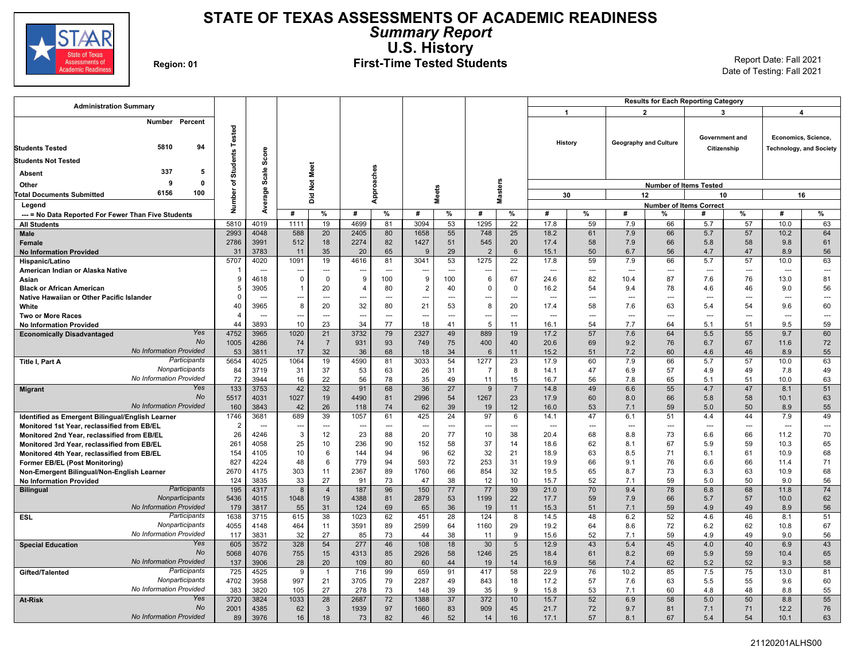

## **STATE OF TEXAS ASSESSMENTS OF ACADEMIC READINESS** *Summary Report* **U.S. History**

## Region: 01 **First-Time Tested Students** Report Date: Fall 2021 Report Date: Fall 2021

| <b>Administration Summary</b>                                                        |                           |                          |             |                |                          |                |                |                          |                        |                 | <b>Results for Each Reporting Category</b> |                          |                          |                       |                                |                |                     |                                |  |
|--------------------------------------------------------------------------------------|---------------------------|--------------------------|-------------|----------------|--------------------------|----------------|----------------|--------------------------|------------------------|-----------------|--------------------------------------------|--------------------------|--------------------------|-----------------------|--------------------------------|----------------|---------------------|--------------------------------|--|
|                                                                                      |                           |                          |             |                |                          |                |                |                          |                        |                 | -1                                         |                          |                          | $\overline{2}$        |                                | 3              |                     | 4                              |  |
| Number Percent<br>5810<br>94<br><b>Students Tested</b><br><b>Students Not Tested</b> | Tested<br><b>Students</b> | Score                    |             |                |                          |                |                |                          |                        |                 |                                            | History                  |                          | Geography and Culture | Government and                 | Citizenship    | Economics, Science, | <b>Technology, and Society</b> |  |
| 337<br>5<br>Absent                                                                   |                           |                          |             |                |                          |                |                |                          |                        |                 |                                            |                          |                          |                       |                                |                |                     |                                |  |
| $\mathbf{0}$<br>ç                                                                    | ৳                         | Scale                    |             | Not Meet       | Approaches               |                |                |                          |                        |                 |                                            |                          |                          |                       |                                |                |                     |                                |  |
| Other<br>6156<br>100                                                                 |                           |                          |             |                |                          |                |                | Vieets                   |                        | <b>Masters</b>  |                                            |                          |                          |                       | <b>Number of Items Tested</b>  |                | 16                  |                                |  |
| <b>Total Documents Submitted</b>                                                     | Number                    | Average                  |             | ă              |                          |                |                |                          |                        |                 |                                            | 30                       |                          | 12                    | 10                             |                |                     |                                |  |
| Legend                                                                               |                           |                          |             |                |                          |                | #              |                          |                        |                 | #                                          |                          |                          |                       | <b>Number of Items Correct</b> |                | #                   |                                |  |
| --- = No Data Reported For Fewer Than Five Students                                  |                           |                          | #           | %              | #                        | %              |                | %                        | #                      | %               |                                            | %                        | #                        | %                     | #                              | %              |                     | %                              |  |
| <b>All Students</b>                                                                  | 5810<br>2993              | 4019<br>4048             | 1111        | 19<br>20       | 4699                     | 81<br>80       | 3094<br>1658   | 53                       | 1295                   | 22<br>25        | 17.8<br>18.2                               | 59<br>61                 | 7.9<br>7.9               | 66<br>66              | 5.7<br>5.7                     | 57             | 10.0<br>10.2        | 63<br>64                       |  |
| Male<br><b>Female</b>                                                                | 2786                      | 3991                     | 588<br>512  | 18             | 2405<br>2274             | 82             | 1427           | 55<br>51                 | 748<br>545             | 20              | 17.4                                       | 58                       | 7.9                      | 66                    | 5.8                            | 57<br>58       | 9.8                 | 61                             |  |
| <b>No Information Provided</b>                                                       | 31                        | 3783                     | 11          | 35             | 20                       | 65             | 9              | 29                       | $\overline{2}$         | 6               | 15.1                                       | 50                       | 6.7                      | 56                    | 4.7                            | 47             | 8.9                 | 56                             |  |
| Hispanic/Latino                                                                      | 5707                      | 4020                     | 1091        | 19             | 4616                     | 81             | 3041           | 53                       | 1275                   | 22              | 17.8                                       | 59                       | 7.9                      | 66                    | 5.7                            | 57             | 10.0                | 63                             |  |
| American Indian or Alaska Native                                                     |                           | $\sim$                   | ---         | ---            | $\overline{\phantom{a}}$ | $\overline{a}$ | ∽.             | $\sim$                   | ---                    | $\overline{a}$  | $\overline{a}$                             | $\overline{a}$           | $\overline{a}$           | ---                   | ---                            | ÷÷             | $\overline{a}$      | $\hspace{0.05cm} \ldots$       |  |
| Asian                                                                                | 9                         | 4618                     | $\mathbf 0$ | $\mathbf 0$    | 9                        | 100            | 9              | 100                      | 6                      | 67              | 24.6                                       | 82                       | 10.4                     | 87                    | 7.6                            | 76             | 13.0                | 81                             |  |
| <b>Black or African American</b>                                                     | 5                         | 3905                     | - 1         | 20             | $\overline{\phantom{a}}$ | 80             | $\overline{2}$ | 40                       | $\mathbf 0$            | 0               | 16.2                                       | 54                       | 9.4                      | 78                    | 4.6                            | 46             | 9.0                 | 56                             |  |
| Native Hawaiian or Other Pacific Islander                                            | $\Omega$                  | $\overline{\phantom{a}}$ | ---         | $\overline{a}$ | $\overline{\phantom{a}}$ | $\overline{a}$ | ---            | ---                      | ---                    | ---             | ---                                        | $\overline{\phantom{a}}$ | $\overline{\phantom{a}}$ | ---                   | ---                            | ---            | ---                 | $\overline{\phantom{a}}$       |  |
| White                                                                                | 40                        | 3965                     | 8           | 20             | 32                       | 80             | 21             | 53                       | 8                      | 20              | 17.4                                       | 58                       | 7.6                      | 63                    | 5.4                            | 54             | 9.6                 | 60                             |  |
| <b>Two or More Races</b>                                                             | $\overline{4}$            | $\overline{a}$           | ---         | $\overline{a}$ | $\overline{\phantom{a}}$ | ---            | $\overline{a}$ | $\sim$                   | ---                    |                 |                                            | $\sim$                   | $\overline{a}$           | ---                   | ---                            | $\overline{a}$ | $\overline{a}$      | $\sim$                         |  |
| <b>No Information Provided</b>                                                       | 44                        | 3893                     | 10          | 23             | 34                       | 77             | 18             | 41                       | 5                      | 11              | 16.1                                       | 54                       | 7.7                      | 64                    | 5.1                            | 51             | 9.5                 | 59                             |  |
| Yes<br><b>Economically Disadvantaged</b>                                             | 4752                      | 3965                     | 1020        | 21             | 3732                     | 79             | 2327           | 49                       | 889                    | 19              | 17.2                                       | 57                       | 7.6                      | 64                    | 5.5                            | 55             | 9.7                 | 60                             |  |
| No                                                                                   | 1005                      | 4286                     | 74          | $\overline{7}$ | 931                      | 93             | 749            | 75                       | 400                    | 40              | 20.6                                       | 69                       | 9.2                      | 76                    | 6.7                            | 67             | 11.6                | 72                             |  |
| <b>No Information Provided</b>                                                       | 53                        | 3811                     | 17          | 32             | 36                       | 68             | 18             | 34                       | 6                      | 11              | 15.2                                       | 51                       | 7.2                      | 60                    | 4.6                            | 46             | 8.9                 | 55                             |  |
| Participants<br>Title I, Part A<br>Nonparticipants                                   | 5654<br>84                | 4025<br>3719             | 1064<br>31  | 19<br>37       | 4590<br>53               | 81<br>63       | 3033<br>26     | 54<br>31                 | 1277<br>$\overline{7}$ | 23<br>8         | 17.9<br>14.1                               | 60<br>47                 | 7.9<br>6.9               | 66<br>57              | 5.7<br>4.9                     | 57<br>49       | 10.0<br>7.8         | 63<br>49                       |  |
| No Information Provided                                                              | 72                        | 3944                     | 16          | 22             | 56                       | 78             | 35             | 49                       | 11                     | 15              | 16.7                                       | 56                       | 7.8                      | 65                    | 5.1                            | 51             | 10.0                | 63                             |  |
| Yes<br><b>Migrant</b>                                                                | 133                       | 3753                     | 42          | 32             | 91                       | 68             | 36             | 27                       | 9                      | $\overline{7}$  | 14.8                                       | 49                       | 6.6                      | 55                    | 4.7                            | 47             | 8.1                 | 51                             |  |
| No                                                                                   | 5517                      | 4031                     | 1027        | 19             | 4490                     | 81             | 2996           | 54                       | 1267                   | 23              | 17.9                                       | 60                       | 8.0                      | 66                    | 5.8                            | 58             | 10.1                | 63                             |  |
| <b>No Information Provided</b>                                                       | 160                       | 3843                     | 42          | 26             | 118                      | 74             | 62             | 39                       | 19                     | 12              | 16.0                                       | 53                       | 7.1                      | 59                    | 5.0                            | 50             | 8.9                 | 55                             |  |
| Identified as Emergent Bilingual/English Learner                                     | 1746                      | 3681                     | 689         | 39             | 1057                     | 61             | 425            | 24                       | 97                     | 6               | 14.1                                       | 47                       | 6.1                      | 51                    | 4.4                            | 44             | 7.9                 | 49                             |  |
| Monitored 1st Year, reclassified from EB/EL                                          | $\overline{2}$            | $\overline{a}$           | ---         | ---            | $\overline{\phantom{a}}$ | ---            | $\overline{a}$ | $\overline{\phantom{a}}$ | ---                    | <u>.</u>        | ---                                        | $\hspace{0.05cm} \ldots$ | $\overline{a}$           | ---                   | -−-                            | ---            | ---                 | $\hspace{0.05cm} \ldots$       |  |
| Monitored 2nd Year, reclassified from EB/EL                                          | 26                        | 4246                     | 3           | 12             | 23                       | 88             | 20             | 77                       | 10                     | 38              | 20.4                                       | 68                       | 8.8                      | 73                    | 6.6                            | 66             | 11.2                | 70                             |  |
| Monitored 3rd Year, reclassified from EB/EL                                          | 261                       | 4058                     | 25          | 10             | 236                      | 90             | 152            | 58                       | 37                     | 14              | 18.6                                       | 62                       | 8.1                      | 67                    | 5.9                            | 59             | 10.3                | 65                             |  |
| Monitored 4th Year, reclassified from EB/EL                                          | 154                       | 4105                     | 10          | 6              | 144                      | 94             | 96             | 62                       | 32                     | 21              | 18.9                                       | 63                       | 8.5                      | 71                    | 6.1                            | 61             | 10.9                | 68                             |  |
| <b>Former EB/EL (Post Monitoring)</b>                                                | 827<br>2670               | 4224<br>4175             | 48<br>303   | 6<br>11        | 779<br>2367              | 94<br>89       | 593<br>1760    | 72<br>66                 | 253<br>854             | 31<br>32        | 19.9<br>19.5                               | 66<br>65                 | 9.1<br>8.7               | 76<br>73              | 6.6<br>6.3                     | 66<br>63       | 11.4<br>10.9        | 71<br>68                       |  |
| Non-Emergent Bilingual/Non-English Learner<br><b>No Information Provided</b>         | 124                       | 3835                     | 33          | 27             | 91                       | 73             | 47             | 38                       | 12                     | 10 <sup>1</sup> | 15.7                                       | 52                       | 7.1                      | 59                    | 5.0                            | 50             | 9.0                 | 56                             |  |
| Participants<br><b>Bilingual</b>                                                     | 195                       | 4317                     | 8           | $\overline{4}$ | 187                      | 96             | 150            | 77                       | 77                     | 39              | 21.0                                       | 70                       | 9.4                      | 78                    | 6.8                            | 68             | 11.8                | 74                             |  |
| Nonparticipants                                                                      | 5436                      | 4015                     | 1048        | 19             | 4388                     | 81             | 2879           | 53                       | 1199                   | 22              | 17.7                                       | 59                       | 7.9                      | 66                    | 5.7                            | 57             | 10.0                | 62                             |  |
| <b>No Information Provided</b>                                                       | 179                       | 3817                     | 55          | 31             | 124                      | 69             | 65             | 36                       | 19                     | 11              | 15.3                                       | 51                       | 7.1                      | 59                    | 4.9                            | 49             | 8.9                 | 56                             |  |
| Participants<br>ESL                                                                  | 1638                      | 3715                     | 615         | 38             | 1023                     | 62             | 451            | $\overline{28}$          | 124                    | 8               | 14.5                                       | 48                       | 6.2                      | 52                    | 4.6                            | 46             | 8.1                 | 51                             |  |
| Nonparticipants                                                                      | 4055                      | 4148                     | 464         | 11             | 3591                     | 89             | 2599           | 64                       | 1160                   | 29              | 19.2                                       | 64                       | 8.6                      | 72                    | 6.2                            | 62             | 10.8                | 67                             |  |
| No Information Provided                                                              | 117                       | 3831                     | 32          | 27             | 85                       | 73             | 44             | 38                       | 11                     | 9               | 15.6                                       | 52                       | 7.1                      | 59                    | 4.9                            | 49             | 9.0                 | 56                             |  |
| Yes<br><b>Special Education</b>                                                      | 605                       | 3572                     | 328         | 54             | 277                      | 46             | 108            | 18                       | 30                     | $5\phantom{.0}$ | 12.9                                       | 43                       | 5.4                      | 45                    | 4.0                            | 40             | 6.9                 | 43                             |  |
| <b>No</b>                                                                            | 5068                      | 4076                     | 755         | 15             | 4313                     | 85             | 2926           | 58                       | 1246                   | 25              | 18.4                                       | 61                       | 8.2                      | 69                    | 5.9                            | 59             | 10.4                | 65                             |  |
| No Information Provided                                                              | 137                       | 3906                     | 28          | 20             | 109                      | 80             | 60             | 44                       | 19                     | 14              | 16.9                                       | 56                       | 7.4                      | 62                    | 5.2                            | 52             | 9.3                 | 58                             |  |
| Participants<br>Gifted/Talented<br>Nonparticipants                                   | 725                       | 4525                     | 9           | $\overline{1}$ | 716                      | 99             | 659            | 91                       | 417                    | 58              | 22.9                                       | 76                       | 10.2                     | 85                    | 7.5                            | 75             | 13.0                | 81                             |  |
| No Information Provided                                                              | 4702<br>383               | 3958<br>3820             | 997<br>105  | 21<br>27       | 3705<br>278              | 79<br>73       | 2287           | 49<br>39                 | 843                    | 18<br>9         | 17.2                                       | 57<br>53                 | 7.6                      | 63<br>60              | 5.5<br>4.8                     | 55<br>48       | 9.6                 | 60<br>55                       |  |
| Yes<br>At-Risk                                                                       | 3720                      | 3824                     | 1033        | 28             | 2687                     | 72             | 148<br>1388    | 37                       | 35<br>372              | 10              | 15.8<br>15.7                               | 52                       | 7.1<br>6.9               | 58                    | 5.0                            | 50             | 8.8<br>8.8          | 55                             |  |
| No                                                                                   | 2001                      | 4385                     | 62          | $\mathbf{3}$   | 1939                     | 97             | 1660           | 83                       | 909                    | 45              | 21.7                                       | 72                       | 9.7                      | 81                    | 7.1                            | 71             | 12.2                | 76                             |  |
| <b>No Information Provided</b>                                                       | 89                        | 3976                     | 16          | 18             | 73                       | 82             | 46             | 52                       | 14                     | 16              | 17.1                                       | 57                       | 8.1                      | 67                    | 5.4                            | 54             | 10.1                | 63                             |  |
|                                                                                      |                           |                          |             |                |                          |                |                |                          |                        |                 |                                            |                          |                          |                       |                                |                |                     |                                |  |